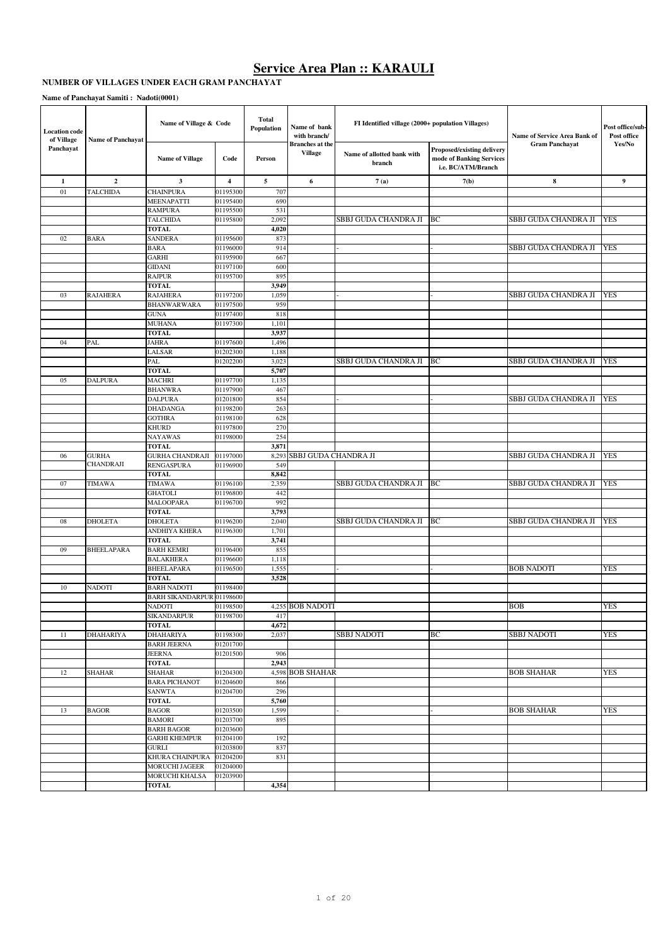#### **NUMBER OF VILLAGES UNDER EACH GRAM PANCHAYAT**

**Name of Panchayat Samiti : Nadoti(0001)**

| <b>Location</b> code<br>of Village | <b>Name of Panchayat</b>  | Name of Village & Code                      |                      | <b>Total</b><br>Population | Name of bank<br>with branch/             | FI Identified village (2000+ population Villages) |                                                                              | Name of Service Area Bank of | Post office/sub-<br>Post office |
|------------------------------------|---------------------------|---------------------------------------------|----------------------|----------------------------|------------------------------------------|---------------------------------------------------|------------------------------------------------------------------------------|------------------------------|---------------------------------|
| Panchayat                          |                           | <b>Name of Village</b>                      | Code                 | Person                     | <b>Branches</b> at the<br><b>Village</b> | Name of allotted bank with<br>branch              | Proposed/existing delivery<br>mode of Banking Services<br>i.e. BC/ATM/Branch | <b>Gram Panchayat</b>        | Yes/No                          |
| 1                                  | $\overline{2}$            | 3                                           | $\overline{4}$       | 5                          | 6                                        | 7(a)                                              | 7(b)                                                                         | 8                            | 9                               |
| 01                                 | <b>TALCHIDA</b>           | <b>CHAINPURA</b>                            | 01195300             | 707                        |                                          |                                                   |                                                                              |                              |                                 |
|                                    |                           | MEENAPATTI                                  | 01195400             | 690                        |                                          |                                                   |                                                                              |                              |                                 |
|                                    |                           | <b>RAMPURA</b>                              | 01195500             | 531                        |                                          |                                                   |                                                                              |                              |                                 |
|                                    |                           | <b>TALCHIDA</b><br><b>TOTAL</b>             | 01195800             | 2,092<br>4,020             |                                          | SBBJ GUDA CHANDRA JI                              | BС                                                                           | SBBJ GUDA CHANDRA JI         | <b>YES</b>                      |
| 02                                 | BARA                      | <b>SANDERA</b>                              | 01195600             | 873                        |                                          |                                                   |                                                                              |                              |                                 |
|                                    |                           | <b>BARA</b>                                 | 01196000             | 914                        |                                          |                                                   |                                                                              | SBBJ GUDA CHANDRA JI         | YES                             |
|                                    |                           | <b>GARHI</b>                                | 01195900             | 667                        |                                          |                                                   |                                                                              |                              |                                 |
|                                    |                           | <b>GIDANI</b>                               | 01197100             | 600                        |                                          |                                                   |                                                                              |                              |                                 |
|                                    |                           | <b>RAJPUR</b>                               | 01195700             | 895                        |                                          |                                                   |                                                                              |                              |                                 |
|                                    |                           | <b>TOTAL</b>                                |                      | 3,949                      |                                          |                                                   |                                                                              |                              |                                 |
| 03                                 | <b>RAJAHERA</b>           | <b>RAJAHERA</b>                             | 01197200             | 1,059                      |                                          |                                                   |                                                                              | SBBJ GUDA CHANDRA JI         | YES                             |
|                                    |                           | <b>BHANWARWARA</b>                          | 01197500             | 959                        |                                          |                                                   |                                                                              |                              |                                 |
|                                    |                           | <b>GUNA</b>                                 | 01197400             | 818                        |                                          |                                                   |                                                                              |                              |                                 |
|                                    |                           | <b>MUHANA</b><br><b>TOTAL</b>               | 01197300             | 1,101<br>3,937             |                                          |                                                   |                                                                              |                              |                                 |
| 04                                 | PAL                       | <b>JAHRA</b>                                | 01197600             | 1,496                      |                                          |                                                   |                                                                              |                              |                                 |
|                                    |                           | LALSAR                                      | 01202300             | 1,188                      |                                          |                                                   |                                                                              |                              |                                 |
|                                    |                           | PAL                                         | 01202200             | 3,023                      |                                          | SBBJ GUDA CHANDRA JI                              | <b>BC</b>                                                                    | SBBJ GUDA CHANDRA JI         | <b>YES</b>                      |
|                                    |                           | <b>TOTAL</b>                                |                      | 5,707                      |                                          |                                                   |                                                                              |                              |                                 |
| 05                                 | <b>DALPURA</b>            | <b>MACHRI</b>                               | 01197700             | 1,135                      |                                          |                                                   |                                                                              |                              |                                 |
|                                    |                           | <b>BHANWRA</b>                              | 01197900             | 467                        |                                          |                                                   |                                                                              |                              |                                 |
|                                    |                           | <b>DALPURA</b>                              | 01201800             | 854                        |                                          |                                                   |                                                                              | SBBJ GUDA CHANDRA JI         | <b>YES</b>                      |
|                                    |                           | <b>DHADANGA</b>                             | 01198200             | 263                        |                                          |                                                   |                                                                              |                              |                                 |
|                                    |                           | <b>GOTHRA</b>                               | 01198100             | 628                        |                                          |                                                   |                                                                              |                              |                                 |
|                                    |                           | KHURD                                       | 01197800             | 270                        |                                          |                                                   |                                                                              |                              |                                 |
|                                    |                           | <b>NAYAWAS</b>                              | 01198000             | 254                        |                                          |                                                   |                                                                              |                              |                                 |
|                                    |                           | <b>TOTAL</b>                                |                      | 3,871                      |                                          |                                                   |                                                                              |                              |                                 |
| 06                                 | <b>GURHA</b><br>CHANDRAJI | <b>GURHA CHANDRAJI</b><br><b>RENGASPURA</b> | 01197000<br>01196900 | 549                        | 8,293 SBBJ GUDA CHANDRA JI               |                                                   |                                                                              | SBBJ GUDA CHANDRA JI         | <b>YES</b>                      |
|                                    |                           | <b>TOTAL</b>                                |                      | 8,842                      |                                          |                                                   |                                                                              |                              |                                 |
| 07                                 | <b>TIMAWA</b>             | <b>TIMAWA</b>                               | 01196100             | 2,359                      |                                          | SBBJ GUDA CHANDRA JI                              | BC                                                                           | SBBJ GUDA CHANDRA JI         | YES                             |
|                                    |                           | <b>GHATOLI</b>                              | 01196800             | 442                        |                                          |                                                   |                                                                              |                              |                                 |
|                                    |                           | <b>MALOOPARA</b>                            | 01196700             | 992                        |                                          |                                                   |                                                                              |                              |                                 |
|                                    |                           | <b>TOTAL</b>                                |                      | 3,793                      |                                          |                                                   |                                                                              |                              |                                 |
| 08                                 | <b>DHOLETA</b>            | <b>DHOLETA</b>                              | 01196200             | 2,040                      |                                          | SBBJ GUDA CHANDRA JI                              | <b>BC</b>                                                                    | SBBJ GUDA CHANDRA JI         | <b>YES</b>                      |
|                                    |                           | ANDHIYA KHERA                               | 01196300             | 1,701                      |                                          |                                                   |                                                                              |                              |                                 |
|                                    |                           | <b>TOTAL</b>                                |                      | 3,741                      |                                          |                                                   |                                                                              |                              |                                 |
| 09                                 | <b>BHEELAPARA</b>         | <b>BARH KEMRI</b>                           | 01196400             | 855                        |                                          |                                                   |                                                                              |                              |                                 |
|                                    |                           | <b>BALAKHERA</b>                            | 01196600             | 1,118                      |                                          |                                                   |                                                                              |                              |                                 |
|                                    |                           | <b>BHEELAPARA</b><br><b>TOTAL</b>           | 01196500             | 1,555<br>3,528             |                                          |                                                   |                                                                              | <b>BOB NADOTI</b>            | YES                             |
| 10                                 | <b>NADOTI</b>             | <b>BARH NADOTI</b>                          | 01198400             |                            |                                          |                                                   |                                                                              |                              |                                 |
|                                    |                           | <b>BARH SIKANDARPUR 01198600</b>            |                      |                            |                                          |                                                   |                                                                              |                              |                                 |
|                                    |                           | <b>NADOTI</b>                               | 01198500             |                            | <b>4.255 BOB NADOTI</b>                  |                                                   |                                                                              | <b>BOB</b>                   | <b>YES</b>                      |
|                                    |                           | <b>SIKANDARPUR</b>                          | 01198700             | 417                        |                                          |                                                   |                                                                              |                              |                                 |
|                                    |                           | <b>TOTAL</b>                                |                      | 4,672                      |                                          |                                                   |                                                                              |                              |                                 |
| 11                                 | <b>DHAHARIYA</b>          | <b>DHAHARIYA</b>                            | 01198300             | 2,037                      |                                          | <b>SBBJ NADOTI</b>                                | BС                                                                           | <b>SBBJ NADOTI</b>           | YES                             |
|                                    |                           | <b>BARH JEERNA</b>                          | 01201700             |                            |                                          |                                                   |                                                                              |                              |                                 |
|                                    |                           | <b>JEERNA</b>                               | 01201500             | 906                        |                                          |                                                   |                                                                              |                              |                                 |
|                                    |                           | <b>TOTAL</b>                                |                      | 2,943                      |                                          |                                                   |                                                                              |                              |                                 |
| 12                                 | <b>SHAHAR</b>             | <b>SHAHAR</b>                               | 01204300             |                            | 4,598 BOB SHAHAR                         |                                                   |                                                                              | <b>BOB SHAHAR</b>            | YES                             |
|                                    |                           | <b>BARA PICHANOT</b><br><b>SANWTA</b>       | 01204600             | 866                        |                                          |                                                   |                                                                              |                              |                                 |
|                                    |                           | <b>TOTAL</b>                                | 01204700             | 296<br>5,760               |                                          |                                                   |                                                                              |                              |                                 |
| 13                                 | <b>BAGOR</b>              | <b>BAGOR</b>                                | 01203500             | 1,599                      |                                          |                                                   |                                                                              | <b>BOB SHAHAR</b>            | <b>YES</b>                      |
|                                    |                           | <b>BAMORI</b>                               | 01203700             | 895                        |                                          |                                                   |                                                                              |                              |                                 |
|                                    |                           | <b>BARH BAGOR</b>                           | 01203600             |                            |                                          |                                                   |                                                                              |                              |                                 |
|                                    |                           | <b>GARHI KHEMPUR</b>                        | 01204100             | 192                        |                                          |                                                   |                                                                              |                              |                                 |
|                                    |                           | <b>GURLI</b>                                | 01203800             | 837                        |                                          |                                                   |                                                                              |                              |                                 |
|                                    |                           | KHURA CHAINPURA                             | 01204200             | 831                        |                                          |                                                   |                                                                              |                              |                                 |
|                                    |                           | <b>MORUCHI JAGEER</b>                       | 01204000             |                            |                                          |                                                   |                                                                              |                              |                                 |
|                                    |                           | MORUCHI KHALSA                              | 01203900             |                            |                                          |                                                   |                                                                              |                              |                                 |
|                                    |                           | <b>TOTAL</b>                                |                      | 4,354                      |                                          |                                                   |                                                                              |                              |                                 |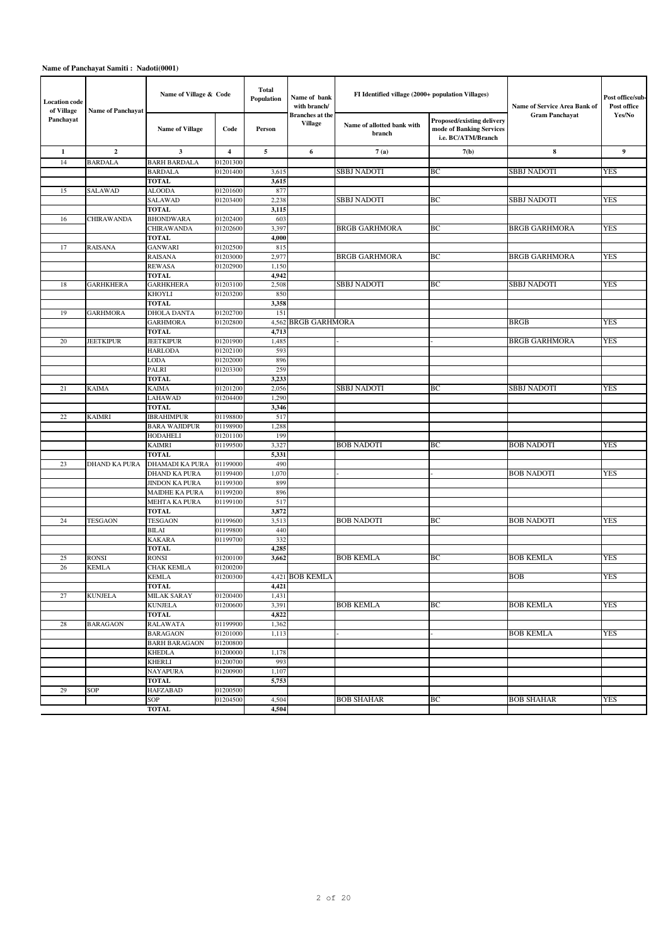#### **Name of Panchayat Samiti : Nadoti(0001)**

| <b>Location code</b><br>of Village | <b>Name of Panchayat</b> | Name of Village & Code |                      | <b>Total</b><br>Population | Name of bank<br>with branch/             | FI Identified village (2000+ population Villages) |                                                                              | Name of Service Area Bank of | Post office/sub-<br>Post office |
|------------------------------------|--------------------------|------------------------|----------------------|----------------------------|------------------------------------------|---------------------------------------------------|------------------------------------------------------------------------------|------------------------------|---------------------------------|
| Panchayat                          |                          | <b>Name of Village</b> | Code                 | Person                     | <b>Branches</b> at the<br><b>Village</b> | Name of allotted bank with<br>branch              | Proposed/existing delivery<br>mode of Banking Services<br>i.e. BC/ATM/Branch | <b>Gram Panchayat</b>        | Yes/No                          |
| 1                                  | $\overline{2}$           | 3                      | 4                    | 5                          | 6                                        | 7(a)                                              | 7(b)                                                                         | 8                            | 9                               |
| 14                                 | <b>BARDALA</b>           | <b>BARH BARDALA</b>    | 01201300             |                            |                                          |                                                   |                                                                              |                              |                                 |
|                                    |                          | <b>BARDALA</b>         | 01201400             | 3,615                      |                                          | <b>SBBJ NADOTI</b>                                | BC                                                                           | SBBJ NADOTI                  | <b>YES</b>                      |
|                                    |                          | <b>TOTAL</b>           |                      | 3,615                      |                                          |                                                   |                                                                              |                              |                                 |
| 15                                 | SALAWAD                  | <b>ALOODA</b>          | 01201600             | 877                        |                                          |                                                   |                                                                              |                              |                                 |
|                                    |                          | <b>SALAWAD</b>         | 01203400             | 2,238                      |                                          | <b>SBBJ NADOTI</b>                                | BC                                                                           | <b>SBBJ NADOTI</b>           | <b>YES</b>                      |
|                                    |                          | <b>TOTAL</b>           |                      | 3,115                      |                                          |                                                   |                                                                              |                              |                                 |
| 16                                 | <b>CHIRAWANDA</b>        | <b>BHONDWARA</b>       | 01202400             | 603                        |                                          |                                                   |                                                                              |                              |                                 |
|                                    |                          | <b>CHIRAWANDA</b>      | 01202600             | 3,397                      |                                          | <b>BRGB GARHMORA</b>                              | ВC                                                                           | <b>BRGB GARHMORA</b>         | <b>YES</b>                      |
|                                    |                          | <b>TOTAL</b>           |                      | 4,000                      |                                          |                                                   |                                                                              |                              |                                 |
| 17                                 | <b>RAISANA</b>           | <b>GANWARI</b>         | 01202500             | 815                        |                                          |                                                   |                                                                              |                              |                                 |
|                                    |                          | RAISANA                | 01203000             | 2,977                      |                                          | <b>BRGB GARHMORA</b>                              | ВC                                                                           | <b>BRGB GARHMORA</b>         | <b>YES</b>                      |
|                                    |                          | <b>REWASA</b>          | 01202900             | 1,150                      |                                          |                                                   |                                                                              |                              |                                 |
|                                    |                          | <b>TOTAL</b>           |                      | 4,942                      |                                          |                                                   |                                                                              |                              |                                 |
| 18                                 | <b>GARHKHERA</b>         | <b>GARHKHERA</b>       | 01203100             | 2,508                      |                                          | <b>SBBJ NADOTI</b>                                | ВC                                                                           | SBBJ NADOTI                  | <b>YES</b>                      |
|                                    |                          | <b>KHOYLI</b>          | 01203200             | 850                        |                                          |                                                   |                                                                              |                              |                                 |
|                                    |                          | <b>TOTAL</b>           |                      | 3,358                      |                                          |                                                   |                                                                              |                              |                                 |
| 19                                 | <b>GARHMORA</b>          | <b>DHOLA DANTA</b>     | 01202700             | 151                        | <b>BRGB GARHMORA</b>                     |                                                   |                                                                              |                              |                                 |
|                                    |                          | <b>GARHMORA</b>        | 01202800             | 4,562                      |                                          |                                                   |                                                                              | <b>BRGB</b>                  | <b>YES</b>                      |
| 20                                 | <b>JEETKIPUR</b>         | <b>TOTAL</b>           |                      | 4,713<br>1,485             |                                          |                                                   |                                                                              | <b>BRGB GARHMORA</b>         | <b>YES</b>                      |
|                                    |                          | <b>JEETKIPUR</b>       | 01201900             |                            |                                          |                                                   |                                                                              |                              |                                 |
|                                    |                          | <b>HARLODA</b><br>LODA | 01202100<br>01202000 | 593<br>896                 |                                          |                                                   |                                                                              |                              |                                 |
|                                    |                          | PALRI                  | 01203300             | 259                        |                                          |                                                   |                                                                              |                              |                                 |
|                                    |                          | <b>TOTAL</b>           |                      | 3,233                      |                                          |                                                   |                                                                              |                              |                                 |
| 21                                 | <b>KAIMA</b>             | KAIMA                  | 01201200             | 2,056                      |                                          | <b>SBBJ NADOTI</b>                                | BC                                                                           | <b>SBBJ NADOTI</b>           | <b>YES</b>                      |
|                                    |                          | LAHAWAD                | 01204400             | 1,290                      |                                          |                                                   |                                                                              |                              |                                 |
|                                    |                          | <b>TOTAL</b>           |                      | 3,346                      |                                          |                                                   |                                                                              |                              |                                 |
| $22\,$                             | <b>KAIMRI</b>            | <b>IBRAHIMPUR</b>      | 01198800             | 517                        |                                          |                                                   |                                                                              |                              |                                 |
|                                    |                          | <b>BARA WAJIDPUR</b>   | 01198900             | 1,288                      |                                          |                                                   |                                                                              |                              |                                 |
|                                    |                          | <b>HODAHELI</b>        | 01201100             | 199                        |                                          |                                                   |                                                                              |                              |                                 |
|                                    |                          | KAIMRI                 | 01199500             | 3,327                      |                                          | <b>BOB NADOTI</b>                                 | ВC                                                                           | <b>BOB NADOTI</b>            | <b>YES</b>                      |
|                                    |                          | <b>TOTAL</b>           |                      | 5,331                      |                                          |                                                   |                                                                              |                              |                                 |
| 23                                 | DHAND KA PURA            | DHAMADI KA PURA        | 01199000             | 490                        |                                          |                                                   |                                                                              |                              |                                 |
|                                    |                          | DHAND KA PURA          | 01199400             | 1,070                      |                                          |                                                   |                                                                              | <b>BOB NADOTI</b>            | <b>YES</b>                      |
|                                    |                          | <b>JINDON KA PURA</b>  | 01199300             | 899                        |                                          |                                                   |                                                                              |                              |                                 |
|                                    |                          | MAIDHE KA PURA         | 01199200             | 896                        |                                          |                                                   |                                                                              |                              |                                 |
|                                    |                          | MEHTA KA PURA          | 01199100             | 517                        |                                          |                                                   |                                                                              |                              |                                 |
|                                    |                          | <b>TOTAL</b>           |                      | 3,872                      |                                          |                                                   |                                                                              |                              |                                 |
| 24                                 | <b>TESGAON</b>           | <b>TESGAON</b>         | 01199600             | 3,513                      |                                          | <b>BOB NADOTI</b>                                 | ВC                                                                           | <b>BOB NADOTI</b>            | <b>YES</b>                      |
|                                    |                          | BILAI                  | 01199800             | 440                        |                                          |                                                   |                                                                              |                              |                                 |
|                                    |                          | <b>KAKARA</b>          | 01199700             | 332                        |                                          |                                                   |                                                                              |                              |                                 |
|                                    |                          | <b>TOTAL</b>           |                      | 4,285                      |                                          |                                                   |                                                                              |                              |                                 |
| 25                                 | <b>RONSI</b>             | <b>RONSI</b>           | 01200100             | 3,662                      |                                          | <b>BOB KEMLA</b>                                  | BC                                                                           | <b>BOB KEMLA</b>             | <b>YES</b>                      |
| 26                                 | <b>KEMLA</b>             | <b>CHAK KEMLA</b>      | 01200200             |                            |                                          |                                                   |                                                                              |                              |                                 |
|                                    |                          | <b>KEMLA</b>           | 01200300             |                            | 4.421 BOB KEMLA                          |                                                   |                                                                              | <b>BOB</b>                   | <b>YES</b>                      |
|                                    |                          | TOTAL                  |                      | 4,421                      |                                          |                                                   |                                                                              |                              |                                 |
| 27                                 | <b>KUNJELA</b>           | <b>MILAK SARAY</b>     | 01200400             | 1,431                      |                                          |                                                   |                                                                              |                              |                                 |
|                                    |                          | <b>KUNJELA</b>         | 01200600             | 3,391                      |                                          | <b>BOB KEMLA</b>                                  | BC                                                                           | <b>BOB KEMLA</b>             | <b>YES</b>                      |
|                                    |                          | TOTAL                  |                      | 4,822                      |                                          |                                                   |                                                                              |                              |                                 |
| 28                                 | <b>BARAGAON</b>          | RALAWATA               | 01199900             | 1,362                      |                                          |                                                   |                                                                              |                              |                                 |
|                                    |                          | <b>BARAGAON</b>        | 01201000             | 1,113                      |                                          |                                                   |                                                                              | <b>BOB KEMLA</b>             | <b>YES</b>                      |
|                                    |                          | <b>BARH BARAGAON</b>   | 01200800             |                            |                                          |                                                   |                                                                              |                              |                                 |
|                                    |                          | <b>KHEDLA</b>          | 01200000<br>01200700 | 1,178<br>993               |                                          |                                                   |                                                                              |                              |                                 |
|                                    |                          | KHERLI<br>NAYAPURA     | 01200900             | 1,107                      |                                          |                                                   |                                                                              |                              |                                 |
|                                    |                          | TOTAL                  |                      | 5,753                      |                                          |                                                   |                                                                              |                              |                                 |
| 29                                 | SOP                      | <b>HAFZABAD</b>        | 01200500             |                            |                                          |                                                   |                                                                              |                              |                                 |
|                                    |                          | SOP                    | 01204500             | 4,504                      |                                          | <b>BOB SHAHAR</b>                                 | ВC                                                                           | <b>BOB SHAHAR</b>            | <b>YES</b>                      |
|                                    |                          | <b>TOTAL</b>           |                      | 4,504                      |                                          |                                                   |                                                                              |                              |                                 |
|                                    |                          |                        |                      |                            |                                          |                                                   |                                                                              |                              |                                 |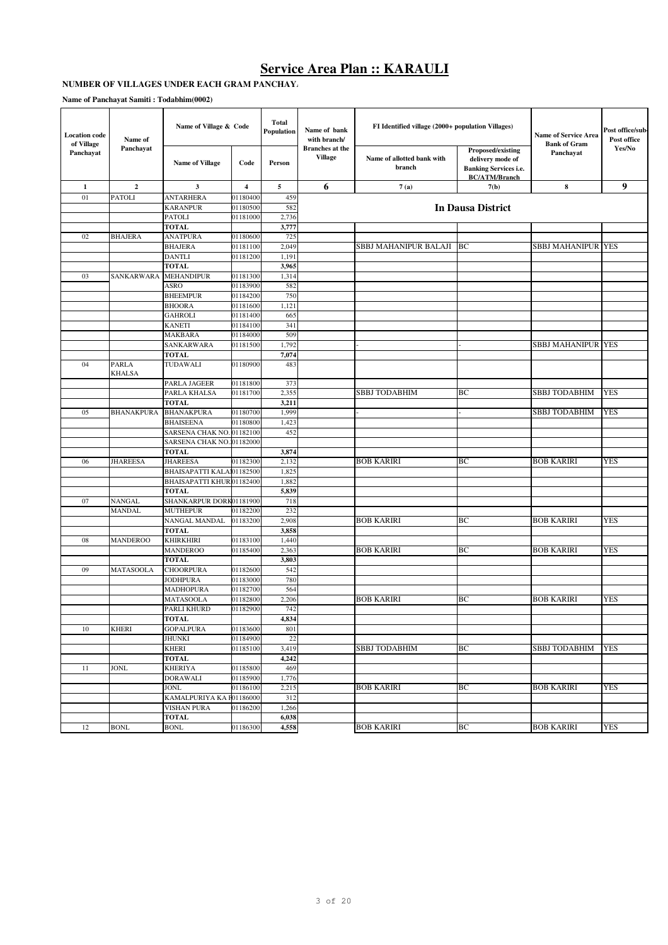## **NUMBER OF VILLAGES UNDER EACH GRAM PANCHAY**

| <b>Location</b> code<br>of Village | Name of         | Name of Village & Code    |          | Total<br>Population | Name of bank<br>with branch/      | FI Identified village (2000+ population Villages) |                                                                                               | Name of Service Area<br><b>Bank of Gram</b> | Post office/sub-<br>Post office |
|------------------------------------|-----------------|---------------------------|----------|---------------------|-----------------------------------|---------------------------------------------------|-----------------------------------------------------------------------------------------------|---------------------------------------------|---------------------------------|
| Panchayat                          | Panchayat       | <b>Name of Village</b>    | Code     | Person              | <b>Branches</b> at the<br>Village | Name of allotted bank with<br>branch              | Proposed/existing<br>delivery mode of<br><b>Banking Services i.e.</b><br><b>BC/ATM/Branch</b> | Panchayat                                   | Yes/No                          |
| $\mathbf{1}$                       | $\mathbf{2}$    | 3                         | 4        | 5                   | 6                                 | 7(a)                                              | 7(b)                                                                                          | 8                                           | 9                               |
| 01                                 | PATOLI          | <b>ANTARHERA</b>          | 01180400 | 459                 |                                   |                                                   |                                                                                               |                                             |                                 |
|                                    |                 | <b>KARANPUR</b>           | 01180500 | 582                 |                                   |                                                   | In Dausa District                                                                             |                                             |                                 |
|                                    |                 | <b>PATOLI</b>             | 01181000 | 2,736               |                                   |                                                   |                                                                                               |                                             |                                 |
|                                    |                 | <b>TOTAL</b>              |          | 3,777               |                                   |                                                   |                                                                                               |                                             |                                 |
| 02                                 | <b>BHAJERA</b>  | <b>ANATPURA</b>           | 01180600 | 725                 |                                   |                                                   |                                                                                               |                                             |                                 |
|                                    |                 | <b>BHAJERA</b>            | 01181100 | 2,049               |                                   | SBBJ MAHANIPUR BALAJI                             | BC                                                                                            | <b>SBBJ MAHANIPUR YES</b>                   |                                 |
|                                    |                 | <b>DANTLI</b>             | 01181200 | 1,191               |                                   |                                                   |                                                                                               |                                             |                                 |
|                                    |                 | <b>TOTAL</b>              |          | 3,965               |                                   |                                                   |                                                                                               |                                             |                                 |
| 03                                 | SANKARWARA      | <b>MEHANDIPUR</b>         | 01181300 | 1,314               |                                   |                                                   |                                                                                               |                                             |                                 |
|                                    |                 | ASRO                      | 01183900 | 582                 |                                   |                                                   |                                                                                               |                                             |                                 |
|                                    |                 | <b>BHEEMPUR</b>           | 01184200 | 750                 |                                   |                                                   |                                                                                               |                                             |                                 |
|                                    |                 | <b>BHOORA</b>             | 01181600 | 1,121               |                                   |                                                   |                                                                                               |                                             |                                 |
|                                    |                 | <b>GAHROLI</b>            | 01181400 | 665                 |                                   |                                                   |                                                                                               |                                             |                                 |
|                                    |                 | <b>KANETI</b>             | 01184100 | 341                 |                                   |                                                   |                                                                                               |                                             |                                 |
|                                    |                 | MAKBARA                   | 01184000 | 509                 |                                   |                                                   |                                                                                               |                                             |                                 |
|                                    |                 | SANKARWARA                | 01181500 | 1,792               |                                   |                                                   |                                                                                               | <b>SBBJ MAHANIPUR YES</b>                   |                                 |
|                                    |                 | <b>TOTAL</b>              |          | 7,074               |                                   |                                                   |                                                                                               |                                             |                                 |
| 04                                 | PARLA<br>KHALSA | TUDAWALI                  | 01180900 | 483                 |                                   |                                                   |                                                                                               |                                             |                                 |
|                                    |                 | PARLA JAGEER              | 01181800 | 373                 |                                   |                                                   |                                                                                               |                                             |                                 |
|                                    |                 | PARLA KHALSA              | 01181700 | 2,355               |                                   | <b>SBBJ TODABHIM</b>                              | BС                                                                                            | <b>SBBJ TODABHIM</b>                        | <b>YES</b>                      |
|                                    |                 | <b>TOTAL</b>              |          | 3,211               |                                   |                                                   |                                                                                               |                                             |                                 |
| 05                                 | BHANAKPURA      | <b>BHANAKPURA</b>         | 01180700 | 1,999               |                                   |                                                   |                                                                                               | <b>SBBJ TODABHIM</b>                        | <b>YES</b>                      |
|                                    |                 | <b>BHAISEENA</b>          | 01180800 | 1,423               |                                   |                                                   |                                                                                               |                                             |                                 |
|                                    |                 | SARSENA CHAK NO. 01182100 |          | 452                 |                                   |                                                   |                                                                                               |                                             |                                 |
|                                    |                 | SARSENA CHAK NO.01182000  |          |                     |                                   |                                                   |                                                                                               |                                             |                                 |
|                                    |                 | <b>TOTAL</b>              |          | 3,874               |                                   |                                                   |                                                                                               |                                             |                                 |
| 06                                 | <b>JHAREESA</b> | <b>JHAREESA</b>           | 01182300 | 2,132               |                                   | <b>BOB KARIRI</b>                                 | ВC                                                                                            | <b>BOB KARIRI</b>                           | <b>YES</b>                      |
|                                    |                 | BHAISAPATTI KALAI01182500 |          | 1,825               |                                   |                                                   |                                                                                               |                                             |                                 |
|                                    |                 | BHAISAPATTI KHURD1182400  |          | 1,882               |                                   |                                                   |                                                                                               |                                             |                                 |
|                                    |                 | <b>TOTAL</b>              |          | 5,839               |                                   |                                                   |                                                                                               |                                             |                                 |
| 07                                 | NANGAL          | SHANKARPUR DORK01181900   |          | 718                 |                                   |                                                   |                                                                                               |                                             |                                 |
|                                    | MANDAL          | <b>MUTHEPUR</b>           | 01182200 | 232                 |                                   |                                                   |                                                                                               |                                             |                                 |
|                                    |                 | NANGAL MANDAL             | 01183200 | 2,908               |                                   | <b>BOB KARIRI</b>                                 | ВC                                                                                            | <b>BOB KARIRI</b>                           | <b>YES</b>                      |
|                                    |                 | <b>TOTAL</b>              |          | 3,858               |                                   |                                                   |                                                                                               |                                             |                                 |
| 08                                 | <b>MANDEROO</b> | <b>KHIRKHIRI</b>          | 01183100 | 1,440               |                                   |                                                   |                                                                                               |                                             |                                 |
|                                    |                 | <b>MANDEROO</b>           | 01185400 | 2,363               |                                   | <b>BOB KARIRI</b>                                 | ВC                                                                                            | <b>BOB KARIRI</b>                           | <b>YES</b>                      |
|                                    |                 | <b>TOTAL</b>              |          | 3,803               |                                   |                                                   |                                                                                               |                                             |                                 |
| 09                                 | MATASOOLA       | <b>CHOORPURA</b>          | 01182600 | 542                 |                                   |                                                   |                                                                                               |                                             |                                 |
|                                    |                 | <b>JODHPURA</b>           | 01183000 | 780                 |                                   |                                                   |                                                                                               |                                             |                                 |
|                                    |                 | <b>MADHOPURA</b>          | 01182700 | 564                 |                                   |                                                   |                                                                                               |                                             |                                 |
|                                    |                 | <b>MATASOOLA</b>          | 01182800 | 2,206               |                                   | <b>BOB KARIRI</b>                                 | BC                                                                                            | <b>BOB KARIRI</b>                           | <b>YES</b>                      |
|                                    |                 | PARLI KHURD               | 01182900 | 742                 |                                   |                                                   |                                                                                               |                                             |                                 |
|                                    |                 | <b>TOTAL</b>              |          | 4,834               |                                   |                                                   |                                                                                               |                                             |                                 |
| 10                                 | <b>KHERI</b>    | <b>GOPALPURA</b>          | 01183600 | 801                 |                                   |                                                   |                                                                                               |                                             |                                 |
|                                    |                 | <b>JHUNKI</b>             | 01184900 | 22                  |                                   |                                                   |                                                                                               |                                             |                                 |
|                                    |                 | <b>KHERI</b>              | 01185100 | 3,419               |                                   | <b>SBBJ TODABHIM</b>                              | BС                                                                                            | <b>SBBJ TODABHIM</b>                        | <b>YES</b>                      |
|                                    |                 | <b>TOTAL</b>              |          | 4,242               |                                   |                                                   |                                                                                               |                                             |                                 |
| 11                                 | <b>JONL</b>     | <b>KHERIYA</b>            | 01185800 | 469                 |                                   |                                                   |                                                                                               |                                             |                                 |
|                                    |                 | <b>DORAWALI</b>           | 01185900 | 1,776               |                                   |                                                   |                                                                                               |                                             |                                 |
|                                    |                 | <b>JONL</b>               | 01186100 | 2,215               |                                   | <b>BOB KARIRI</b>                                 | ВC                                                                                            | <b>BOB KARIRI</b>                           | <b>YES</b>                      |
|                                    |                 | KAMALPURIYA KA P01186000  |          | 312                 |                                   |                                                   |                                                                                               |                                             |                                 |
|                                    |                 | <b>VISHAN PURA</b>        | 01186200 | 1,266               |                                   |                                                   |                                                                                               |                                             |                                 |
|                                    |                 | <b>TOTAL</b>              |          | 6,038               |                                   |                                                   |                                                                                               |                                             |                                 |
| 12                                 | <b>BONL</b>     | <b>BONL</b>               | 01186300 | 4,558               |                                   | <b>BOB KARIRI</b>                                 | ВC                                                                                            | <b>BOB KARIRI</b>                           | <b>YES</b>                      |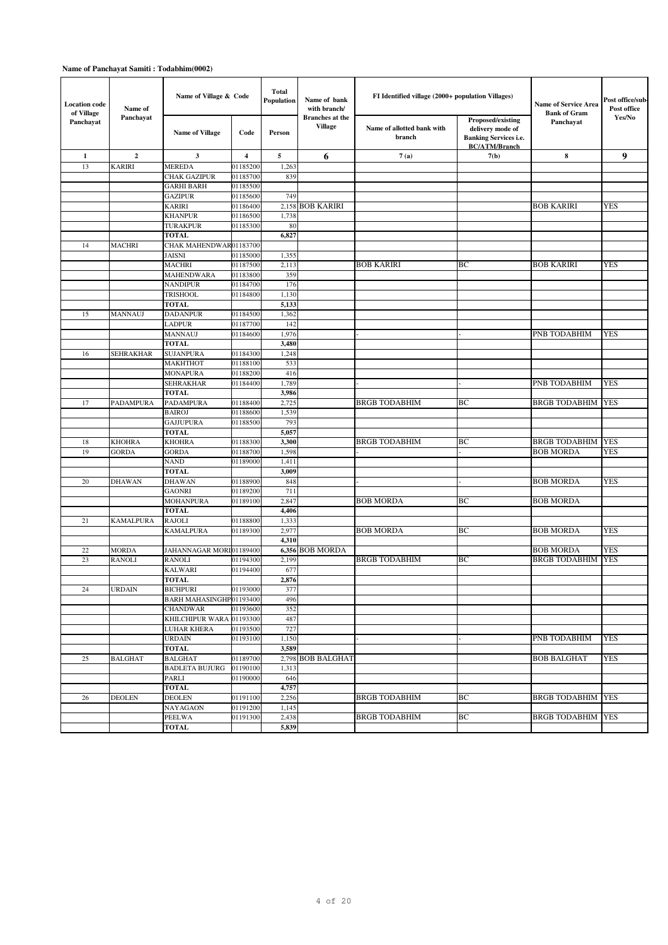| <b>Location code</b><br>of Village | Name of          | Name of Village & Code                     |                | Total<br>Population | Name of bank<br>with branch/             | FI Identified village (2000+ population Villages) |                                                                                               | Name of Service Area<br><b>Bank of Gram</b> | Post office/sub<br>Post office |
|------------------------------------|------------------|--------------------------------------------|----------------|---------------------|------------------------------------------|---------------------------------------------------|-----------------------------------------------------------------------------------------------|---------------------------------------------|--------------------------------|
| Panchayat                          | Panchayat        | <b>Name of Village</b>                     | Code           | Person              | <b>Branches</b> at the<br><b>Village</b> | Name of allotted bank with<br>branch              | Proposed/existing<br>delivery mode of<br><b>Banking Services i.e.</b><br><b>BC/ATM/Branch</b> | Panchayat                                   | Yes/No                         |
| $\mathbf{1}$                       | $\overline{2}$   | 3                                          | $\overline{4}$ | 5                   | 6                                        | 7(a)                                              | 7(b)                                                                                          | 8                                           | 9                              |
| 13                                 | <b>KARIRI</b>    | <b>MEREDA</b>                              | 01185200       | 1,263               |                                          |                                                   |                                                                                               |                                             |                                |
|                                    |                  | <b>CHAK GAZIPUR</b>                        | 01185700       | 839                 |                                          |                                                   |                                                                                               |                                             |                                |
|                                    |                  | <b>GARHI BARH</b>                          | 01185500       |                     |                                          |                                                   |                                                                                               |                                             |                                |
|                                    |                  | <b>GAZIPUR</b>                             | 01185600       | 749                 |                                          |                                                   |                                                                                               |                                             |                                |
|                                    |                  | <b>KARIRI</b>                              | 01186400       |                     | 2,158 BOB KARIRI                         |                                                   |                                                                                               | <b>BOB KARIRI</b>                           | <b>YES</b>                     |
|                                    |                  | <b>KHANPUR</b>                             | 01186500       | 1,738               |                                          |                                                   |                                                                                               |                                             |                                |
|                                    |                  | <b>TURAKPUR</b><br><b>TOTAL</b>            | 01185300       | 80<br>6,827         |                                          |                                                   |                                                                                               |                                             |                                |
| 14                                 | <b>MACHRI</b>    | CHAK MAHENDWAR01183700                     |                |                     |                                          |                                                   |                                                                                               |                                             |                                |
|                                    |                  | <b>JAISNI</b>                              | 01185000       | 1,355               |                                          |                                                   |                                                                                               |                                             |                                |
|                                    |                  | <b>MACHRI</b>                              | 01187500       | 2,113               |                                          | <b>BOB KARIRI</b>                                 | BC                                                                                            | <b>BOB KARIRI</b>                           | <b>YES</b>                     |
|                                    |                  | <b>MAHENDWARA</b>                          | 01183800       | 359                 |                                          |                                                   |                                                                                               |                                             |                                |
|                                    |                  | <b>NANDIPUR</b>                            | 01184700       | 176                 |                                          |                                                   |                                                                                               |                                             |                                |
|                                    |                  | <b>TRISHOOL</b>                            | 01184800       | 1,130               |                                          |                                                   |                                                                                               |                                             |                                |
|                                    |                  | <b>TOTAL</b>                               |                | 5,133               |                                          |                                                   |                                                                                               |                                             |                                |
| 15                                 | <b>MANNAUJ</b>   | <b>DADANPUR</b>                            | 01184500       | 1,362               |                                          |                                                   |                                                                                               |                                             |                                |
|                                    |                  | <b>LADPUR</b>                              | 01187700       | 142                 |                                          |                                                   |                                                                                               |                                             |                                |
|                                    |                  | MANNAUJ                                    | 01184600       | 1,976               |                                          |                                                   |                                                                                               | PNB TODABHIM                                | <b>YES</b>                     |
|                                    |                  | <b>TOTAL</b>                               |                | 3,480               |                                          |                                                   |                                                                                               |                                             |                                |
| 16                                 | <b>SEHRAKHAR</b> | <b>SUJANPURA</b>                           | 01184300       | 1,248               |                                          |                                                   |                                                                                               |                                             |                                |
|                                    |                  | MAKHTHOT                                   | 01188100       | 533                 |                                          |                                                   |                                                                                               |                                             |                                |
|                                    |                  | <b>MONAPURA</b>                            | 01188200       | 416                 |                                          |                                                   |                                                                                               |                                             |                                |
|                                    |                  | <b>SEHRAKHAR</b>                           | 01184400       | 1,789               |                                          |                                                   |                                                                                               | <b>PNB TODABHIM</b>                         | <b>YES</b>                     |
|                                    |                  | <b>TOTAL</b>                               |                | 3,986               |                                          |                                                   |                                                                                               |                                             |                                |
| 17                                 | PADAMPURA        | PADAMPURA                                  | 01188400       | 2,725               |                                          | <b>BRGB TODABHIM</b>                              | BC                                                                                            | <b>BRGB TODABHIM</b>                        | <b>YES</b>                     |
|                                    |                  | <b>BAIROJ</b>                              | 01188600       | 1,539               |                                          |                                                   |                                                                                               |                                             |                                |
|                                    |                  | <b>GAJJUPURA</b><br><b>TOTAL</b>           | 01188500       | 793<br>5,057        |                                          |                                                   |                                                                                               |                                             |                                |
| 18                                 | <b>KHOHRA</b>    | <b>KHOHRA</b>                              | 01188300       | 3,300               |                                          | <b>BRGB TODABHIM</b>                              | BC                                                                                            | <b>BRGB TODABHIM</b>                        | <b>YES</b>                     |
| 19                                 | <b>GORDA</b>     | <b>GORDA</b>                               | 01188700       | 1,598               |                                          |                                                   |                                                                                               | <b>BOB MORDA</b>                            | <b>YES</b>                     |
|                                    |                  | <b>NAND</b>                                | 01189000       | 1,411               |                                          |                                                   |                                                                                               |                                             |                                |
|                                    |                  | <b>TOTAL</b>                               |                | 3,009               |                                          |                                                   |                                                                                               |                                             |                                |
| 20                                 | <b>DHAWAN</b>    | <b>DHAWAN</b>                              | 01188900       | 848                 |                                          |                                                   |                                                                                               | <b>BOB MORDA</b>                            | <b>YES</b>                     |
|                                    |                  | <b>GAONRI</b>                              | 01189200       | 711                 |                                          |                                                   |                                                                                               |                                             |                                |
|                                    |                  | <b>MOHANPURA</b>                           | 01189100       | 2,847               |                                          | <b>BOB MORDA</b>                                  | BC                                                                                            | <b>BOB MORDA</b>                            |                                |
|                                    |                  | <b>TOTAL</b>                               |                | 4,406               |                                          |                                                   |                                                                                               |                                             |                                |
| 21                                 | <b>KAMALPURA</b> | <b>RAJOLI</b>                              | 01188800       | 1,333               |                                          |                                                   |                                                                                               |                                             |                                |
|                                    |                  | <b>KAMALPURA</b>                           | 01189300       | 2,977               |                                          | <b>BOB MORDA</b>                                  | BC                                                                                            | <b>BOB MORDA</b>                            | <b>YES</b>                     |
|                                    |                  |                                            |                | 4,310               |                                          |                                                   |                                                                                               |                                             |                                |
| 22                                 | <b>MORDA</b>     | JAHANNAGAR MORID1189400                    |                |                     | 6,356 BOB MORDA                          |                                                   |                                                                                               | <b>BOB MORDA</b>                            | <b>YES</b>                     |
| 23                                 | <b>RANOLI</b>    | <b>RANOLI</b>                              | 01194300       | 2,199               |                                          | <b>BRGB TODABHIM</b>                              | BC                                                                                            | <b>BRGB TODABHIM</b>                        | <b>YES</b>                     |
|                                    |                  | <b>KALWARI</b><br><b>TOTAL</b>             | 01194400       | 677                 |                                          |                                                   |                                                                                               |                                             |                                |
|                                    |                  |                                            |                | 2.876               |                                          |                                                   |                                                                                               |                                             |                                |
| 24                                 | <b>URDAIN</b>    | <b>BICHPURI</b><br>BARH MAHASINGHP01193400 | 01193000       | 377<br>496          |                                          |                                                   |                                                                                               |                                             |                                |
|                                    |                  | <b>CHANDWAR</b>                            | 01193600       | 352                 |                                          |                                                   |                                                                                               |                                             |                                |
|                                    |                  | KHILCHIPUR WARA                            | 01193300       | 487                 |                                          |                                                   |                                                                                               |                                             |                                |
|                                    |                  | <b>LUHAR KHERA</b>                         | 01193500       | 727                 |                                          |                                                   |                                                                                               |                                             |                                |
|                                    |                  | <b>URDAIN</b>                              | 01193100       | 1,150               |                                          |                                                   |                                                                                               | PNB TODABHIM                                | <b>YES</b>                     |
|                                    |                  | <b>TOTAL</b>                               |                | 3,589               |                                          |                                                   |                                                                                               |                                             |                                |
| 25                                 | <b>BALGHAT</b>   | <b>BALGHAT</b>                             | 01189700       | 2,798               | <b>BOB BALGHAT</b>                       |                                                   |                                                                                               | <b>BOB BALGHAT</b>                          | <b>YES</b>                     |
|                                    |                  | <b>BADLETA BUJURG</b>                      | 01190100       | 1,313               |                                          |                                                   |                                                                                               |                                             |                                |
|                                    |                  | PARLI                                      | 01190000       | 646                 |                                          |                                                   |                                                                                               |                                             |                                |
|                                    |                  | <b>TOTAL</b>                               |                | 4,757               |                                          |                                                   |                                                                                               |                                             |                                |
| 26                                 | <b>DEOLEN</b>    | <b>DEOLEN</b>                              | 01191100       | 2,256               |                                          | <b>BRGB TODABHIM</b>                              | ВC                                                                                            | <b>BRGB TODABHIM YES</b>                    |                                |
|                                    |                  | <b>NAYAGAON</b>                            | 01191200       | 1,145               |                                          |                                                   |                                                                                               |                                             |                                |
|                                    |                  | <b>PEELWA</b>                              | 01191300       | 2,438               |                                          | <b>BRGB TODABHIM</b>                              | BС                                                                                            | <b>BRGB TODABHIM YES</b>                    |                                |
|                                    |                  | <b>TOTAL</b>                               |                | 5,839               |                                          |                                                   |                                                                                               |                                             |                                |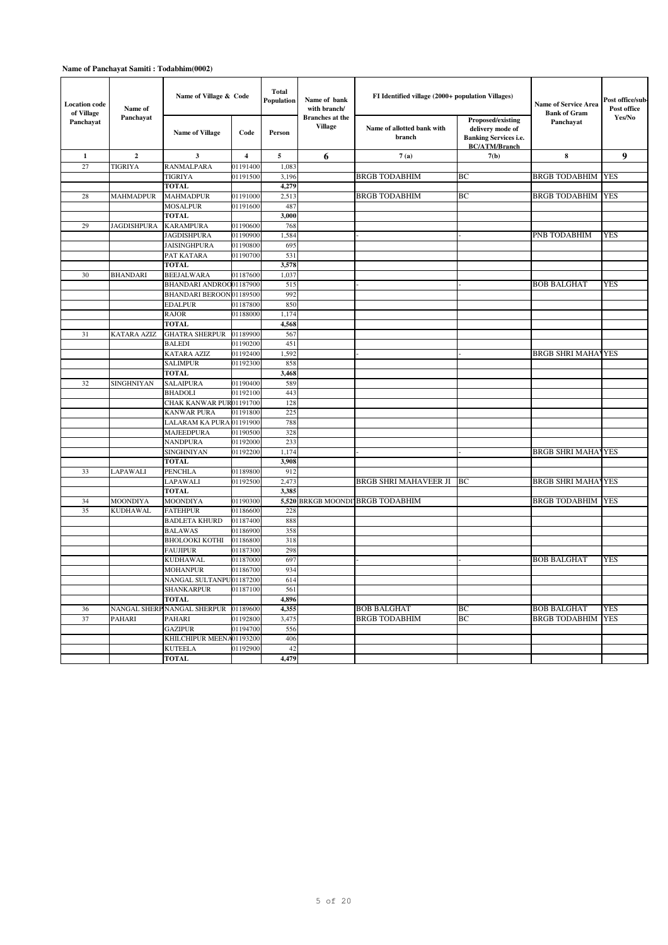| <b>Location code</b><br>of Village | Name of            | Name of Village & Code                     |                      | Total<br>Population | Name of bank<br>with branch/             | FI Identified village (2000+ population Villages) |                                                                                               | <b>Name of Service Area</b><br><b>Bank of Gram</b> | Post office/sub<br>Post office |
|------------------------------------|--------------------|--------------------------------------------|----------------------|---------------------|------------------------------------------|---------------------------------------------------|-----------------------------------------------------------------------------------------------|----------------------------------------------------|--------------------------------|
| Panchayat                          | Panchayat          | <b>Name of Village</b>                     | Code                 | Person              | <b>Branches</b> at the<br><b>Village</b> | Name of allotted bank with<br>branch              | Proposed/existing<br>delivery mode of<br><b>Banking Services i.e.</b><br><b>BC/ATM/Branch</b> | Panchayat                                          | Yes/No                         |
| $\mathbf{1}$                       | $\overline{2}$     | 3                                          | $\overline{4}$       | 5                   | 6                                        | 7(a)                                              | 7(b)                                                                                          | 8                                                  | $\boldsymbol{9}$               |
| 27                                 | TIGRIYA            | <b>RANMALPARA</b>                          | 01191400             | 1,083               |                                          |                                                   |                                                                                               |                                                    |                                |
|                                    |                    | TIGRIYA                                    | 01191500             | 3,196               |                                          | <b>BRGB TODABHIM</b>                              | BC                                                                                            | <b>BRGB TODABHIM YES</b>                           |                                |
|                                    |                    | <b>TOTAL</b>                               |                      | 4,279               |                                          |                                                   |                                                                                               |                                                    |                                |
| 28                                 | <b>MAHMADPUR</b>   | <b>MAHMADPUR</b>                           | 01191000             | 2,513               |                                          | <b>BRGB TODABHIM</b>                              | BC                                                                                            | <b>BRGB TODABHIM YES</b>                           |                                |
|                                    |                    | <b>MOSALPUR</b>                            | 01191600             | 487                 |                                          |                                                   |                                                                                               |                                                    |                                |
|                                    |                    | <b>TOTAL</b>                               |                      | 3,000               |                                          |                                                   |                                                                                               |                                                    |                                |
| 29                                 | <b>JAGDISHPURA</b> | <b>KARAMPURA</b><br><b>JAGDISHPURA</b>     | 01190600<br>01190900 | 768<br>1,584        |                                          |                                                   |                                                                                               | PNB TODABHIM                                       | YES                            |
|                                    |                    | <b>JAISINGHPURA</b>                        | 01190800             | 695                 |                                          |                                                   |                                                                                               |                                                    |                                |
|                                    |                    | PAT KATARA                                 | 01190700             | 531                 |                                          |                                                   |                                                                                               |                                                    |                                |
|                                    |                    | <b>TOTAL</b>                               |                      | 3,578               |                                          |                                                   |                                                                                               |                                                    |                                |
| 30                                 | <b>BHANDARI</b>    | <b>BEEJALWARA</b>                          | 01187600             | 1,037               |                                          |                                                   |                                                                                               |                                                    |                                |
|                                    |                    | BHANDARI ANDROO01187900                    |                      | 515                 |                                          |                                                   |                                                                                               | <b>BOB BALGHAT</b>                                 | <b>YES</b>                     |
|                                    |                    | BHANDARI BEROOND1189500                    |                      | 992                 |                                          |                                                   |                                                                                               |                                                    |                                |
|                                    |                    | <b>EDALPUR</b>                             | 01187800             | 850                 |                                          |                                                   |                                                                                               |                                                    |                                |
|                                    |                    | <b>RAJOR</b>                               | 01188000             | 1,174               |                                          |                                                   |                                                                                               |                                                    |                                |
|                                    |                    | <b>TOTAL</b>                               |                      | 4,568               |                                          |                                                   |                                                                                               |                                                    |                                |
| 31                                 | KATARA AZIZ        | <b>GHATRA SHERPUR</b>                      | 01189900             | 567                 |                                          |                                                   |                                                                                               |                                                    |                                |
|                                    |                    | <b>BALEDI</b>                              | 01190200             | 451                 |                                          |                                                   |                                                                                               |                                                    |                                |
|                                    |                    | <b>KATARA AZIZ</b>                         | 01192400             | 1,592               |                                          |                                                   |                                                                                               | <b>BRGB SHRI MAHAVYES</b>                          |                                |
|                                    |                    | <b>SALIMPUR</b>                            | 01192300             | 858                 |                                          |                                                   |                                                                                               |                                                    |                                |
|                                    |                    | <b>TOTAL</b>                               |                      | 3,468               |                                          |                                                   |                                                                                               |                                                    |                                |
| 32                                 | SINGHNIYAN         | <b>SALAIPURA</b>                           | 01190400             | 589                 |                                          |                                                   |                                                                                               |                                                    |                                |
|                                    |                    | <b>BHADOLI</b>                             | 01192100             | 443                 |                                          |                                                   |                                                                                               |                                                    |                                |
|                                    |                    | CHAK KANWAR PUR01191700                    |                      | 128                 |                                          |                                                   |                                                                                               |                                                    |                                |
|                                    |                    | <b>KANWAR PURA</b>                         | 01191800             | 225<br>788          |                                          |                                                   |                                                                                               |                                                    |                                |
|                                    |                    | LALARAM KA PURA<br>MAJEEDPURA              | 01191900<br>01190500 | 328                 |                                          |                                                   |                                                                                               |                                                    |                                |
|                                    |                    | NANDPURA                                   | 01192000             | 233                 |                                          |                                                   |                                                                                               |                                                    |                                |
|                                    |                    | SINGHNIYAN                                 | 01192200             | 1,174               |                                          |                                                   |                                                                                               | <b>BRGB SHRI MAHAVYES</b>                          |                                |
|                                    |                    | <b>TOTAL</b>                               |                      | 3,908               |                                          |                                                   |                                                                                               |                                                    |                                |
| 33                                 | LAPAWALI           | <b>PENCHLA</b>                             | 01189800             | 912                 |                                          |                                                   |                                                                                               |                                                    |                                |
|                                    |                    | LAPAWALI                                   | 01192500             | 2,473               |                                          | BRGB SHRI MAHAVEER JI                             | BC                                                                                            | <b>BRGB SHRI MAHAYYES</b>                          |                                |
|                                    |                    | <b>TOTAL</b>                               |                      | 3,385               |                                          |                                                   |                                                                                               |                                                    |                                |
| 34                                 | MOONDIYA           | MOONDIYA                                   | 01190300             |                     |                                          | 5,520 BRKGB MOONDI BRGB TODABHIM                  |                                                                                               | <b>BRGB TODABHIM YES</b>                           |                                |
| 35                                 | <b>KUDHAWAL</b>    | <b>FATEHPUR</b>                            | 01186600             | 228                 |                                          |                                                   |                                                                                               |                                                    |                                |
|                                    |                    | <b>BADLETA KHURD</b>                       | 01187400             | 888                 |                                          |                                                   |                                                                                               |                                                    |                                |
|                                    |                    | <b>BALAWAS</b>                             | 01186900             | 358                 |                                          |                                                   |                                                                                               |                                                    |                                |
|                                    |                    | ВНОLООКІ КОТНІ                             | 01186800             | 318                 |                                          |                                                   |                                                                                               |                                                    |                                |
|                                    |                    | <b>FAUJIPUR</b>                            | 01187300             | 298                 |                                          |                                                   |                                                                                               |                                                    |                                |
|                                    |                    | <b>KUDHAWAL</b>                            | 01187000             | 697                 |                                          |                                                   |                                                                                               | <b>BOB BALGHAT</b>                                 | YES                            |
|                                    |                    | <b>MOHANPUR</b><br>NANGAL SULTANPU01187200 | 01186700             | 934<br>614          |                                          |                                                   |                                                                                               |                                                    |                                |
|                                    |                    | <b>SHANKARPUR</b>                          | 01187100             | 561                 |                                          |                                                   |                                                                                               |                                                    |                                |
|                                    |                    | <b>TOTAL</b>                               |                      | 4,896               |                                          |                                                   |                                                                                               |                                                    |                                |
| 36                                 |                    | NANGAL SHERP NANGAL SHERPUR                | 01189600             | 4,355               |                                          | <b>BOB BALGHAT</b>                                | BC                                                                                            | <b>BOB BALGHAT</b>                                 | YES                            |
| 37                                 | PAHARI             | PAHARI                                     | 01192800             | 3,475               |                                          | <b>BRGB TODABHIM</b>                              | BC                                                                                            | <b>BRGB TODABHIM</b>                               | <b>YES</b>                     |
|                                    |                    | <b>GAZIPUR</b>                             | 01194700             | 556                 |                                          |                                                   |                                                                                               |                                                    |                                |
|                                    |                    | KHILCHIPUR MEEN                            | 401193200            | 406                 |                                          |                                                   |                                                                                               |                                                    |                                |
|                                    |                    | <b>KUTEELA</b>                             | 01192900             | 42                  |                                          |                                                   |                                                                                               |                                                    |                                |
|                                    |                    | <b>TOTAL</b>                               |                      | 4,479               |                                          |                                                   |                                                                                               |                                                    |                                |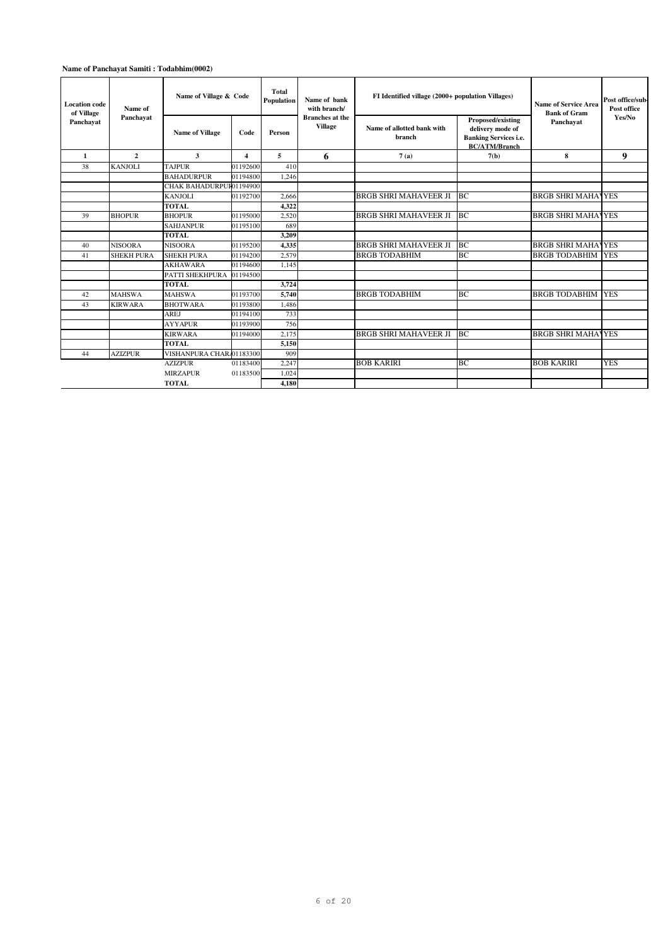| <b>Location code</b><br>of Village<br>Panchavat | Name of           | Name of Village & Code   |                         | <b>Total</b><br>Name of bank<br>Population<br>with branch/ |                                          | FI Identified village (2000+ population Villages) |                                                                                               | Name of Service Area<br><b>Bank of Gram</b> | Post office/sub-<br>Post office<br>Yes/No |  |
|-------------------------------------------------|-------------------|--------------------------|-------------------------|------------------------------------------------------------|------------------------------------------|---------------------------------------------------|-----------------------------------------------------------------------------------------------|---------------------------------------------|-------------------------------------------|--|
|                                                 | Panchayat         | <b>Name of Village</b>   | Code                    | Person                                                     | <b>Branches</b> at the<br><b>Village</b> | Name of allotted bank with<br>branch              | Proposed/existing<br>delivery mode of<br><b>Banking Services i.e.</b><br><b>BC/ATM/Branch</b> | Panchavat                                   |                                           |  |
| $\mathbf{1}$                                    | $\overline{2}$    | 3                        | $\overline{\mathbf{4}}$ | 5                                                          | 6                                        | 7(a)                                              | 7(b)                                                                                          | 8                                           | 9                                         |  |
| 38                                              | <b>KANJOLI</b>    | <b>TAJPUR</b>            | 01192600                | 410                                                        |                                          |                                                   |                                                                                               |                                             |                                           |  |
|                                                 |                   | <b>BAHADURPUR</b>        | 01194800                | 1,246                                                      |                                          |                                                   |                                                                                               |                                             |                                           |  |
|                                                 |                   | CHAK BAHADURPUR01194900  |                         |                                                            |                                          |                                                   |                                                                                               |                                             |                                           |  |
|                                                 |                   | <b>KANJOLI</b>           | 01192700                | 2.666                                                      |                                          | <b>BRGB SHRI MAHAVEER JI</b>                      | <b>BC</b>                                                                                     | <b>BRGB SHRI MAHAVYES</b>                   |                                           |  |
|                                                 |                   | <b>TOTAL</b>             |                         | 4,322                                                      |                                          |                                                   |                                                                                               |                                             |                                           |  |
| 39                                              | <b>BHOPUR</b>     | <b>BHOPUR</b>            | 01195000                | 2.520                                                      |                                          | <b>BRGB SHRI MAHAVEER JI</b>                      | <b>BC</b>                                                                                     | <b>BRGB SHRI MAHAVYES</b>                   |                                           |  |
|                                                 |                   | <b>SAHJANPUR</b>         | 01195100                | 689                                                        |                                          |                                                   |                                                                                               |                                             |                                           |  |
|                                                 |                   | <b>TOTAL</b>             |                         | 3,209                                                      |                                          |                                                   |                                                                                               |                                             |                                           |  |
| 40                                              | <b>NISOORA</b>    | <b>NISOORA</b>           | 01195200                | 4,335                                                      |                                          | <b>BRGB SHRI MAHAVEER JI</b>                      | BC                                                                                            | <b>BRGB SHRI MAHAVYES</b>                   |                                           |  |
| 41                                              | <b>SHEKH PURA</b> | <b>SHEKH PURA</b>        | 01194200                | 2,579                                                      |                                          | <b>BRGB TODABHIM</b>                              | BC                                                                                            | <b>BRGB TODABHIM</b>                        | <b>YES</b>                                |  |
|                                                 |                   | <b>AKHAWARA</b>          | 01194600                | 1,145                                                      |                                          |                                                   |                                                                                               |                                             |                                           |  |
|                                                 |                   | PATTI SHEKHPURA          | 01194500                |                                                            |                                          |                                                   |                                                                                               |                                             |                                           |  |
|                                                 |                   | <b>TOTAL</b>             |                         | 3,724                                                      |                                          |                                                   |                                                                                               |                                             |                                           |  |
| 42                                              | <b>MAHSWA</b>     | <b>MAHSWA</b>            | 01193700                | 5,740                                                      |                                          | <b>BRGB TODABHIM</b>                              | BC                                                                                            | <b>BRGB TODABHIM YES</b>                    |                                           |  |
| 43                                              | <b>KIRWARA</b>    | <b>BHOTWARA</b>          | 01193800                | 1.486                                                      |                                          |                                                   |                                                                                               |                                             |                                           |  |
|                                                 |                   | <b>AREJ</b>              | 01194100                | 733                                                        |                                          |                                                   |                                                                                               |                                             |                                           |  |
|                                                 |                   | <b>AYYAPUR</b>           | 01193900                | 756                                                        |                                          |                                                   |                                                                                               |                                             |                                           |  |
|                                                 |                   | <b>KIRWARA</b>           | 01194000                | 2,175                                                      |                                          | <b>BRGB SHRI MAHAVEER JI</b>                      | <b>BC</b>                                                                                     | <b>BRGB SHRI MAHAVYES</b>                   |                                           |  |
|                                                 |                   | <b>TOTAL</b>             |                         | 5,150                                                      |                                          |                                                   |                                                                                               |                                             |                                           |  |
| 44                                              | <b>AZIZPUR</b>    | VISHANPURA CHAR 01183300 |                         | 909                                                        |                                          |                                                   |                                                                                               |                                             |                                           |  |
|                                                 |                   | <b>AZIZPUR</b>           | 01183400                | 2,247                                                      |                                          | <b>BOB KARIRI</b>                                 | BC                                                                                            | <b>BOB KARIRI</b>                           | <b>YES</b>                                |  |
|                                                 |                   | <b>MIRZAPUR</b>          | 01183500                | 1,024                                                      |                                          |                                                   |                                                                                               |                                             |                                           |  |
|                                                 |                   | <b>TOTAL</b>             |                         | 4,180                                                      |                                          |                                                   |                                                                                               |                                             |                                           |  |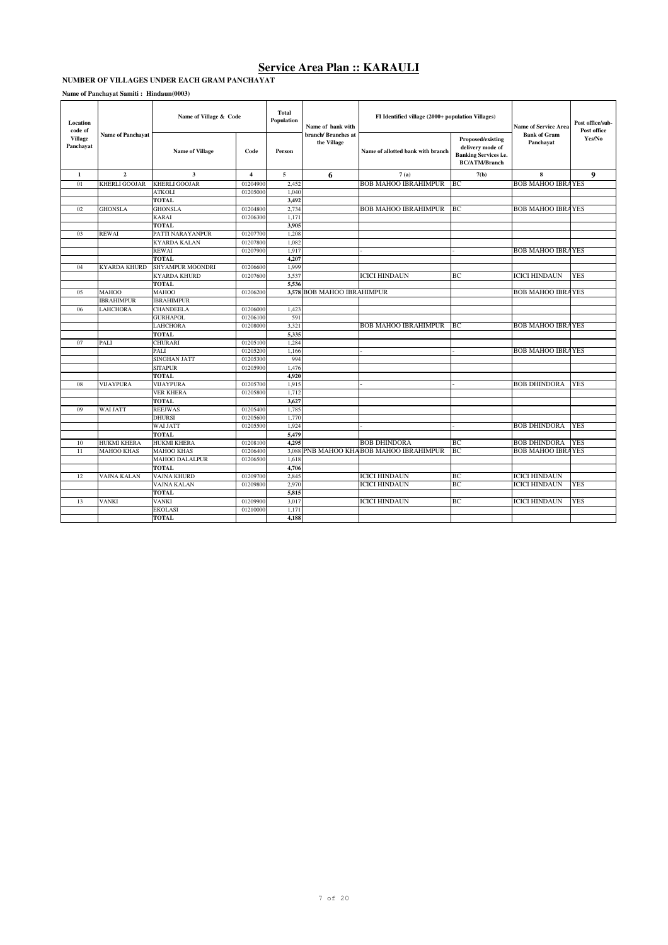#### **NUMBER OF VILLAGES UNDER EACH GRAM PANCHAYAT**

| Location<br>code of         |                          | Name of Village & Code  |                         | <b>Total</b><br>Population | Name of bank with                 | FI Identified village (2000+ population Villages) |                                                                                               | <b>Name of Service Area</b>      | Post office/sub-<br>Post office |  |
|-----------------------------|--------------------------|-------------------------|-------------------------|----------------------------|-----------------------------------|---------------------------------------------------|-----------------------------------------------------------------------------------------------|----------------------------------|---------------------------------|--|
| <b>Village</b><br>Panchayat | <b>Name of Panchavat</b> | <b>Name of Village</b>  | Code                    | Person                     | branch/Branches at<br>the Village | Name of allotted bank with branch                 | Proposed/existing<br>delivery mode of<br><b>Banking Services i.e.</b><br><b>BC/ATM/Branch</b> | <b>Bank of Gram</b><br>Panchayat | Yes/No                          |  |
| 1                           | $\overline{2}$           | $\mathbf{3}$            | $\overline{\mathbf{4}}$ | 5                          | 6                                 | 7(a)                                              | 7(b)                                                                                          | 8                                | 9                               |  |
| 01                          | <b>KHERLI GOOJAR</b>     | <b>KHERLI GOOJAR</b>    | 01204900                | 2,452                      |                                   | <b>BOB MAHOO IBRAHIMPUR</b>                       | BC                                                                                            | <b>BOB MAHOO IBRAYES</b>         |                                 |  |
|                             |                          | <b>ATKOLI</b>           | 01205000                | 1.040                      |                                   |                                                   |                                                                                               |                                  |                                 |  |
|                             |                          | <b>TOTAL</b>            |                         | 3.492                      |                                   |                                                   |                                                                                               |                                  |                                 |  |
| 02                          | <b>GHONSLA</b>           | <b>GHONSLA</b>          | 01204800                | 2,734                      |                                   | <b>BOB MAHOO IBRAHIMPUR</b>                       | BC                                                                                            | <b>BOB MAHOO IBRAYES</b>         |                                 |  |
|                             |                          | <b>KARAI</b>            | 01206300                | 1.171                      |                                   |                                                   |                                                                                               |                                  |                                 |  |
|                             |                          | <b>TOTAL</b>            |                         | 3.905                      |                                   |                                                   |                                                                                               |                                  |                                 |  |
| 0 <sub>3</sub>              | <b>REWAI</b>             | PATTI NARAYANPUR        | 01207700                | 1,208                      |                                   |                                                   |                                                                                               |                                  |                                 |  |
|                             |                          | <b>KYARDA KALAN</b>     | 01207800                | 1.082                      |                                   |                                                   |                                                                                               |                                  |                                 |  |
|                             |                          | <b>REWAI</b>            | 01207900                | 1,917                      |                                   |                                                   |                                                                                               | <b>BOB MAHOO IBRAYES</b>         |                                 |  |
|                             |                          | <b>TOTAL</b>            |                         | 4,207                      |                                   |                                                   |                                                                                               |                                  |                                 |  |
| 04                          | <b>KYARDA KHURD</b>      | <b>SHYAMPUR MOONDRI</b> | 01206600                | 1,999                      |                                   |                                                   |                                                                                               |                                  |                                 |  |
|                             |                          | <b>KYARDA KHURD</b>     | 01207600                | 3,537                      |                                   | <b>ICICI HINDAUN</b>                              | BC                                                                                            | <b>ICICI HINDAUN</b>             | <b>YES</b>                      |  |
|                             |                          | <b>TOTAL</b>            |                         | 5.536                      |                                   |                                                   |                                                                                               |                                  |                                 |  |
| 05                          | <b>MAHOO</b>             | <b>MAHOO</b>            | 01206200                |                            | 3,578 BOB MAHOO IBRAHIMPUR        |                                                   |                                                                                               | <b>BOB MAHOO IBRAYES</b>         |                                 |  |
|                             | <b>IBRAHIMPUR</b>        | <b>IBRAHIMPUR</b>       |                         |                            |                                   |                                                   |                                                                                               |                                  |                                 |  |
| 06                          | <b>LAHCHORA</b>          | <b>CHANDEELA</b>        | 01206000                | 1,423                      |                                   |                                                   |                                                                                               |                                  |                                 |  |
|                             |                          | <b>GURHAPOL</b>         | 01206100                | 591                        |                                   |                                                   |                                                                                               |                                  |                                 |  |
|                             |                          | <b>LAHCHORA</b>         | 01208000                | 3.321                      |                                   | <b>BOB MAHOO IBRAHIMPUR</b>                       | BC.                                                                                           | <b>BOB MAHOO IBRAYES</b>         |                                 |  |
|                             |                          | <b>TOTAL</b>            |                         | 5,335                      |                                   |                                                   |                                                                                               |                                  |                                 |  |
| 07                          | PALI                     | <b>CHURARI</b>          | 01205100                | 1.284                      |                                   |                                                   |                                                                                               |                                  |                                 |  |
|                             |                          | PALI                    | 01205200                | 1.166                      |                                   |                                                   |                                                                                               | <b>BOB MAHOO IBRAYES</b>         |                                 |  |
|                             |                          | <b>SINGHAN JATT</b>     | 01205300                | 994                        |                                   |                                                   |                                                                                               |                                  |                                 |  |
|                             |                          | <b>SITAPUR</b>          | 01205900                | 1,476                      |                                   |                                                   |                                                                                               |                                  |                                 |  |
|                             |                          | <b>TOTAL</b>            |                         | 4.920                      |                                   |                                                   |                                                                                               |                                  |                                 |  |
| 08                          | <b>VIJAYPURA</b>         | <b>VIJAYPURA</b>        | 01205700                | 1,915                      |                                   |                                                   |                                                                                               | <b>BOB DHINDORA</b>              | <b>YES</b>                      |  |
|                             |                          | <b>VER KHERA</b>        | 01205800                | 1,712                      |                                   |                                                   |                                                                                               |                                  |                                 |  |
|                             |                          | <b>TOTAL</b>            |                         | 3.627                      |                                   |                                                   |                                                                                               |                                  |                                 |  |
| 09                          | <b>WAI JATT</b>          | <b>REEJWAS</b>          | 01205400                | 1.785                      |                                   |                                                   |                                                                                               |                                  |                                 |  |
|                             |                          | <b>DHURSI</b>           | 01205600                | 1.770                      |                                   |                                                   |                                                                                               |                                  |                                 |  |
|                             |                          | <b>WAI JATT</b>         | 01205500                | 1,924                      |                                   |                                                   |                                                                                               | <b>BOB DHINDORA</b>              | <b>YES</b>                      |  |
|                             |                          | <b>TOTAL</b>            |                         | 5,479                      |                                   |                                                   |                                                                                               |                                  |                                 |  |
| 10                          | <b>HUKMI KHERA</b>       | <b>HUKMI KHERA</b>      | 01208100                | 4.295                      |                                   | <b>BOB DHINDORA</b>                               | BC                                                                                            | <b>BOB DHINDORA</b>              | <b>YES</b>                      |  |
| 11                          | <b>MAHOO KHAS</b>        | <b>MAHOO KHAS</b>       | 01206400                | 3.088                      |                                   | PNB MAHOO KHABOB MAHOO IBRAHIMPUR                 | BC                                                                                            | <b>BOB MAHOO IBRAYES</b>         |                                 |  |
|                             |                          | <b>MAHOO DALALPUR</b>   | 01206500                | 1.618                      |                                   |                                                   |                                                                                               |                                  |                                 |  |
|                             |                          | <b>TOTAL</b>            |                         | 4,706                      |                                   |                                                   |                                                                                               |                                  |                                 |  |
| 12                          | VAJNA KALAN              | <b>VAJNA KHURD</b>      | 01209700                | 2.845                      |                                   | <b>ICICI HINDAUN</b>                              | BC                                                                                            | <b>ICICI HINDAUN</b>             |                                 |  |
|                             |                          | <b>VAJNA KALAN</b>      | 01209800                | 2.970                      |                                   | <b>ICICI HINDAUN</b>                              | BC                                                                                            | <b>ICICI HINDAUN</b>             | <b>YES</b>                      |  |
|                             |                          | <b>TOTAL</b>            |                         | 5,815                      |                                   |                                                   |                                                                                               |                                  |                                 |  |
| 13                          | <b>VANKI</b>             | <b>VANKI</b>            | 01209900                | 3.017                      |                                   | <b>ICICI HINDAUN</b>                              | BC                                                                                            | <b>ICICI HINDAUN</b>             | <b>YES</b>                      |  |
|                             |                          | <b>EKOLASI</b>          | 01210000                | 1,171                      |                                   |                                                   |                                                                                               |                                  |                                 |  |
|                             |                          | <b>TOTAL</b>            |                         | 4.188                      |                                   |                                                   |                                                                                               |                                  |                                 |  |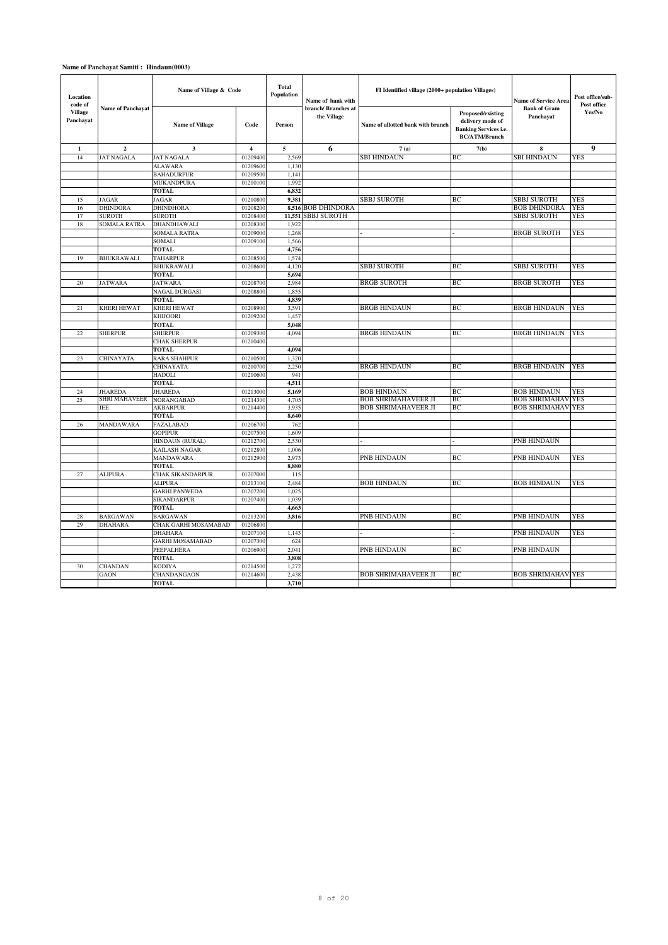| Location<br>code of         |                          | Name of Village & Code              |                | <b>Total</b><br><b>Population</b> | Name of bank with                 | FI Identified village (2000+ population Villages) |                                                                                               | Name of Service Area             | Post office/sub-<br>Post office |
|-----------------------------|--------------------------|-------------------------------------|----------------|-----------------------------------|-----------------------------------|---------------------------------------------------|-----------------------------------------------------------------------------------------------|----------------------------------|---------------------------------|
| <b>Village</b><br>Panchayat | <b>Name of Panchavat</b> | <b>Name of Village</b>              | Code           | Person                            | branch/Branches at<br>the Village | Name of allotted bank with branch                 | Proposed/existing<br>delivery mode of<br><b>Banking Services i.e.</b><br><b>BC/ATM/Branch</b> | <b>Bank of Gram</b><br>Panchayat | Yes/No                          |
| 1                           | $\overline{2}$           | $\mathbf{3}$                        | $\overline{4}$ | 5                                 | 6                                 | 7(a)                                              | 7(b)                                                                                          | 8                                | 9                               |
| 14                          | <b>JAT NAGALA</b>        | <b>JAT NAGALA</b>                   | 01209400       | 2.569                             |                                   | <b>SBI HINDAUN</b>                                | ВC                                                                                            | SBI HINDAUN                      | <b>YES</b>                      |
|                             |                          | <b>ALAWARA</b>                      | 01209600       | 1.130                             |                                   |                                                   |                                                                                               |                                  |                                 |
|                             |                          | <b>BAHADURPUR</b>                   | 01209500       | 1,141                             |                                   |                                                   |                                                                                               |                                  |                                 |
|                             |                          | <b>MUKANDPURA</b>                   | 01210100       | 1,992                             |                                   |                                                   |                                                                                               |                                  |                                 |
|                             |                          | <b>TOTAL</b>                        |                | 6,832                             |                                   |                                                   |                                                                                               |                                  |                                 |
| 15                          | JAGAR                    | JAGAR                               | 01210800       | 9,381                             |                                   | <b>SBBJ SUROTH</b>                                | ВC                                                                                            | <b>SBBJ SUROTH</b>               | YES                             |
| 16                          | <b>DHINDORA</b>          | <b>DHINDHORA</b>                    | 01208200       |                                   | 8,516 BOB DHINDORA                |                                                   |                                                                                               | <b>BOB DHINDORA</b>              | <b>YES</b>                      |
| 17                          | <b>SUROTH</b>            | <b>SUROTH</b>                       | 01208400       | 11,551                            | <b>SBBJ SUROTH</b>                |                                                   |                                                                                               | <b>SBBJ SUROTH</b>               | <b>YES</b>                      |
| 18                          | <b>SOMALA RATRA</b>      | <b>DHANDHAWALI</b>                  | 01208300       | 1.922                             |                                   |                                                   |                                                                                               |                                  |                                 |
|                             |                          | <b>SOMALA RATRA</b>                 | 01209000       | 1.268                             |                                   |                                                   |                                                                                               | <b>BRGB SUROTH</b>               | <b>YES</b>                      |
|                             |                          | SOMALI                              | 01209100       | 1,566                             |                                   |                                                   |                                                                                               |                                  |                                 |
|                             |                          | <b>TOTAL</b>                        |                | 4,756                             |                                   |                                                   |                                                                                               |                                  |                                 |
| 19                          | <b>BHUKRAWALI</b>        | <b>TAHARPUR</b>                     | 01208500       | 1,574                             |                                   |                                                   |                                                                                               |                                  |                                 |
|                             |                          | <b>BHUKRAWALI</b>                   | 01208600       | 4,120                             |                                   | <b>SBBJ SUROTH</b>                                | BC                                                                                            | <b>SBBJ SUROTH</b>               | <b>YES</b>                      |
|                             |                          | <b>TOTAL</b>                        |                | 5,694                             |                                   |                                                   |                                                                                               |                                  |                                 |
| 20                          | <b>JATWARA</b>           | <b>JATWARA</b>                      | 01208700       | 2,984                             |                                   | <b>BRGB SUROTH</b>                                | BC                                                                                            | <b>BRGB SUROTH</b>               | <b>YES</b>                      |
|                             |                          | NAGAL DURGASI                       | 01208800       | 1.855                             |                                   |                                                   |                                                                                               |                                  |                                 |
|                             |                          | <b>TOTAL</b>                        |                | 4,839                             |                                   |                                                   |                                                                                               |                                  |                                 |
| 21                          | <b>KHERI HEWAT</b>       | <b>KHERI HEWAT</b>                  | 01208900       | 3,591                             |                                   | <b>BRGB HINDAUN</b>                               | BC                                                                                            | <b>BRGB HINDAUN</b>              | <b>YES</b>                      |
|                             |                          | <b>KHIJOORI</b>                     | 01209200       | 1,457                             |                                   |                                                   |                                                                                               |                                  |                                 |
|                             |                          | <b>TOTAL</b>                        |                | 5,048                             |                                   |                                                   |                                                                                               |                                  | <b>YES</b>                      |
| 22                          | <b>SHERPUR</b>           | <b>SHERPUR</b>                      | 01209300       | 4,094                             |                                   | <b>BRGB HINDAUN</b>                               | BC                                                                                            | <b>BRGB HINDAUN</b>              |                                 |
|                             |                          | <b>CHAK SHERPUR</b>                 | 01210400       | 4.094                             |                                   |                                                   |                                                                                               |                                  |                                 |
| 23                          | CHINAYATA                | <b>TOTAL</b><br><b>RARA SHAHPUR</b> | 01210500       | 1,320                             |                                   |                                                   |                                                                                               |                                  |                                 |
|                             |                          | CHINAYATA                           | 01210700       | 2,250                             |                                   | <b>BRGB HINDAUN</b>                               | BC                                                                                            | <b>BRGB HINDAUN</b>              | <b>YES</b>                      |
|                             |                          | <b>HADOLI</b>                       | 01210600       | 941                               |                                   |                                                   |                                                                                               |                                  |                                 |
|                             |                          | <b>TOTAL</b>                        |                | 4,511                             |                                   |                                                   |                                                                                               |                                  |                                 |
| 24                          | <b>JHAREDA</b>           | <b>JHAREDA</b>                      | 01213000       | 5,169                             |                                   | <b>BOB HINDAUN</b>                                | BC                                                                                            | <b>BOB HINDAUN</b>               | <b>YES</b>                      |
| 25                          | SHRI MAHAVEER            | <b>NORANGABAD</b>                   | 01214300       | 4,705                             |                                   | <b>BOB SHRIMAHAVEER JI</b>                        | ВC                                                                                            | BOB SHRIMAHAV                    | <b>YES</b>                      |
|                             | JEE                      | AKBARPUR                            | 01214400       | 3,935                             |                                   | <b>BOB SHRIMAHAVEER JI</b>                        | BС                                                                                            | <b>BOB SHRIMAHAV</b>             | <b>YES</b>                      |
|                             |                          | <b>TOTAL</b>                        |                | 8,640                             |                                   |                                                   |                                                                                               |                                  |                                 |
| 26                          | <b>MANDAWARA</b>         | <b>FAZALABAD</b>                    | 01206700       | 762                               |                                   |                                                   |                                                                                               |                                  |                                 |
|                             |                          | <b>GOPIPUR</b>                      | 01207500       | 1,609                             |                                   |                                                   |                                                                                               |                                  |                                 |
|                             |                          | HINDAUN (RURAL)                     | 01212700       | 2.530                             |                                   |                                                   |                                                                                               | <b>PNB HINDAUN</b>               |                                 |
|                             |                          | KAILASH NAGAR                       | 01212800       | 1,006                             |                                   |                                                   |                                                                                               |                                  |                                 |
|                             |                          | <b>MANDAWARA</b>                    | 01212900       | 2.973                             |                                   | PNB HINDAUN                                       | BC                                                                                            | PNB HINDAUN                      | <b>YES</b>                      |
|                             |                          | <b>TOTAL</b>                        |                | 8,880                             |                                   |                                                   |                                                                                               |                                  |                                 |
| 27                          | <b>ALIPURA</b>           | CHAK SIKANDARPUR                    | 01207000       | 115                               |                                   |                                                   |                                                                                               |                                  |                                 |
|                             |                          | <b>ALIPURA</b>                      | 01213100       | 2,484                             |                                   | <b>BOB HINDAUN</b>                                | BC                                                                                            | <b>BOB HINDAUN</b>               | <b>YES</b>                      |
|                             |                          | <b>GARHI PANWEDA</b>                | 01207200       | 1,025                             |                                   |                                                   |                                                                                               |                                  |                                 |
|                             |                          | <b>SIKANDARPUR</b>                  | 01207400       | 1.039                             |                                   |                                                   |                                                                                               |                                  |                                 |
|                             |                          | <b>TOTAL</b>                        |                | 4,663                             |                                   |                                                   |                                                                                               |                                  |                                 |
| 28                          | <b>BARGAWAN</b>          | <b>BARGAWAN</b>                     | 01213200       | 3,816                             |                                   | PNB HINDAUN                                       | BC                                                                                            | PNB HINDAUN                      | <b>YES</b>                      |
| 29                          | <b>DHAHARA</b>           | CHAK GARHI MOSAMABAD                | 01206800       |                                   |                                   |                                                   |                                                                                               |                                  |                                 |
|                             |                          | <b>DHAHARA</b>                      | 01207100       | 1,143                             |                                   |                                                   |                                                                                               | PNB HINDAUN                      | <b>YES</b>                      |
|                             |                          | <b>GARHI MOSAMABAD</b>              | 01207300       | 624                               |                                   |                                                   |                                                                                               |                                  |                                 |
|                             |                          | PEEPALHERA                          | 01206900       | 2,041                             |                                   | PNB HINDAUN                                       | BC                                                                                            | PNB HINDAUN                      |                                 |
|                             |                          | <b>TOTAL</b>                        |                | 3,808                             |                                   |                                                   |                                                                                               |                                  |                                 |
| 30                          | <b>CHANDAN</b>           | KODIYA                              | 01214500       | 1,272                             |                                   |                                                   |                                                                                               |                                  |                                 |
|                             | GAON                     | CHANDANGAON                         | 01214600       | 2,438                             |                                   | <b>BOB SHRIMAHAVEER JI</b>                        | BC                                                                                            | <b>BOB SHRIMAHAVIYES</b>         |                                 |
|                             |                          | TOTAL                               |                | 3,710                             |                                   |                                                   |                                                                                               |                                  |                                 |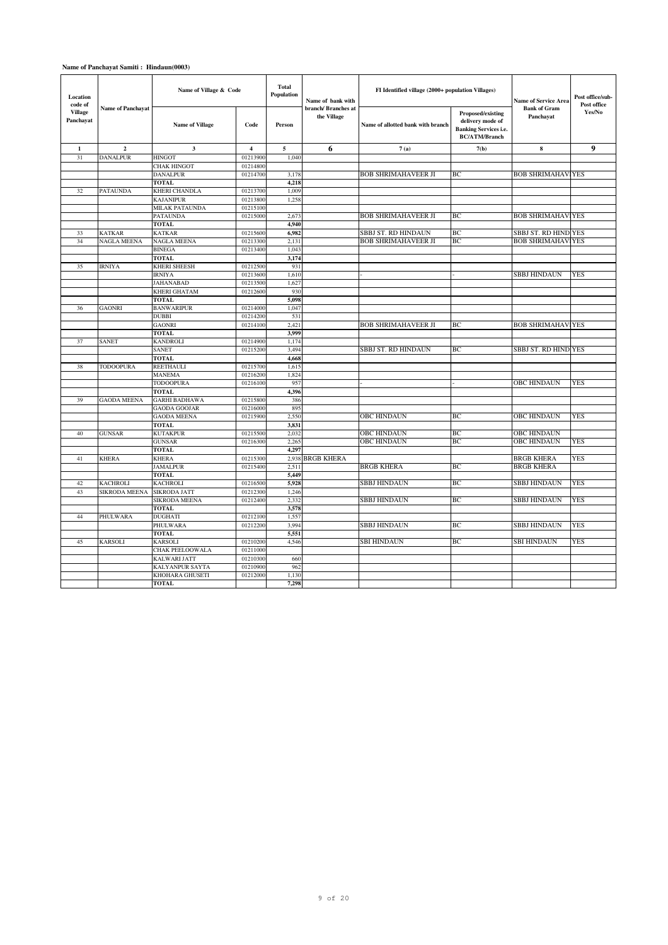| Location<br>code of         |                          | Name of Village & Code            |                         | <b>Total</b><br><b>Population</b> | Name of bank with                 | FI Identified village (2000+ population Villages) |                                                                                               | <b>Name of Service Area</b>      | Post office/sub-<br>Post office |
|-----------------------------|--------------------------|-----------------------------------|-------------------------|-----------------------------------|-----------------------------------|---------------------------------------------------|-----------------------------------------------------------------------------------------------|----------------------------------|---------------------------------|
| <b>Village</b><br>Panchayat | <b>Name of Panchayat</b> | <b>Name of Village</b>            | Code                    | Person                            | branch/Branches at<br>the Village | Name of allotted bank with branch                 | Proposed/existing<br>delivery mode of<br><b>Banking Services i.e.</b><br><b>BC/ATM/Branch</b> | <b>Bank of Gram</b><br>Panchayat | Yes/No                          |
| $\mathbf{1}$                | $\overline{2}$           | $\mathbf{3}$                      | $\overline{\mathbf{4}}$ | 5                                 | 6                                 | 7(a)                                              | 7(b)                                                                                          | 8                                | $\boldsymbol{9}$                |
| 31                          | <b>DANALPUR</b>          | <b>HINGOT</b>                     | 01213900                | 1,040                             |                                   |                                                   |                                                                                               |                                  |                                 |
|                             |                          | <b>CHAK HINGOT</b>                | 01214800                |                                   |                                   |                                                   |                                                                                               |                                  |                                 |
|                             |                          | <b>DANALPUR</b>                   | 01214700                | 3,178                             |                                   | <b>BOB SHRIMAHAVEER JI</b>                        | BC                                                                                            | <b>BOB SHRIMAHAVIYES</b>         |                                 |
|                             |                          | <b>TOTAL</b>                      |                         | 4,218                             |                                   |                                                   |                                                                                               |                                  |                                 |
| 32                          | <b>PATAUNDA</b>          | <b>KHERI CHANDLA</b>              | 01213700                | 1.009                             |                                   |                                                   |                                                                                               |                                  |                                 |
|                             |                          | <b>KAJANIPUR</b>                  | 01213800                | 1,258                             |                                   |                                                   |                                                                                               |                                  |                                 |
|                             |                          | MILAK PATAUNDA                    | 01215100                |                                   |                                   |                                                   |                                                                                               |                                  |                                 |
|                             |                          | <b>PATAUNDA</b>                   | 01215000                | 2,673                             |                                   | <b>BOB SHRIMAHAVEER JI</b>                        | BC                                                                                            | <b>BOB SHRIMAHAVIYES</b>         |                                 |
|                             |                          | <b>TOTAL</b>                      |                         | 4,940                             |                                   |                                                   |                                                                                               |                                  |                                 |
| 33                          | <b>KATKAR</b>            | <b>KATKAR</b>                     | 01215600                | 6,982                             |                                   | <b>SBBJ ST. RD HINDAUN</b>                        | BC.                                                                                           | SBBJ ST. RD HIND YES             |                                 |
| 34                          | <b>NAGLA MEENA</b>       | <b>NAGLA MEENA</b>                | 01213300                | 2,131                             |                                   | <b>BOB SHRIMAHAVEER JI</b>                        | BC                                                                                            | <b>BOB SHRIMAHAV</b>             | <b>YES</b>                      |
|                             |                          | <b>BINEGA</b>                     | 01213400                | 1.043                             |                                   |                                                   |                                                                                               |                                  |                                 |
|                             |                          | <b>TOTAL</b>                      |                         | 3,174                             |                                   |                                                   |                                                                                               |                                  |                                 |
| 35                          | <b>IRNIYA</b>            | <b>KHERI SHEESH</b>               | 01212500                | 931                               |                                   |                                                   |                                                                                               |                                  |                                 |
|                             |                          | <b>IRNIYA</b>                     | 01213600                | 1,610                             |                                   |                                                   |                                                                                               | SBBJ HINDAUN                     | <b>YES</b>                      |
|                             |                          | JAHANABAD                         | 01213500                | 1.627                             |                                   |                                                   |                                                                                               |                                  |                                 |
|                             |                          | KHERI GHATAM                      | 01212600                | 930                               |                                   |                                                   |                                                                                               |                                  |                                 |
|                             | <b>GAONRI</b>            | <b>TOTAL</b><br><b>BANWARIPUR</b> | 01214000                | 5,098<br>1,047                    |                                   |                                                   |                                                                                               |                                  |                                 |
| 36                          |                          | <b>DUBBI</b>                      | 01214200                | 531                               |                                   |                                                   |                                                                                               |                                  |                                 |
|                             |                          | <b>GAONRI</b>                     | 01214100                | 2,421                             |                                   | <b>BOB SHRIMAHAVEER JI</b>                        | BC                                                                                            | <b>BOB SHRIMAHAVIYES</b>         |                                 |
|                             |                          | <b>TOTAL</b>                      |                         | 3,999                             |                                   |                                                   |                                                                                               |                                  |                                 |
| 37                          | <b>SANET</b>             | <b>KANDROLI</b>                   | 01214900                | 1.174                             |                                   |                                                   |                                                                                               |                                  |                                 |
|                             |                          | SANET                             | 01215200                | 3,494                             |                                   | <b>SBBJ ST. RD HINDAUN</b>                        | BC                                                                                            | SBBJ ST. RD HIND YES             |                                 |
|                             |                          | <b>TOTAL</b>                      |                         | 4,668                             |                                   |                                                   |                                                                                               |                                  |                                 |
| 38                          | TODOOPURA                | <b>REETHAULI</b>                  | 01215700                | 1,615                             |                                   |                                                   |                                                                                               |                                  |                                 |
|                             |                          | <b>MANEMA</b>                     | 01216200                | 1,824                             |                                   |                                                   |                                                                                               |                                  |                                 |
|                             |                          | <b>TODOOPURA</b>                  | 01216100                | 957                               |                                   |                                                   |                                                                                               | <b>OBC HINDAUN</b>               | <b>YES</b>                      |
|                             |                          | <b>TOTAL</b>                      |                         | 4,396                             |                                   |                                                   |                                                                                               |                                  |                                 |
| 39                          | <b>GAODA MEENA</b>       | <b>GARHI BADHAWA</b>              | 01215800                | 386                               |                                   |                                                   |                                                                                               |                                  |                                 |
|                             |                          | <b>GAODA GOOJAR</b>               | 01216000                | 895                               |                                   |                                                   |                                                                                               |                                  |                                 |
|                             |                          | <b>GAODA MEENA</b>                | 01215900                | 2,550                             |                                   | OBC HINDAUN                                       | ВC                                                                                            | <b>OBC HINDAUN</b>               | <b>YES</b>                      |
|                             |                          | <b>TOTAL</b>                      |                         | 3,831                             |                                   |                                                   |                                                                                               |                                  |                                 |
| 40                          | <b>GUNSAR</b>            | <b>KUTAKPUR</b>                   | 01215500                | 2.032                             |                                   | <b>OBC HINDAUN</b>                                | BC                                                                                            | <b>OBC HINDAUN</b>               |                                 |
|                             |                          | <b>GUNSAR</b>                     | 01216300                | 2,265                             |                                   | <b>OBC HINDAUN</b>                                | BC                                                                                            | <b>OBC HINDAUN</b>               | <b>YES</b>                      |
|                             |                          | <b>TOTAL</b>                      |                         | 4,297                             |                                   |                                                   |                                                                                               |                                  |                                 |
| 41                          | <b>KHERA</b>             | <b>KHERA</b>                      | 01215300                | 2,938                             | <b>BRGB KHERA</b>                 |                                                   |                                                                                               | <b>BRGB KHERA</b>                | YES                             |
|                             |                          | <b>JAMALPUR</b>                   | 01215400                | 2,511                             |                                   | <b>BRGB KHERA</b>                                 | BC                                                                                            | <b>BRGB KHERA</b>                |                                 |
|                             |                          | <b>TOTAL</b>                      |                         | 5.449                             |                                   |                                                   |                                                                                               |                                  |                                 |
| 42                          | <b>KACHROLI</b>          | <b>KACHROLI</b>                   | 01216500                | 5,928                             |                                   | <b>SBBJ HINDAUN</b>                               | BC                                                                                            | SBBJ HINDAUN                     | <b>YES</b>                      |
| 43                          | SIKRODA MEENA            | <b>SIKRODA JATT</b>               | 01212300                | 1,246                             |                                   |                                                   |                                                                                               |                                  |                                 |
|                             |                          | SIKRODA MEENA                     | 01212400                | 2,332                             |                                   | <b>SBBJ HINDAUN</b>                               | BC                                                                                            | <b>SBBJ HINDAUN</b>              | <b>YES</b>                      |
|                             |                          | <b>TOTAL</b>                      |                         | 3,578                             |                                   |                                                   |                                                                                               |                                  |                                 |
| 44                          | PHULWARA                 | <b>DUGHATI</b>                    | 01212100                | 1,557                             |                                   |                                                   |                                                                                               |                                  |                                 |
|                             |                          | PHULWARA                          | 01212200                | 3,994                             |                                   | <b>SBBJ HINDAUN</b>                               | BC                                                                                            | SBBJ HINDAUN                     | <b>YES</b>                      |
|                             |                          | <b>TOTAL</b>                      |                         | 5,551                             |                                   |                                                   |                                                                                               |                                  |                                 |
| 45                          | <b>KARSOLI</b>           | <b>KARSOLI</b>                    | 01210200                | 4.546                             |                                   | <b>SBI HINDAUN</b>                                | BC                                                                                            | <b>SBI HINDAUN</b>               | <b>YES</b>                      |
|                             |                          | CHAK PEELOOWALA                   | 01211000                |                                   |                                   |                                                   |                                                                                               |                                  |                                 |
|                             |                          | <b>KALWARI JATT</b>               | 01210300                | 660                               |                                   |                                                   |                                                                                               |                                  |                                 |
|                             |                          | KALYANPUR SAYTA                   | 01210900                | 962                               |                                   |                                                   |                                                                                               |                                  |                                 |
|                             |                          | KHOHARA GHUSETI                   | 01212000                | 1,130                             |                                   |                                                   |                                                                                               |                                  |                                 |
|                             |                          | <b>TOTAL</b>                      |                         | 7,298                             |                                   |                                                   |                                                                                               |                                  |                                 |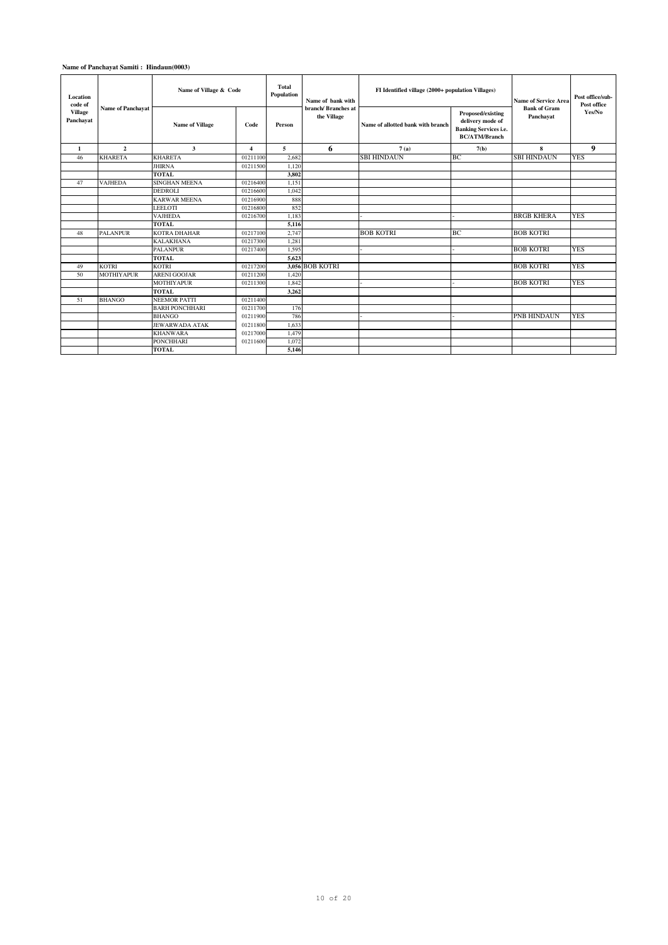| Location<br>code of<br><b>Village</b> | <b>Name of Panchavat</b> | Name of Village & Code |                         | Total<br>Population | Name of bank with<br>branch/Branches at | FI Identified village (2000+ population Villages) |                                                                                               | <b>Name of Service Area</b><br><b>Bank of Gram</b> | Post office/sub-<br>Post office<br>Yes/No |
|---------------------------------------|--------------------------|------------------------|-------------------------|---------------------|-----------------------------------------|---------------------------------------------------|-----------------------------------------------------------------------------------------------|----------------------------------------------------|-------------------------------------------|
| Panchavat                             |                          | <b>Name of Village</b> | Code<br>Person          |                     | the Village                             | Name of allotted bank with branch                 | Proposed/existing<br>delivery mode of<br><b>Banking Services i.e.</b><br><b>BC/ATM/Branch</b> | Panchayat                                          |                                           |
| -1                                    | $\overline{2}$           | 3                      | $\overline{\mathbf{4}}$ | 5                   | 6                                       | 7(a)                                              | 7(b)                                                                                          | 8                                                  | 9                                         |
| 46                                    | <b>KHARETA</b>           | <b>KHARETA</b>         | 01211100                | 2.682               |                                         | <b>SBI HINDAUN</b>                                | <b>BC</b>                                                                                     | <b>SBI HINDAUN</b>                                 | <b>YES</b>                                |
|                                       |                          | <b>JHIRNA</b>          | 01211500                | 1,120               |                                         |                                                   |                                                                                               |                                                    |                                           |
|                                       |                          | <b>TOTAL</b>           |                         | 3,802               |                                         |                                                   |                                                                                               |                                                    |                                           |
| 47                                    | <b>VAJHEDA</b>           | <b>SINGHAN MEENA</b>   | 01216400                | 1,151               |                                         |                                                   |                                                                                               |                                                    |                                           |
|                                       |                          | <b>DEDROLI</b>         | 01216600                | 1.042               |                                         |                                                   |                                                                                               |                                                    |                                           |
|                                       |                          | <b>KARWAR MEENA</b>    | 01216900                | 888                 |                                         |                                                   |                                                                                               |                                                    |                                           |
|                                       |                          | LEELOTI                | 01216800                | 852                 |                                         |                                                   |                                                                                               |                                                    |                                           |
|                                       |                          | <b>VAJHEDA</b>         | 01216700                | 1,183               |                                         |                                                   |                                                                                               | <b>BRGB KHERA</b>                                  | <b>YES</b>                                |
|                                       |                          | <b>TOTAL</b>           |                         | 5,116               |                                         |                                                   |                                                                                               |                                                    |                                           |
| 48                                    | <b>PALANPUR</b>          | <b>KOTRA DHAHAR</b>    | 01217100                | 2,747               |                                         | <b>BOB KOTRI</b>                                  | <b>BC</b>                                                                                     | <b>BOB KOTRI</b>                                   |                                           |
|                                       |                          | <b>KALAKHANA</b>       | 01217300                | 1,281               |                                         |                                                   |                                                                                               |                                                    |                                           |
|                                       |                          | <b>PALANPUR</b>        | 01217400                | 1.595               |                                         |                                                   |                                                                                               | <b>BOB KOTRI</b>                                   | <b>YES</b>                                |
|                                       |                          | <b>TOTAL</b>           |                         | 5,623               |                                         |                                                   |                                                                                               |                                                    |                                           |
| 49                                    | <b>KOTRI</b>             | <b>KOTRI</b>           | 01217200                |                     | 3.056 BOB KOTRI                         |                                                   |                                                                                               | <b>BOB KOTRI</b>                                   | <b>YES</b>                                |
| 50                                    | <b>MOTHIYAPUR</b>        | <b>ARENI GOOJAR</b>    | 01211200                | 1,420               |                                         |                                                   |                                                                                               |                                                    |                                           |
|                                       |                          | <b>MOTHIYAPUR</b>      | 01211300                | 1.842               |                                         |                                                   |                                                                                               | <b>BOB KOTRI</b>                                   | <b>YES</b>                                |
|                                       |                          | <b>TOTAL</b>           |                         | 3,262               |                                         |                                                   |                                                                                               |                                                    |                                           |
| 51                                    | <b>BHANGO</b>            | <b>NEEMOR PATTI</b>    | 01211400                |                     |                                         |                                                   |                                                                                               |                                                    |                                           |
|                                       |                          | <b>BARH PONCHHARI</b>  | 01211700                | 176                 |                                         |                                                   |                                                                                               |                                                    |                                           |
|                                       |                          | <b>BHANGO</b>          | 01211900                | 786                 |                                         |                                                   |                                                                                               | <b>PNB HINDAUN</b>                                 | <b>YES</b>                                |
|                                       |                          | <b>JEWARWADA ATAK</b>  | 01211800                | 1.633               |                                         |                                                   |                                                                                               |                                                    |                                           |
|                                       |                          | <b>KHANWARA</b>        | 01217000                | 1,479               |                                         |                                                   |                                                                                               |                                                    |                                           |
|                                       |                          | <b>PONCHHARI</b>       | 01211600                | 1.072               |                                         |                                                   |                                                                                               |                                                    |                                           |
|                                       |                          | <b>TOTAL</b>           |                         | 5,146               |                                         |                                                   |                                                                                               |                                                    |                                           |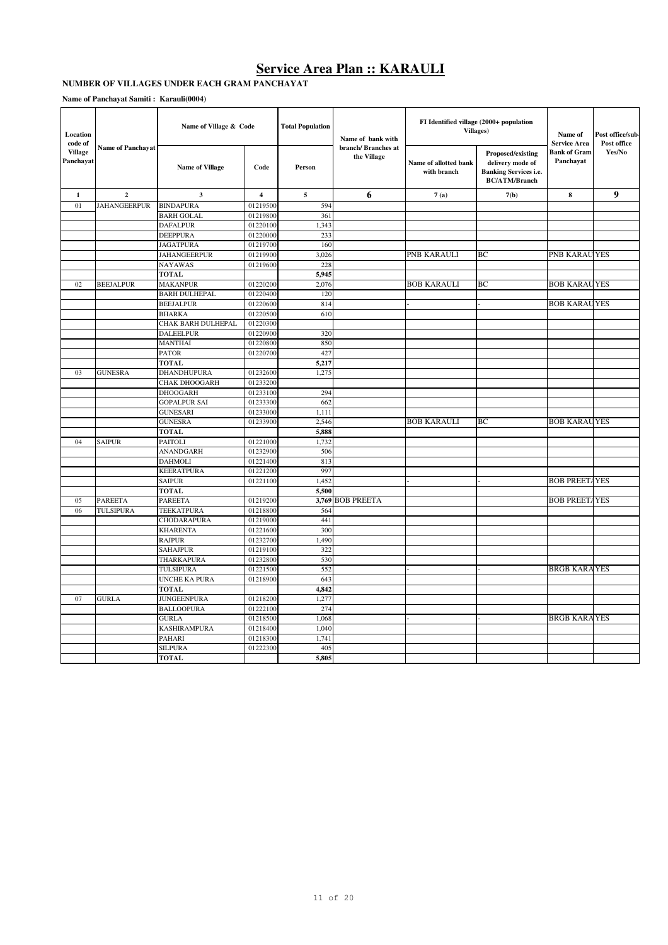#### **NUMBER OF VILLAGES UNDER EACH GRAM PANCHAYAT**

| Location<br>code of         | <b>Name of Panchayat</b> | Name of Village & Code |                | <b>Total Population</b><br>Name of bank with<br>branch/Branches at |                   |                                      | FI Identified village (2000+ population<br><b>Villages</b> )                                  | Name of<br><b>Service Area</b>   | Post office/sub-<br>Post office |
|-----------------------------|--------------------------|------------------------|----------------|--------------------------------------------------------------------|-------------------|--------------------------------------|-----------------------------------------------------------------------------------------------|----------------------------------|---------------------------------|
| <b>Village</b><br>Panchayat |                          | <b>Name of Village</b> | Code           | Person                                                             | the Village       | Name of allotted bank<br>with branch | Proposed/existing<br>delivery mode of<br><b>Banking Services i.e.</b><br><b>BC/ATM/Branch</b> | <b>Bank of Gram</b><br>Panchavat | Yes/No                          |
| $\mathbf{1}$                | $\overline{2}$           | 3                      | $\overline{4}$ | $\sqrt{5}$                                                         | 6                 | 7(a)                                 | 7(b)                                                                                          | 8                                | $\boldsymbol{9}$                |
| 01                          | <b>JAHANGEERPUR</b>      | <b>BINDAPURA</b>       | 01219500       | 594                                                                |                   |                                      |                                                                                               |                                  |                                 |
|                             |                          | <b>BARH GOLAL</b>      | 01219800       | 361                                                                |                   |                                      |                                                                                               |                                  |                                 |
|                             |                          | <b>DAFALPUR</b>        | 01220100       | 1,343                                                              |                   |                                      |                                                                                               |                                  |                                 |
|                             |                          | <b>DEEPPURA</b>        | 01220000       | 233                                                                |                   |                                      |                                                                                               |                                  |                                 |
|                             |                          | <b>JAGATPURA</b>       | 01219700       | 160                                                                |                   |                                      |                                                                                               |                                  |                                 |
|                             |                          | <b>JAHANGEERPUR</b>    | 01219900       | 3,026                                                              |                   | PNB KARAULI                          | BC                                                                                            | PNB KARAU YES                    |                                 |
|                             |                          | <b>NAYAWAS</b>         | 01219600       | 228                                                                |                   |                                      |                                                                                               |                                  |                                 |
|                             |                          | <b>TOTAL</b>           |                | 5,945                                                              |                   |                                      |                                                                                               |                                  |                                 |
| 02                          | <b>BEEJALPUR</b>         | <b>MAKANPUR</b>        | 01220200       | 2,076                                                              |                   | <b>BOB KARAULI</b>                   | BC                                                                                            | <b>BOB KARAUYES</b>              |                                 |
|                             |                          | <b>BARH DULHEPAL</b>   | 01220400       | 120                                                                |                   |                                      |                                                                                               |                                  |                                 |
|                             |                          | <b>BEEJALPUR</b>       | 01220600       | 814                                                                |                   |                                      |                                                                                               | <b>BOB KARAUYES</b>              |                                 |
|                             |                          | <b>BHARKA</b>          | 01220500       | 610                                                                |                   |                                      |                                                                                               |                                  |                                 |
|                             |                          | CHAK BARH DULHEPAL     | 01220300       |                                                                    |                   |                                      |                                                                                               |                                  |                                 |
|                             |                          | <b>DALEELPUR</b>       | 01220900       | 320                                                                |                   |                                      |                                                                                               |                                  |                                 |
|                             |                          | <b>MANTHAI</b>         | 01220800       | 850                                                                |                   |                                      |                                                                                               |                                  |                                 |
|                             |                          | <b>PATOR</b>           | 01220700       | 427                                                                |                   |                                      |                                                                                               |                                  |                                 |
|                             |                          | <b>TOTAL</b>           |                | 5,217                                                              |                   |                                      |                                                                                               |                                  |                                 |
| 03                          | <b>GUNESRA</b>           | <b>DHANDHUPURA</b>     | 01232600       | 1,275                                                              |                   |                                      |                                                                                               |                                  |                                 |
|                             |                          | CHAK DHOOGARH          | 01233200       |                                                                    |                   |                                      |                                                                                               |                                  |                                 |
|                             |                          | <b>DHOOGARH</b>        | 01233100       | 294                                                                |                   |                                      |                                                                                               |                                  |                                 |
|                             |                          | <b>GOPALPUR SAI</b>    | 01233300       | 662                                                                |                   |                                      |                                                                                               |                                  |                                 |
|                             |                          | <b>GUNESARI</b>        | 01233000       | 1,111                                                              |                   |                                      |                                                                                               |                                  |                                 |
|                             |                          | <b>GUNESRA</b>         | 01233900       | 2,546                                                              |                   | <b>BOB KARAULI</b>                   | ВC                                                                                            | <b>BOB KARAUYES</b>              |                                 |
|                             |                          | <b>TOTAL</b>           |                | 5,888                                                              |                   |                                      |                                                                                               |                                  |                                 |
| 04                          | <b>SAIPUR</b>            | <b>PAITOLI</b>         | 01221000       | 1,732                                                              |                   |                                      |                                                                                               |                                  |                                 |
|                             |                          | <b>ANANDGARH</b>       | 01232900       | 506                                                                |                   |                                      |                                                                                               |                                  |                                 |
|                             |                          | <b>DAHMOLI</b>         | 01221400       | 813                                                                |                   |                                      |                                                                                               |                                  |                                 |
|                             |                          | <b>KEERATPURA</b>      | 01221200       | 997                                                                |                   |                                      |                                                                                               |                                  |                                 |
|                             |                          | <b>SAIPUR</b>          | 01221100       | 1,452                                                              |                   |                                      |                                                                                               | <b>BOB PREETAYES</b>             |                                 |
|                             |                          | <b>TOTAL</b>           |                | 5,500                                                              |                   |                                      |                                                                                               |                                  |                                 |
| 05                          | <b>PAREETA</b>           | <b>PAREETA</b>         | 01219200       | 3,769                                                              | <b>BOB PREETA</b> |                                      |                                                                                               | <b>BOB PREETAYES</b>             |                                 |
| 06                          | TULSIPURA                | <b>TEEKATPURA</b>      | 01218800       | 564                                                                |                   |                                      |                                                                                               |                                  |                                 |
|                             |                          | CHODARAPURA            | 01219000       | 441                                                                |                   |                                      |                                                                                               |                                  |                                 |
|                             |                          | <b>KHARENTA</b>        | 01221600       | 300                                                                |                   |                                      |                                                                                               |                                  |                                 |
|                             |                          | <b>RAJPUR</b>          | 01232700       | 1,490                                                              |                   |                                      |                                                                                               |                                  |                                 |
|                             |                          | <b>SAHAJPUR</b>        | 01219100       | 322                                                                |                   |                                      |                                                                                               |                                  |                                 |
|                             |                          | THARKAPURA             | 01232800       | 530                                                                |                   |                                      |                                                                                               |                                  |                                 |
|                             |                          | TULSIPURA              | 01221500       | 552                                                                |                   |                                      |                                                                                               | <b>BRGB KARAYES</b>              |                                 |
|                             |                          | <b>UNCHE KA PURA</b>   | 01218900       | 643                                                                |                   |                                      |                                                                                               |                                  |                                 |
|                             |                          | <b>TOTAL</b>           |                | 4,842                                                              |                   |                                      |                                                                                               |                                  |                                 |
| 07                          | <b>GURLA</b>             | <b>JUNGEENPURA</b>     | 01218200       | 1,277                                                              |                   |                                      |                                                                                               |                                  |                                 |
|                             |                          | <b>BALLOOPURA</b>      | 01222100       | 274                                                                |                   |                                      |                                                                                               |                                  |                                 |
|                             |                          | <b>GURLA</b>           | 01218500       | 1.068                                                              |                   |                                      |                                                                                               | <b>BRGB KARAYES</b>              |                                 |
|                             |                          | <b>KASHIRAMPURA</b>    | 01218400       | 1,040                                                              |                   |                                      |                                                                                               |                                  |                                 |
|                             |                          | PAHARI                 | 01218300       | 1,741                                                              |                   |                                      |                                                                                               |                                  |                                 |
|                             |                          | <b>SILPURA</b>         | 01222300       | 405                                                                |                   |                                      |                                                                                               |                                  |                                 |
|                             |                          | <b>TOTAL</b>           |                | 5,805                                                              |                   |                                      |                                                                                               |                                  |                                 |
|                             |                          |                        |                |                                                                    |                   |                                      |                                                                                               |                                  |                                 |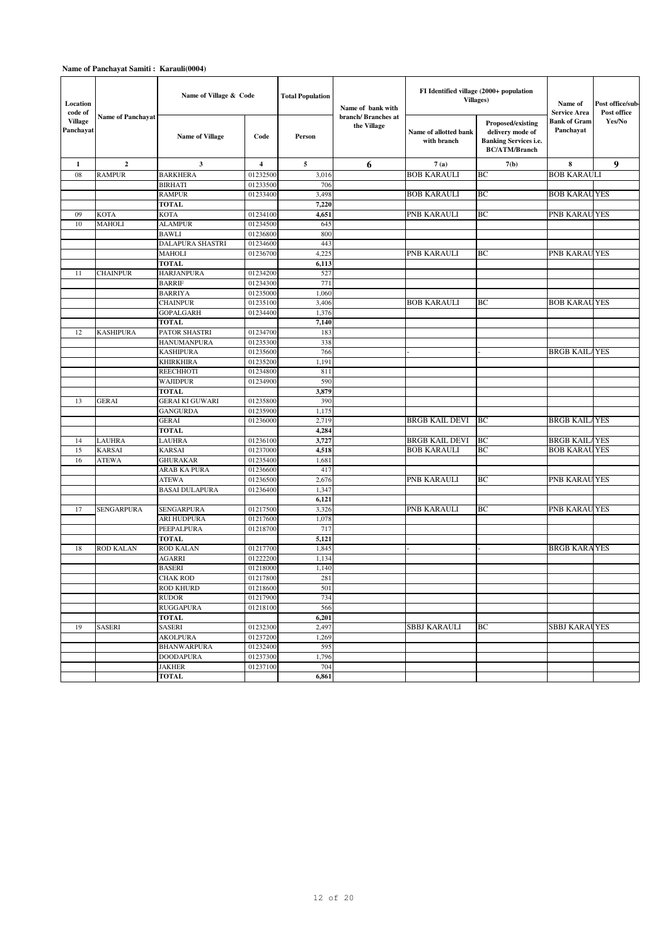| Location<br>code of         |                          | Name of Village & Code             |                         | <b>Total Population</b> | Name of bank with                 |                                      | FI Identified village (2000+ population<br><b>Villages</b> )                                  | Name of<br><b>Service Area</b> | Post office/sub-<br>Post office |
|-----------------------------|--------------------------|------------------------------------|-------------------------|-------------------------|-----------------------------------|--------------------------------------|-----------------------------------------------------------------------------------------------|--------------------------------|---------------------------------|
| <b>Village</b><br>Panchayat | <b>Name of Panchavat</b> | <b>Name of Village</b>             | Code                    | Person                  | branch/Branches at<br>the Village | Name of allotted bank<br>with branch | Proposed/existing<br>delivery mode of<br><b>Banking Services i.e.</b><br><b>BC/ATM/Branch</b> | Bank of Gram<br>Panchayat      | Yes/No                          |
| $\mathbf{1}$                | $\mathbf 2$              | 3                                  | $\overline{\mathbf{4}}$ | 5                       | 6                                 | 7(a)                                 | 7(b)                                                                                          | 8                              | 9                               |
| 08                          | <b>RAMPUR</b>            | <b>BARKHERA</b>                    | 01232500                | 3,016                   |                                   | <b>BOB KARAULI</b>                   | BC                                                                                            | <b>BOB KARAULI</b>             |                                 |
|                             |                          | <b>BIRHATI</b>                     | 01233500                | 706                     |                                   |                                      |                                                                                               |                                |                                 |
|                             |                          | <b>RAMPUR</b>                      | 01233400                | 3,498                   |                                   | <b>BOB KARAULI</b>                   | ВC                                                                                            | <b>BOB KARAUYES</b>            |                                 |
|                             |                          | <b>TOTAL</b>                       |                         | 7,220                   |                                   |                                      |                                                                                               |                                |                                 |
| 09                          | <b>KOTA</b>              | <b>KOTA</b>                        | 01234100                | 4,651                   |                                   | PNB KARAULI                          | BC                                                                                            | PNB KARAU YES                  |                                 |
| 10                          | <b>MAHOLI</b>            | <b>ALAMPUR</b>                     | 01234500                | 645                     |                                   |                                      |                                                                                               |                                |                                 |
|                             |                          | BAWLI                              | 01236800                | 800                     |                                   |                                      |                                                                                               |                                |                                 |
|                             |                          | DALAPURA SHASTRI                   | 01234600                | 443                     |                                   |                                      |                                                                                               |                                |                                 |
|                             |                          | MAHOLI                             | 01236700                | 4,225                   |                                   | PNB KARAULI                          | ВC                                                                                            | PNB KARAU YES                  |                                 |
|                             |                          | <b>TOTAL</b>                       |                         | 6,113                   |                                   |                                      |                                                                                               |                                |                                 |
| 11                          | <b>CHAINPUR</b>          | <b>HARJANPURA</b><br><b>BARRIF</b> | 01234200<br>01234300    | 527<br>771              |                                   |                                      |                                                                                               |                                |                                 |
|                             |                          | <b>BARRIYA</b>                     | 01235000                | 1,060                   |                                   |                                      |                                                                                               |                                |                                 |
|                             |                          | <b>CHAINPUR</b>                    | 01235100                | 3,406                   |                                   | <b>BOB KARAULI</b>                   | ВC                                                                                            | <b>BOB KARAUYES</b>            |                                 |
|                             |                          | <b>GOPALGARH</b>                   | 01234400                | 1,376                   |                                   |                                      |                                                                                               |                                |                                 |
|                             |                          | <b>TOTAL</b>                       |                         | 7,140                   |                                   |                                      |                                                                                               |                                |                                 |
| 12                          | <b>KASHIPURA</b>         | PATOR SHASTRI                      | 01234700                | 183                     |                                   |                                      |                                                                                               |                                |                                 |
|                             |                          | <b>HANUMANPURA</b>                 | 01235300                | 338                     |                                   |                                      |                                                                                               |                                |                                 |
|                             |                          | KASHIPURA                          | 01235600                | 766                     |                                   |                                      |                                                                                               | <b>BRGB KAILAYES</b>           |                                 |
|                             |                          | KHIRKHIRA                          | 01235200                | 1,191                   |                                   |                                      |                                                                                               |                                |                                 |
|                             |                          | REECHHOTI                          | 01234800                | 811                     |                                   |                                      |                                                                                               |                                |                                 |
|                             |                          | WAJIDPUR                           | 01234900                | 590                     |                                   |                                      |                                                                                               |                                |                                 |
|                             |                          | <b>TOTAL</b>                       |                         | 3,879                   |                                   |                                      |                                                                                               |                                |                                 |
| 13                          | <b>GERAI</b>             | <b>GERAI KI GUWARI</b>             | 01235800                | 390                     |                                   |                                      |                                                                                               |                                |                                 |
|                             |                          | <b>GANGURDA</b>                    | 01235900                | 1,175                   |                                   |                                      |                                                                                               |                                |                                 |
|                             |                          | <b>GERAI</b>                       | 01236000                | 2,719                   |                                   | BRGB KAIL DEVI                       | BC                                                                                            | <b>BRGB KAILAYES</b>           |                                 |
|                             |                          | <b>TOTAL</b>                       |                         | 4,284                   |                                   |                                      |                                                                                               |                                |                                 |
| 14                          | <b>LAUHRA</b>            | LAUHRA                             | 01236100                | 3,727                   |                                   | <b>BRGB KAIL DEVI</b>                | BC                                                                                            | <b>BRGB KAILAYES</b>           |                                 |
| 15                          | <b>KARSAI</b>            | <b>KARSAI</b>                      | 01237000                | 4,518                   |                                   | <b>BOB KARAULI</b>                   | BC                                                                                            | <b>BOB KARAUYES</b>            |                                 |
| 16                          | <b>ATEWA</b>             | <b>GHURAKAR</b>                    | 01235400                | 1,681                   |                                   |                                      |                                                                                               |                                |                                 |
|                             |                          | ARAB KA PURA<br><b>ATEWA</b>       | 01236600<br>01236500    | 417<br>2,676            |                                   | PNB KARAULI                          | BC                                                                                            | PNB KARAU YES                  |                                 |
|                             |                          | <b>BASAI DULAPURA</b>              | 01236400                | 1,347                   |                                   |                                      |                                                                                               |                                |                                 |
|                             |                          |                                    |                         | 6,121                   |                                   |                                      |                                                                                               |                                |                                 |
| 17                          | <b>SENGARPURA</b>        | SENGARPURA                         | 01217500                | 3,326                   |                                   | PNB KARAULI                          | BC                                                                                            | PNB KARAU YES                  |                                 |
|                             |                          | ARI HUDPURA                        | 01217600                | 1,078                   |                                   |                                      |                                                                                               |                                |                                 |
|                             |                          | PEEPALPURA                         | 01218700                | 717                     |                                   |                                      |                                                                                               |                                |                                 |
|                             |                          | <b>TOTAL</b>                       |                         | 5,121                   |                                   |                                      |                                                                                               |                                |                                 |
| 18                          | <b>ROD KALAN</b>         | <b>ROD KALAN</b>                   | 01217700                | 1,845                   |                                   |                                      |                                                                                               | <b>BRGB KARAYES</b>            |                                 |
|                             |                          | <b>AGARRI</b>                      | 01222200                | 1,134                   |                                   |                                      |                                                                                               |                                |                                 |
|                             |                          | <b>BASERI</b>                      | 01218000                | 1,140                   |                                   |                                      |                                                                                               |                                |                                 |
|                             |                          | <b>CHAK ROD</b>                    | 01217800                | 281                     |                                   |                                      |                                                                                               |                                |                                 |
|                             |                          | ROD KHURD                          | 01218600                | 501                     |                                   |                                      |                                                                                               |                                |                                 |
|                             |                          | <b>RUDOR</b>                       | 01217900                | 734                     |                                   |                                      |                                                                                               |                                |                                 |
|                             |                          | <b>RUGGAPURA</b>                   | 01218100                | 566                     |                                   |                                      |                                                                                               |                                |                                 |
|                             |                          | <b>TOTAL</b>                       |                         | 6,201                   |                                   |                                      |                                                                                               |                                |                                 |
| 19                          | <b>SASERI</b>            | <b>SASERI</b>                      | 01232300                | 2,497                   |                                   | SBBJ KARAULI                         | ВC                                                                                            | <b>SBBJ KARAUYES</b>           |                                 |
|                             |                          | AKOLPURA                           | 01237200                | 1,269                   |                                   |                                      |                                                                                               |                                |                                 |
|                             |                          | BHANWARPURA                        | 01232400                | 595                     |                                   |                                      |                                                                                               |                                |                                 |
|                             |                          | <b>DOODAPURA</b>                   | 01237300                | 1,796<br>704            |                                   |                                      |                                                                                               |                                |                                 |
|                             |                          | JAKHER                             | 01237100                |                         |                                   |                                      |                                                                                               |                                |                                 |
|                             |                          | <b>TOTAL</b>                       |                         | 6,861                   |                                   |                                      |                                                                                               |                                |                                 |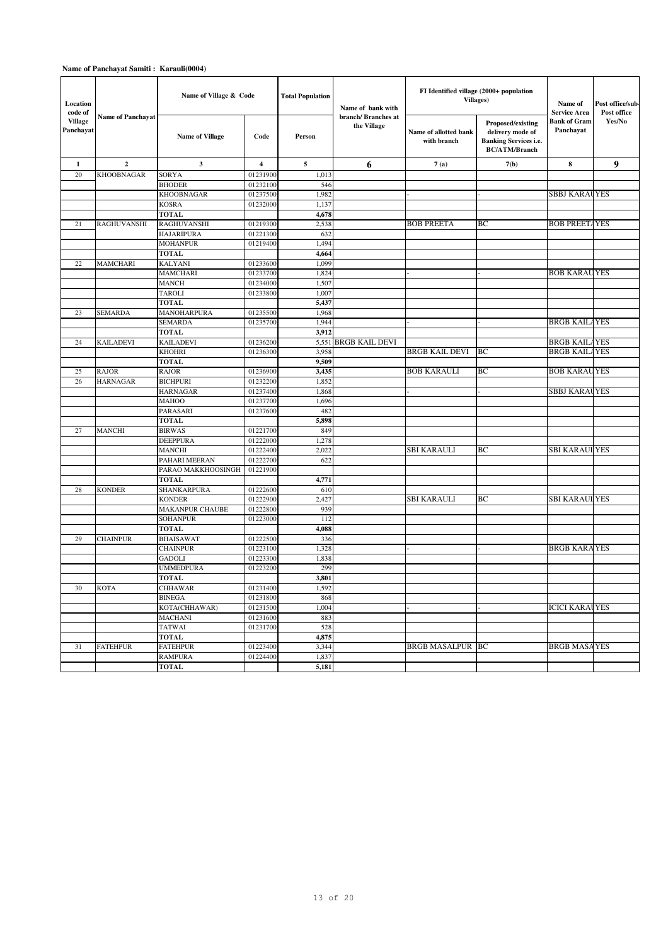| Location<br>code of         |                          | Name of Village & Code |          | <b>Total Population</b> | Name of bank with                 | FI Identified village (2000+ population<br>Villages) | Name of<br><b>Service Area</b>                                                                | Post office/sub-<br>Post office  |        |
|-----------------------------|--------------------------|------------------------|----------|-------------------------|-----------------------------------|------------------------------------------------------|-----------------------------------------------------------------------------------------------|----------------------------------|--------|
| <b>Village</b><br>Panchayat | <b>Name of Panchavat</b> | Name of Village        | Code     | Person                  | branch/Branches at<br>the Village | Name of allotted bank<br>with branch                 | Proposed/existing<br>delivery mode of<br><b>Banking Services i.e.</b><br><b>BC/ATM/Branch</b> | <b>Bank of Gram</b><br>Panchayat | Yes/No |
| 1                           | $\overline{2}$           | 3                      | 4        | 5                       | 6                                 | 7(a)                                                 | 7(b)                                                                                          | 8                                | 9      |
| 20                          | <b>KHOOBNAGAR</b>        | <b>SORYA</b>           | 01231900 | 1,013                   |                                   |                                                      |                                                                                               |                                  |        |
|                             |                          | <b>BHODER</b>          | 01232100 | 546                     |                                   |                                                      |                                                                                               |                                  |        |
|                             |                          | <b>KHOOBNAGAR</b>      | 01237500 | 1,982                   |                                   |                                                      |                                                                                               | <b>SBBJ KARAUYES</b>             |        |
|                             |                          | <b>KOSRA</b>           | 01232000 | 1,137                   |                                   |                                                      |                                                                                               |                                  |        |
|                             |                          | <b>TOTAL</b>           |          | 4,678                   |                                   |                                                      |                                                                                               |                                  |        |
| 21                          | <b>RAGHUVANSHI</b>       | <b>RAGHUVANSHI</b>     | 01219300 | 2,538                   |                                   | <b>BOB PREETA</b>                                    | BС                                                                                            | <b>BOB PREETAYES</b>             |        |
|                             |                          | <b>HAJARIPURA</b>      | 01221300 | 632                     |                                   |                                                      |                                                                                               |                                  |        |
|                             |                          | <b>MOHANPUR</b>        | 01219400 | 1,494                   |                                   |                                                      |                                                                                               |                                  |        |
|                             |                          | <b>TOTAL</b>           |          | 4,664                   |                                   |                                                      |                                                                                               |                                  |        |
| 22                          | MAMCHARI                 | <b>KALYANI</b>         | 01233600 | 1,099                   |                                   |                                                      |                                                                                               |                                  |        |
|                             |                          | <b>MAMCHARI</b>        | 01233700 | 1,824                   |                                   |                                                      |                                                                                               | <b>BOB KARAUYES</b>              |        |
|                             |                          | <b>MANCH</b>           | 01234000 | 1,507                   |                                   |                                                      |                                                                                               |                                  |        |
|                             |                          | <b>TAROLI</b>          | 01233800 | 1,007                   |                                   |                                                      |                                                                                               |                                  |        |
|                             |                          | <b>TOTAL</b>           |          | 5,437                   |                                   |                                                      |                                                                                               |                                  |        |
| 23                          | <b>SEMARDA</b>           | MANOHARPURA            | 01235500 | 1,968                   |                                   |                                                      |                                                                                               |                                  |        |
|                             |                          | <b>SEMARDA</b>         | 01235700 | 1,944                   |                                   |                                                      |                                                                                               | <b>BRGB KAILAYES</b>             |        |
|                             |                          | <b>TOTAL</b>           |          | 3,912                   |                                   |                                                      |                                                                                               |                                  |        |
| 24                          | <b>KAILADEVI</b>         | <b>KAILADEVI</b>       | 01236200 | 5,551                   | <b>BRGB KAIL DEVI</b>             |                                                      |                                                                                               | <b>BRGB KAILAYES</b>             |        |
|                             |                          | <b>KHOHRI</b>          | 01236300 | 3,958                   |                                   | <b>BRGB KAIL DEVI</b>                                | BC                                                                                            | <b>BRGB KAILAYES</b>             |        |
|                             |                          | <b>TOTAL</b>           |          | 9,509                   |                                   |                                                      |                                                                                               |                                  |        |
| 25                          | <b>RAJOR</b>             | <b>RAJOR</b>           | 01236900 | 3,435                   |                                   | <b>BOB KARAULI</b>                                   | ВC                                                                                            | <b>BOB KARAUYES</b>              |        |
| 26                          | <b>HARNAGAR</b>          | <b>BICHPURI</b>        | 01232200 | 1,852                   |                                   |                                                      |                                                                                               |                                  |        |
|                             |                          | <b>HARNAGAR</b>        | 01237400 | 1,868                   |                                   |                                                      |                                                                                               | <b>SBBJ KARAUYES</b>             |        |
|                             |                          | <b>MAHOO</b>           | 01237700 | 1,696                   |                                   |                                                      |                                                                                               |                                  |        |
|                             |                          | PARASARI               | 01237600 | 482                     |                                   |                                                      |                                                                                               |                                  |        |
|                             |                          | <b>TOTAL</b>           |          | 5,898                   |                                   |                                                      |                                                                                               |                                  |        |
| 27                          | MANCHI                   | <b>BIRWAS</b>          | 01221700 | 849                     |                                   |                                                      |                                                                                               |                                  |        |
|                             |                          | <b>DEEPPURA</b>        | 01222000 | 1,278                   |                                   |                                                      |                                                                                               |                                  |        |
|                             |                          | <b>MANCHI</b>          | 01222400 | 2,022                   |                                   | <b>SBI KARAULI</b>                                   | ВC                                                                                            | <b>SBI KARAUI YES</b>            |        |
|                             |                          | PAHARI MEERAN          | 01222700 | 622                     |                                   |                                                      |                                                                                               |                                  |        |
|                             |                          | PARAO MAKKHOOSINGH     | 01221900 |                         |                                   |                                                      |                                                                                               |                                  |        |
|                             |                          | <b>TOTAL</b>           |          | 4,771                   |                                   |                                                      |                                                                                               |                                  |        |
| 28                          | <b>KONDER</b>            | SHANKARPURA            | 01222600 | 610                     |                                   |                                                      |                                                                                               |                                  |        |
|                             |                          | <b>KONDER</b>          | 01222900 | 2,427                   |                                   | <b>SBI KARAULI</b>                                   | ВC                                                                                            | <b>SBI KARAUI YES</b>            |        |
|                             |                          | <b>MAKANPUR CHAUBE</b> | 01222800 | 939                     |                                   |                                                      |                                                                                               |                                  |        |
|                             |                          | <b>SOHANPUR</b>        | 01223000 | 112                     |                                   |                                                      |                                                                                               |                                  |        |
|                             |                          | <b>TOTAL</b>           |          | 4,088                   |                                   |                                                      |                                                                                               |                                  |        |
| 29                          | <b>CHAINPUR</b>          | <b>BHAISAWAT</b>       | 01222500 | 336                     |                                   |                                                      |                                                                                               |                                  |        |
|                             |                          | <b>CHAINPUR</b>        | 01223100 | 1,328                   |                                   |                                                      |                                                                                               | <b>BRGB KARAYES</b>              |        |
|                             |                          | <b>GADOLI</b>          | 01223300 | 1,838                   |                                   |                                                      |                                                                                               |                                  |        |
|                             |                          | <b>UMMEDPURA</b>       | 01223200 | 299                     |                                   |                                                      |                                                                                               |                                  |        |
|                             |                          | <b>TOTAL</b>           |          | 3.801                   |                                   |                                                      |                                                                                               |                                  |        |
| 30                          | <b>KOTA</b>              | <b>CHHAWAR</b>         | 01231400 | 1,592                   |                                   |                                                      |                                                                                               |                                  |        |
|                             |                          | <b>BINEGA</b>          | 01231800 | 868                     |                                   |                                                      |                                                                                               |                                  |        |
|                             |                          | KOTA(CHHAWAR)          | 01231500 | 1,004                   |                                   |                                                      |                                                                                               | <b>ICICI KARAUYES</b>            |        |
|                             |                          | <b>MACHANI</b>         | 01231600 | 883                     |                                   |                                                      |                                                                                               |                                  |        |
|                             |                          | <b>TATWAI</b>          | 01231700 | 528                     |                                   |                                                      |                                                                                               |                                  |        |
|                             |                          | <b>TOTAL</b>           |          | 4,875                   |                                   |                                                      |                                                                                               | <b>BRGB MASAYES</b>              |        |
| 31                          | <b>FATEHPUR</b>          | <b>FATEHPUR</b>        | 01223400 | 3,344                   |                                   | <b>BRGB MASALPUR BC</b>                              |                                                                                               |                                  |        |
|                             |                          | <b>RAMPURA</b>         | 01224400 | 1,837                   |                                   |                                                      |                                                                                               |                                  |        |
|                             |                          | <b>TOTAL</b>           |          | 5,181                   |                                   |                                                      |                                                                                               |                                  |        |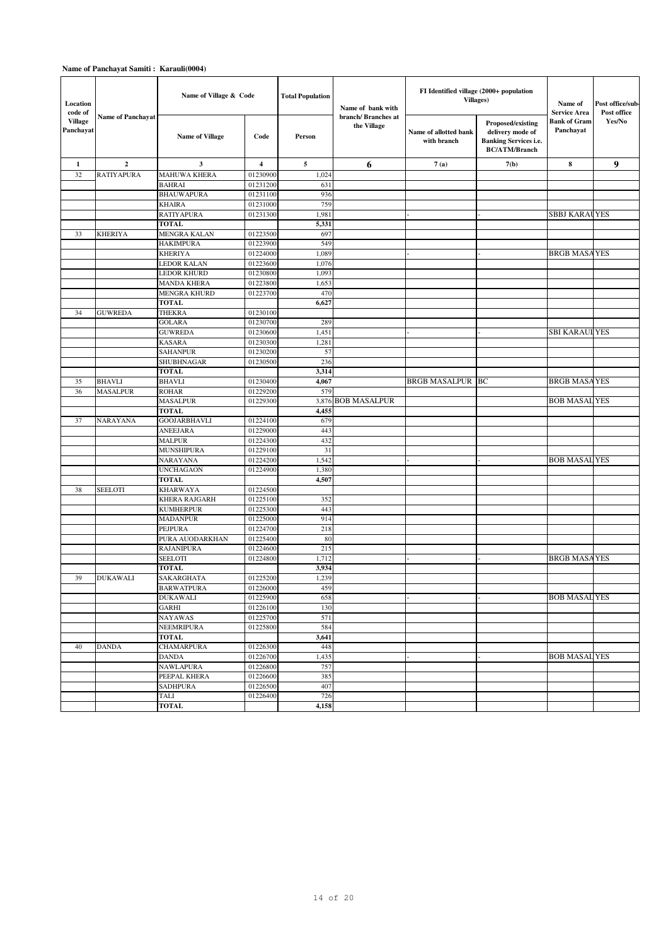| Location<br>code of         |                          | Name of Village & Code           |                         | <b>Total Population</b> | Name of bank with<br>branch/Branches at                                                                                                              | FI Identified village (2000+ population<br>Villages) | Name of<br><b>Service Area</b> | Post office/sub-<br>Post office |   |
|-----------------------------|--------------------------|----------------------------------|-------------------------|-------------------------|------------------------------------------------------------------------------------------------------------------------------------------------------|------------------------------------------------------|--------------------------------|---------------------------------|---|
| <b>Village</b><br>Panchayat | <b>Name of Panchayat</b> | <b>Name of Village</b>           | Code                    | Person                  | Proposed/existing<br>the Village<br>Name of allotted bank<br>delivery mode of<br>with branch<br><b>Banking Services i.e.</b><br><b>BC/ATM/Branch</b> | <b>Bank of Gram</b><br>Panchayat                     | Yes/No                         |                                 |   |
| $\mathbf{1}$                | $\mathbf{2}$             | 3                                | $\overline{\mathbf{4}}$ | 5                       | 6                                                                                                                                                    | 7(a)                                                 | 7(b)                           | 8                               | 9 |
| 32                          | <b>RATIYAPURA</b>        | <b>MAHUWA KHERA</b>              | 01230900                | 1,024                   |                                                                                                                                                      |                                                      |                                |                                 |   |
|                             |                          | <b>BAHRAI</b>                    | 01231200                | 631                     |                                                                                                                                                      |                                                      |                                |                                 |   |
|                             |                          | <b>BHAUWAPURA</b>                | 01231100                | 936                     |                                                                                                                                                      |                                                      |                                |                                 |   |
|                             |                          | KHAIRA                           | 01231000                | 759                     |                                                                                                                                                      |                                                      |                                |                                 |   |
|                             |                          | <b>RATIYAPURA</b>                | 01231300                | 1,981                   |                                                                                                                                                      |                                                      |                                | <b>SBBJ KARAUYES</b>            |   |
|                             |                          | <b>TOTAL</b>                     |                         | 5,331                   |                                                                                                                                                      |                                                      |                                |                                 |   |
| 33                          | <b>KHERIYA</b>           | MENGRA KALAN<br><b>HAKIMPURA</b> | 01223500<br>01223900    | 697<br>549              |                                                                                                                                                      |                                                      |                                |                                 |   |
|                             |                          | <b>KHERIYA</b>                   | 01224000                | 1,089                   |                                                                                                                                                      |                                                      |                                | <b>BRGB MASAYES</b>             |   |
|                             |                          | LEDOR KALAN                      | 01223600                | 1,076                   |                                                                                                                                                      |                                                      |                                |                                 |   |
|                             |                          | <b>LEDOR KHURD</b>               | 01230800                | 1,093                   |                                                                                                                                                      |                                                      |                                |                                 |   |
|                             |                          | <b>MANDA KHERA</b>               | 01223800                | 1,653                   |                                                                                                                                                      |                                                      |                                |                                 |   |
|                             |                          | MENGRA KHURD                     | 01223700                | 470                     |                                                                                                                                                      |                                                      |                                |                                 |   |
|                             |                          | <b>TOTAL</b>                     |                         | 6,627                   |                                                                                                                                                      |                                                      |                                |                                 |   |
| 34                          | <b>GUWREDA</b>           | THEKRA                           | 01230100                |                         |                                                                                                                                                      |                                                      |                                |                                 |   |
|                             |                          | <b>GOLARA</b>                    | 01230700                | 289                     |                                                                                                                                                      |                                                      |                                |                                 |   |
|                             |                          | <b>GUWREDA</b>                   | 01230600                | 1,451                   |                                                                                                                                                      |                                                      |                                | <b>SBI KARAULYES</b>            |   |
|                             |                          | <b>KASARA</b>                    | 01230300                | 1,281                   |                                                                                                                                                      |                                                      |                                |                                 |   |
|                             |                          | SAHANPUR                         | 01230200                | 57                      |                                                                                                                                                      |                                                      |                                |                                 |   |
|                             |                          | SHUBHNAGAR                       | 01230500                | 236                     |                                                                                                                                                      |                                                      |                                |                                 |   |
|                             | <b>BHAVLI</b>            | <b>TOTAL</b><br><b>BHAVLI</b>    |                         | 3,314                   |                                                                                                                                                      |                                                      | BC                             |                                 |   |
| 35<br>36                    | <b>MASALPUR</b>          | <b>ROHAR</b>                     | 01230400<br>01229200    | 4,067<br>579            |                                                                                                                                                      | BRGB MASALPUR                                        |                                | <b>BRGB MASAYES</b>             |   |
|                             |                          | <b>MASALPUR</b>                  | 01229300                |                         | 3,876 BOB MASALPUR                                                                                                                                   |                                                      |                                | <b>BOB MASAL YES</b>            |   |
|                             |                          | <b>TOTAL</b>                     |                         | 4,455                   |                                                                                                                                                      |                                                      |                                |                                 |   |
| 37                          | <b>NARAYANA</b>          | <b>GOOJARBHAVLI</b>              | 01224100                | 679                     |                                                                                                                                                      |                                                      |                                |                                 |   |
|                             |                          | <b>ANEEJARA</b>                  | 01229000                | 443                     |                                                                                                                                                      |                                                      |                                |                                 |   |
|                             |                          | <b>MALPUR</b>                    | 01224300                | 432                     |                                                                                                                                                      |                                                      |                                |                                 |   |
|                             |                          | <b>MUNSHIPURA</b>                | 01229100                | 31                      |                                                                                                                                                      |                                                      |                                |                                 |   |
|                             |                          | NARAYANA                         | 01224200                | 1,542                   |                                                                                                                                                      |                                                      |                                | <b>BOB MASAL YES</b>            |   |
|                             |                          | <b>UNCHAGAON</b>                 | 01224900                | 1,380                   |                                                                                                                                                      |                                                      |                                |                                 |   |
|                             |                          | <b>TOTAL</b>                     |                         | 4,507                   |                                                                                                                                                      |                                                      |                                |                                 |   |
| 38                          | <b>SEELOTI</b>           | KHARWAYA                         | 01224500                |                         |                                                                                                                                                      |                                                      |                                |                                 |   |
|                             |                          | KHERA RAJGARH                    | 01225100                | 352                     |                                                                                                                                                      |                                                      |                                |                                 |   |
|                             |                          | <b>KUMHERPUR</b>                 | 01225300                | 443                     |                                                                                                                                                      |                                                      |                                |                                 |   |
|                             |                          | <b>MADANPUR</b><br>PEJPURA       | 01225000<br>01224700    | 914<br>218              |                                                                                                                                                      |                                                      |                                |                                 |   |
|                             |                          | PURA AUODARKHAN                  | 01225400                | 80                      |                                                                                                                                                      |                                                      |                                |                                 |   |
|                             |                          | <b>RAJANIPURA</b>                | 01224600                | 215                     |                                                                                                                                                      |                                                      |                                |                                 |   |
|                             |                          | <b>SEELOTI</b>                   | 01224800                | 1,712                   |                                                                                                                                                      |                                                      |                                | <b>BRGB MASAYES</b>             |   |
|                             |                          | TOTAL                            |                         | 3,934                   |                                                                                                                                                      |                                                      |                                |                                 |   |
| 39                          | <b>DUKAWALI</b>          | SAKARGHATA                       | 01225200                | 1,239                   |                                                                                                                                                      |                                                      |                                |                                 |   |
|                             |                          | <b>BARWATPURA</b>                | 01226000                | 459                     |                                                                                                                                                      |                                                      |                                |                                 |   |
|                             |                          | <b>DUKAWALI</b>                  | 01225900                | 658                     |                                                                                                                                                      |                                                      |                                | <b>BOB MASAL YES</b>            |   |
|                             |                          | <b>GARHI</b>                     | 01226100                | 130                     |                                                                                                                                                      |                                                      |                                |                                 |   |
|                             |                          | NAYAWAS                          | 01225700                | 571                     |                                                                                                                                                      |                                                      |                                |                                 |   |
|                             |                          | NEEMRIPURA                       | 01225800                | 584                     |                                                                                                                                                      |                                                      |                                |                                 |   |
|                             |                          | TOTAL                            |                         | 3,641                   |                                                                                                                                                      |                                                      |                                |                                 |   |
| 40                          | <b>DANDA</b>             | <b>CHAMARPURA</b>                | 01226300                | 448                     |                                                                                                                                                      |                                                      |                                |                                 |   |
|                             |                          | DANDA                            | 01226700                | 1,435                   |                                                                                                                                                      |                                                      |                                | <b>BOB MASAL YES</b>            |   |
|                             |                          | <b>NAWLAPURA</b><br>PEEPAL KHERA | 01226800<br>01226600    | 757<br>385              |                                                                                                                                                      |                                                      |                                |                                 |   |
|                             |                          | <b>SADHPURA</b>                  | 01226500                | 407                     |                                                                                                                                                      |                                                      |                                |                                 |   |
|                             |                          | TALI                             | 01226400                | 726                     |                                                                                                                                                      |                                                      |                                |                                 |   |
|                             |                          | <b>TOTAL</b>                     |                         | 4,158                   |                                                                                                                                                      |                                                      |                                |                                 |   |
|                             |                          |                                  |                         |                         |                                                                                                                                                      |                                                      |                                |                                 |   |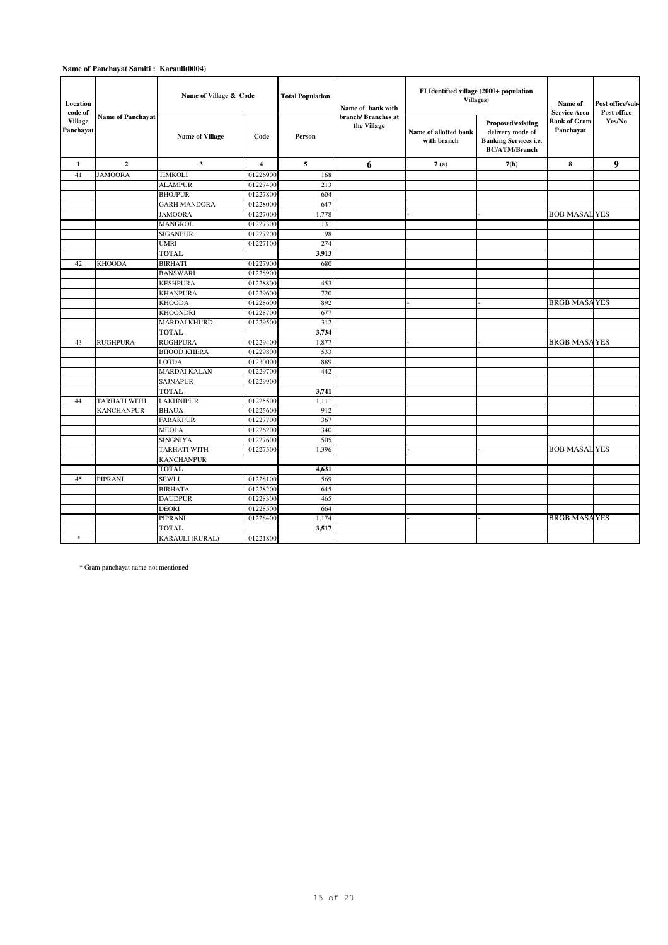| Location<br>code of         |                          | Name of Village & Code             |                         | <b>Total Population</b> | Name of bank with                 | FI Identified village (2000+ population<br><b>Villages</b> ) | Name of<br><b>Service Area</b>                                                                | Post office/sub-<br>Post office  |        |
|-----------------------------|--------------------------|------------------------------------|-------------------------|-------------------------|-----------------------------------|--------------------------------------------------------------|-----------------------------------------------------------------------------------------------|----------------------------------|--------|
| <b>Village</b><br>Panchayat | <b>Name of Panchavat</b> | <b>Name of Village</b>             | Code                    | Person                  | branch/Branches at<br>the Village | Name of allotted bank<br>with branch                         | Proposed/existing<br>delivery mode of<br><b>Banking Services i.e.</b><br><b>BC/ATM/Branch</b> | <b>Bank of Gram</b><br>Panchavat | Yes/No |
| 1                           | $\mathbf{2}$             | 3                                  | $\overline{\mathbf{4}}$ | 5                       | 6                                 | 7(a)                                                         | 7(b)                                                                                          | 8                                | 9      |
| 41                          | <b>JAMOORA</b>           | <b>TIMKOLI</b>                     | 01226900                | 168                     |                                   |                                                              |                                                                                               |                                  |        |
|                             |                          | <b>ALAMPUR</b>                     | 01227400                | 213                     |                                   |                                                              |                                                                                               |                                  |        |
|                             |                          | <b>BHOJPUR</b>                     | 01227800                | 604                     |                                   |                                                              |                                                                                               |                                  |        |
|                             |                          | <b>GARH MANDORA</b>                | 01228000                | 647                     |                                   |                                                              |                                                                                               |                                  |        |
|                             |                          | <b>JAMOORA</b>                     | 01227000                | 1,778                   |                                   |                                                              |                                                                                               | <b>BOB MASAL YES</b>             |        |
|                             |                          | <b>MANGROL</b>                     | 01227300                | 131                     |                                   |                                                              |                                                                                               |                                  |        |
|                             |                          | <b>SIGANPUR</b>                    | 01227200                | 98                      |                                   |                                                              |                                                                                               |                                  |        |
|                             |                          | <b>UMRI</b>                        | 01227100                | 274                     |                                   |                                                              |                                                                                               |                                  |        |
|                             |                          | <b>TOTAL</b>                       |                         | 3,913                   |                                   |                                                              |                                                                                               |                                  |        |
| 42                          | <b>KHOODA</b>            | <b>BIRHATI</b>                     | 01227900                | 680                     |                                   |                                                              |                                                                                               |                                  |        |
|                             |                          | <b>BANSWARI</b>                    | 01228900                |                         |                                   |                                                              |                                                                                               |                                  |        |
|                             |                          | <b>KESHPURA</b><br><b>KHANPURA</b> | 01228800<br>01229600    | 453<br>720              |                                   |                                                              |                                                                                               |                                  |        |
|                             |                          | <b>KHOODA</b>                      | 01228600                | 892                     |                                   |                                                              |                                                                                               | <b>BRGB MASAYES</b>              |        |
|                             |                          | <b>KHOONDRI</b>                    | 01228700                | 677                     |                                   |                                                              |                                                                                               |                                  |        |
|                             |                          | <b>MARDAI KHURD</b>                | 01229500                | 312                     |                                   |                                                              |                                                                                               |                                  |        |
|                             |                          | <b>TOTAL</b>                       |                         | 3,734                   |                                   |                                                              |                                                                                               |                                  |        |
| 43                          | <b>RUGHPURA</b>          | <b>RUGHPURA</b>                    | 01229400                | 1,877                   |                                   |                                                              |                                                                                               | <b>BRGB MASAYES</b>              |        |
|                             |                          | <b>BHOOD KHERA</b>                 | 01229800                | 533                     |                                   |                                                              |                                                                                               |                                  |        |
|                             |                          | LOTDA                              | 01230000                | 889                     |                                   |                                                              |                                                                                               |                                  |        |
|                             |                          | <b>MARDAI KALAN</b>                | 01229700                | 442                     |                                   |                                                              |                                                                                               |                                  |        |
|                             |                          | <b>SAJNAPUR</b>                    | 01229900                |                         |                                   |                                                              |                                                                                               |                                  |        |
|                             |                          | <b>TOTAL</b>                       |                         | 3,741                   |                                   |                                                              |                                                                                               |                                  |        |
| 44                          | TARHATI WITH             | LAKHNIPUR                          | 01225500                | 1,111                   |                                   |                                                              |                                                                                               |                                  |        |
|                             | <b>KANCHANPUR</b>        | <b>BHAUA</b>                       | 01225600                | 912                     |                                   |                                                              |                                                                                               |                                  |        |
|                             |                          | <b>FARAKPUR</b>                    | 01227700                | 367                     |                                   |                                                              |                                                                                               |                                  |        |
|                             |                          | <b>MEOLA</b>                       | 01226200                | 340                     |                                   |                                                              |                                                                                               |                                  |        |
|                             |                          | <b>SINGNIYA</b>                    | 01227600                | 505                     |                                   |                                                              |                                                                                               |                                  |        |
|                             |                          | <b>TARHATI WITH</b>                | 01227500                | 1,396                   |                                   |                                                              |                                                                                               | <b>BOB MASAL YES</b>             |        |
|                             |                          | <b>KANCHANPUR</b>                  |                         |                         |                                   |                                                              |                                                                                               |                                  |        |
|                             |                          | <b>TOTAL</b>                       |                         | 4,631                   |                                   |                                                              |                                                                                               |                                  |        |
| 45                          | PIPRANI                  | <b>SEWLI</b>                       | 01228100                | 569                     |                                   |                                                              |                                                                                               |                                  |        |
|                             |                          | <b>BIRHATA</b>                     | 01228200                | 645                     |                                   |                                                              |                                                                                               |                                  |        |
|                             |                          | <b>DAUDPUR</b>                     | 01228300                | 465                     |                                   |                                                              |                                                                                               |                                  |        |
|                             |                          | <b>DEORI</b>                       | 01228500                | 664                     |                                   |                                                              |                                                                                               |                                  |        |
|                             |                          | PIPRANI<br><b>TOTAL</b>            | 01228400                | 1,174<br>3,517          |                                   |                                                              |                                                                                               | <b>BRGB MASAYES</b>              |        |
| $\ast$                      |                          |                                    |                         |                         |                                   |                                                              |                                                                                               |                                  |        |
|                             |                          | KARAULI (RURAL)                    | 01221800                |                         |                                   |                                                              |                                                                                               |                                  |        |

\* Gram panchayat name not mentioned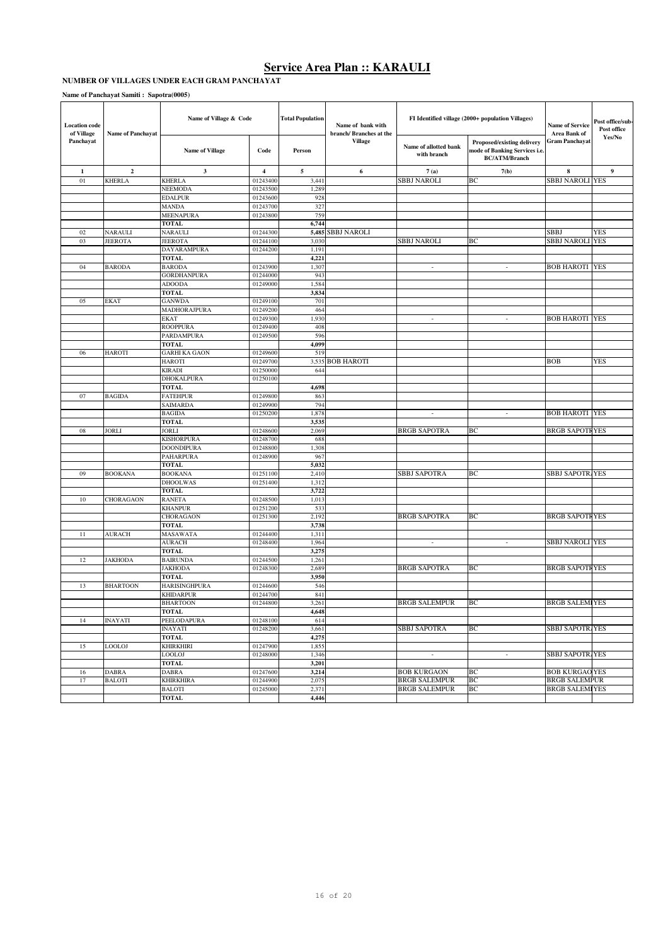#### **NUMBER OF VILLAGES UNDER EACH GRAM PANCHAYAT**

| <b>Location</b> code<br>of Village | Name of Panchayat | Name of Village & Code             |                      | <b>Total Population</b><br>Name of bank with<br>branch/ Branches at the |                   | FI Identified village (2000+ population Villages) | <b>Name of Service</b><br>Area Bank of                                              | Post office/sub-<br>Post office |        |
|------------------------------------|-------------------|------------------------------------|----------------------|-------------------------------------------------------------------------|-------------------|---------------------------------------------------|-------------------------------------------------------------------------------------|---------------------------------|--------|
| Panchayat                          |                   | <b>Name of Village</b>             | Code                 | Person                                                                  | <b>Village</b>    | Name of allotted bank<br>with branch              | Proposed/existing delivery<br>mode of Banking Services i.e.<br><b>BC/ATM/Branch</b> | <b>Gram Panchayat</b>           | Yes/No |
| 1                                  | $\overline{2}$    | 3                                  | $\overline{4}$       | 5                                                                       | 6                 | 7(a)                                              | 7(b)                                                                                | 8                               | 9      |
| 01                                 | <b>KHERLA</b>     | <b>KHERLA</b>                      | 01243400             | 3,441                                                                   |                   | <b>SBBJ NAROLI</b>                                | BC                                                                                  | <b>SBBJ NAROLI YES</b>          |        |
|                                    |                   | NEEMODA                            | 01243500             | 1,289                                                                   |                   |                                                   |                                                                                     |                                 |        |
|                                    |                   | <b>EDALPUR</b>                     | 01243600             | 928                                                                     |                   |                                                   |                                                                                     |                                 |        |
|                                    |                   | <b>MANDA</b>                       | 01243700             | 327                                                                     |                   |                                                   |                                                                                     |                                 |        |
|                                    |                   | <b>MEENAPURA</b><br><b>TOTAL</b>   | 01243800             | 759<br>6,744                                                            |                   |                                                   |                                                                                     |                                 |        |
| 02                                 | NARAULI           | <b>NARAULI</b>                     | 01244300             |                                                                         | 5,485 SBBJ NAROLI |                                                   |                                                                                     | <b>SBBJ</b>                     | YES    |
| 03                                 | <b>JEEROTA</b>    | <b>JEEROTA</b>                     | 01244100             | 3,030                                                                   |                   | SBBJ NAROLI                                       | BС                                                                                  | <b>SBBJ NAROLI YES</b>          |        |
|                                    |                   | <b>DAYARAMPURA</b>                 | 01244200             | 1,191                                                                   |                   |                                                   |                                                                                     |                                 |        |
|                                    |                   | TOTAL                              |                      | 4,221                                                                   |                   |                                                   |                                                                                     |                                 |        |
| 04                                 | <b>BARODA</b>     | <b>BARODA</b>                      | 01243900             | 1,307                                                                   |                   | $\sim$                                            | $\sim$                                                                              | <b>BOB HAROTI YES</b>           |        |
|                                    |                   | <b>GORDHANPURA</b>                 | 01244000             | 943                                                                     |                   |                                                   |                                                                                     |                                 |        |
|                                    |                   | <b>ADOODA</b>                      | 01249000             | 1,584                                                                   |                   |                                                   |                                                                                     |                                 |        |
|                                    |                   | <b>TOTAL</b>                       |                      | 3,834                                                                   |                   |                                                   |                                                                                     |                                 |        |
| 05                                 | EKAT              | <b>GANWDA</b>                      | 01249100             | 701                                                                     |                   |                                                   |                                                                                     |                                 |        |
|                                    |                   | MADHORAJPURA<br><b>EKAT</b>        | 01249200<br>01249300 | 464<br>1,930                                                            |                   | $\overline{\phantom{a}}$                          | $\overline{\phantom{a}}$                                                            | <b>BOB HAROTI YES</b>           |        |
|                                    |                   | <b>ROOPPURA</b>                    | 01249400             | 408                                                                     |                   |                                                   |                                                                                     |                                 |        |
|                                    |                   | PARDAMPURA                         | 01249500             | 596                                                                     |                   |                                                   |                                                                                     |                                 |        |
|                                    |                   | TOTAL                              |                      | 4,099                                                                   |                   |                                                   |                                                                                     |                                 |        |
| 06                                 | <b>HAROTI</b>     | <b>GARHI KA GAON</b>               | 01249600             | 519                                                                     |                   |                                                   |                                                                                     |                                 |        |
|                                    |                   | <b>HAROTI</b>                      | 01249700             |                                                                         | 3,535 BOB HAROTI  |                                                   |                                                                                     | <b>BOB</b>                      | YES    |
|                                    |                   | <b>KIRADI</b>                      | 01250000             | 644                                                                     |                   |                                                   |                                                                                     |                                 |        |
|                                    |                   | <b>DHOKALPURA</b>                  | 01250100             |                                                                         |                   |                                                   |                                                                                     |                                 |        |
|                                    |                   | <b>TOTAL</b>                       |                      | 4,698                                                                   |                   |                                                   |                                                                                     |                                 |        |
| 07                                 | <b>BAGIDA</b>     | <b>FATEHPUR</b>                    | 01249800             | 863                                                                     |                   |                                                   |                                                                                     |                                 |        |
|                                    |                   | SAIMARDA                           | 01249900             | 794                                                                     |                   |                                                   |                                                                                     |                                 |        |
|                                    |                   | <b>BAGIDA</b><br><b>TOTAL</b>      | 01250200             | 1,878                                                                   |                   | $\overline{\phantom{a}}$                          | $\sim$                                                                              | <b>BOB HAROTI YES</b>           |        |
| 08                                 | <b>JORLI</b>      | <b>JORLI</b>                       | 01248600             | 3,535<br>2,069                                                          |                   | <b>BRGB SAPOTRA</b>                               | BС                                                                                  | <b>BRGB SAPOTFYES</b>           |        |
|                                    |                   | <b>KISHORPURA</b>                  | 01248700             | 688                                                                     |                   |                                                   |                                                                                     |                                 |        |
|                                    |                   | <b>DOONDIPURA</b>                  | 01248800             | 1,308                                                                   |                   |                                                   |                                                                                     |                                 |        |
|                                    |                   | <b>PAHARPURA</b>                   | 01248900             | 967                                                                     |                   |                                                   |                                                                                     |                                 |        |
|                                    |                   | <b>TOTAL</b>                       |                      | 5,032                                                                   |                   |                                                   |                                                                                     |                                 |        |
| 09                                 | <b>BOOKANA</b>    | <b>BOOKANA</b>                     | 01251100             | 2,410                                                                   |                   | SBBJ SAPOTRA                                      | BС                                                                                  | SBBJ SAPOTR, YES                |        |
|                                    |                   | <b>DHOOLWAS</b>                    | 01251400             | 1,312                                                                   |                   |                                                   |                                                                                     |                                 |        |
|                                    |                   | TOTAL                              |                      | 3,722                                                                   |                   |                                                   |                                                                                     |                                 |        |
| 10                                 | CHORAGAON         | <b>RANETA</b>                      | 01248500             | 1,013                                                                   |                   |                                                   |                                                                                     |                                 |        |
|                                    |                   | <b>KHANPUR</b>                     | 01251200             | 533                                                                     |                   |                                                   |                                                                                     |                                 |        |
|                                    |                   | CHORAGAON<br><b>TOTAL</b>          | 01251300             | 2,192<br>3,738                                                          |                   | <b>BRGB SAPOTRA</b>                               | BС                                                                                  | <b>BRGB SAPOTFYES</b>           |        |
| 11                                 | <b>AURACH</b>     | MASAWATA                           | 01244400             | 1,311                                                                   |                   |                                                   |                                                                                     |                                 |        |
|                                    |                   | AURACH                             | 01248400             | 1,964                                                                   |                   | $\overline{\phantom{a}}$                          | $\overline{\phantom{a}}$                                                            | <b>SBBJ NAROLI YES</b>          |        |
|                                    |                   | <b>TOTAL</b>                       |                      | 3,275                                                                   |                   |                                                   |                                                                                     |                                 |        |
| 12                                 | <b>JAKHODA</b>    | <b>BAIRUNDA</b>                    | 01244500             | 1,261                                                                   |                   |                                                   |                                                                                     |                                 |        |
|                                    |                   | <b>JAKHODA</b>                     | 01248300             | 2,689                                                                   |                   | <b>BRGB SAPOTRA</b>                               | BC                                                                                  | <b>BRGB SAPOTF YES</b>          |        |
|                                    |                   | <b>TOTAL</b>                       |                      | 3,950                                                                   |                   |                                                   |                                                                                     |                                 |        |
| 13                                 | <b>BHARTOON</b>   | HARISINGHPURA                      | 01244600             | 546                                                                     |                   |                                                   |                                                                                     |                                 |        |
|                                    |                   | <b>KHIDARPUR</b>                   | 01244700             | 841                                                                     |                   |                                                   |                                                                                     |                                 |        |
|                                    |                   | <b>BHARTOON</b>                    | 01244800             | 3,261                                                                   |                   | <b>BRGB SALEMPUR</b>                              | BC                                                                                  | <b>BRGB SALEMIYES</b>           |        |
| 14                                 | <b>INAYATI</b>    | <b>TOTAL</b><br><b>PEELODAPURA</b> | 01248100             | 4,648<br>614                                                            |                   |                                                   |                                                                                     |                                 |        |
|                                    |                   | <b>INAYATI</b>                     | 01248200             | 3,661                                                                   |                   | SBBJ SAPOTRA                                      | BC                                                                                  | <b>SBBJ SAPOTR YES</b>          |        |
|                                    |                   | <b>TOTAL</b>                       |                      | 4,275                                                                   |                   |                                                   |                                                                                     |                                 |        |
| 15                                 | <b>LOOLOJ</b>     | <b>KHIRKHIRI</b>                   | 01247900             | 1,855                                                                   |                   |                                                   |                                                                                     |                                 |        |
|                                    |                   | <b>LOOLOJ</b>                      | 01248000             | 1,346                                                                   |                   | $\overline{\phantom{a}}$                          | $\overline{\phantom{a}}$                                                            | <b>SBBJ SAPOTR, YES</b>         |        |
|                                    |                   | <b>TOTAL</b>                       |                      | 3,201                                                                   |                   |                                                   |                                                                                     |                                 |        |
| 16                                 | <b>DABRA</b>      | <b>DABRA</b>                       | 01247600             | 3,214                                                                   |                   | <b>BOB KURGAON</b>                                | BC                                                                                  | <b>BOB KURGAO YES</b>           |        |
| $17\,$                             | <b>BALOTI</b>     | <b>KHIRKHIRA</b>                   | 01244900             | 2,075                                                                   |                   | <b>BRGB SALEMPUR</b>                              | BC                                                                                  | <b>BRGB SALEMPUR</b>            |        |
|                                    |                   | <b>BALOTI</b>                      | 01245000             | 2,371                                                                   |                   | <b>BRGB SALEMPUR</b>                              | BC                                                                                  | <b>BRGB SALEMI YES</b>          |        |
|                                    |                   | <b>TOTAL</b>                       |                      | 4,446                                                                   |                   |                                                   |                                                                                     |                                 |        |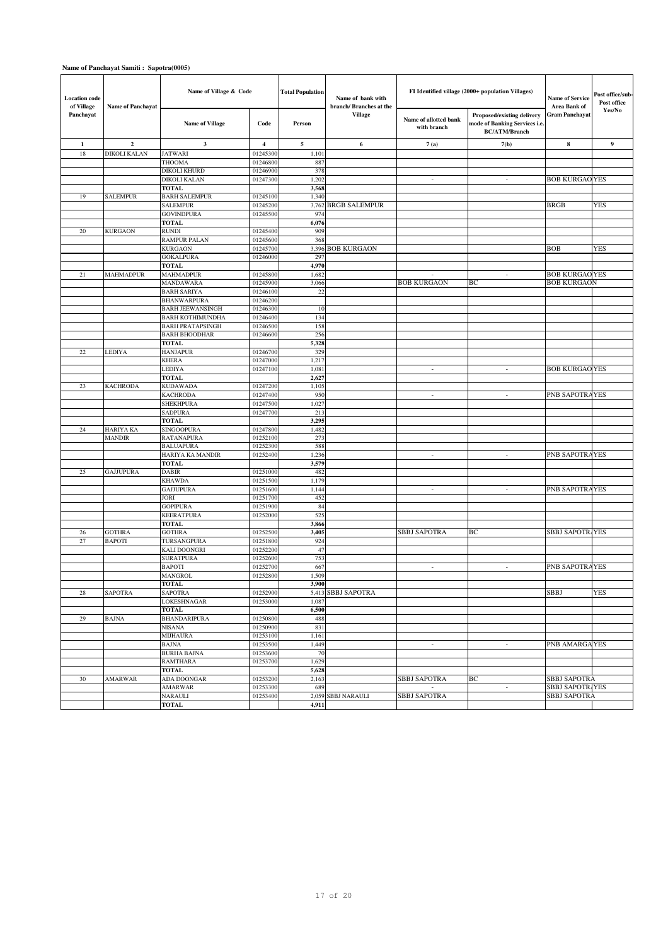| <b>Location</b> code<br>of Village | Name of Panchayat          | Name of Village & Code               |                      | <b>Total Population</b><br>Name of bank with<br>branch/ Branches at the |                      | FI Identified village (2000+ population Villages) | <b>Name of Service</b><br>Area Bank of                                              | Post office/sub-<br>Post office |        |
|------------------------------------|----------------------------|--------------------------------------|----------------------|-------------------------------------------------------------------------|----------------------|---------------------------------------------------|-------------------------------------------------------------------------------------|---------------------------------|--------|
| Panchayat                          |                            | <b>Name of Village</b>               | Code                 | Person                                                                  | Village              | Name of allotted bank<br>with branch              | Proposed/existing delivery<br>mode of Banking Services i.e.<br><b>BC/ATM/Branch</b> | <b>Gram Panchayat</b>           | Yes/No |
| 1                                  | $\overline{2}$             | 3                                    | 4                    | 5                                                                       | 6                    | 7(a)                                              | 7(b)                                                                                | 8                               | 9      |
| 18                                 | DIKOLI KALAN               | <b>JATWARI</b>                       | 01245300             | 1,101                                                                   |                      |                                                   |                                                                                     |                                 |        |
|                                    |                            | THOOMA                               | 01246800             | 887                                                                     |                      |                                                   |                                                                                     |                                 |        |
|                                    |                            | DIKOLI KHURD                         | 01246900             | 378                                                                     |                      | $\overline{a}$                                    | $\overline{\phantom{a}}$                                                            |                                 |        |
|                                    |                            | DIKOLI KALAN<br><b>TOTAL</b>         | 01247300             | 1,202<br>3,568                                                          |                      |                                                   |                                                                                     | <b>BOB KURGAO YES</b>           |        |
| 19                                 | <b>SALEMPUR</b>            | <b>BARH SALEMPUR</b>                 | 01245100             | 1,340                                                                   |                      |                                                   |                                                                                     |                                 |        |
|                                    |                            | <b>SALEMPUR</b>                      | 01245200             | 3,762                                                                   | <b>BRGB SALEMPUR</b> |                                                   |                                                                                     | <b>BRGB</b>                     | YES    |
|                                    |                            | <b>GOVINDPURA</b>                    | 01245500             | 974                                                                     |                      |                                                   |                                                                                     |                                 |        |
|                                    |                            | <b>TOTAL</b>                         |                      | 6,076                                                                   |                      |                                                   |                                                                                     |                                 |        |
| 20                                 | <b>KURGAON</b>             | RUNDI                                | 01245400             | 909                                                                     |                      |                                                   |                                                                                     |                                 |        |
|                                    |                            | RAMPUR PALAN                         | 01245600             | 368                                                                     |                      |                                                   |                                                                                     |                                 |        |
|                                    |                            | <b>KURGAON</b>                       | 01245700             |                                                                         | 3,396 BOB KURGAON    |                                                   |                                                                                     | <b>BOB</b>                      | YES    |
|                                    |                            | <b>GOKALPURA</b>                     | 01246000             | 297                                                                     |                      |                                                   |                                                                                     |                                 |        |
| 21                                 | <b>MAHMADPUR</b>           | <b>TOTAL</b><br><b>MAHMADPUR</b>     | 01245800             | 4,970<br>1,682                                                          |                      |                                                   | $\overline{\phantom{a}}$                                                            | <b>BOB KURGAO YES</b>           |        |
|                                    |                            | <b>MANDAWARA</b>                     | 01245900             | 3,066                                                                   |                      | <b>BOB KURGAON</b>                                | BС                                                                                  | <b>BOB KURGAON</b>              |        |
|                                    |                            | <b>BARH SARIYA</b>                   | 01246100             | 22                                                                      |                      |                                                   |                                                                                     |                                 |        |
|                                    |                            | <b>BHANWARPURA</b>                   | 01246200             |                                                                         |                      |                                                   |                                                                                     |                                 |        |
|                                    |                            | <b>BARH JEEWANSINGH</b>              | 01246300             | 10                                                                      |                      |                                                   |                                                                                     |                                 |        |
|                                    |                            | <b>BARH KOTHIMUNDHA</b>              | 01246400             | 134                                                                     |                      |                                                   |                                                                                     |                                 |        |
|                                    |                            | <b>BARH PRATAPSINGH</b>              | 01246500             | 158                                                                     |                      |                                                   |                                                                                     |                                 |        |
|                                    |                            | <b>BARH BHOODHAR</b>                 | 01246600             | 256                                                                     |                      |                                                   |                                                                                     |                                 |        |
|                                    |                            | <b>TOTAL</b><br><b>HANJAPUR</b>      |                      | 5,328                                                                   |                      |                                                   |                                                                                     |                                 |        |
| $22\,$                             | <b>LEDIYA</b>              | <b>KHERA</b>                         | 01246700<br>01247000 | 329<br>1,217                                                            |                      |                                                   |                                                                                     |                                 |        |
|                                    |                            | LEDIYA                               | 01247100             | 1,081                                                                   |                      | $\overline{a}$                                    | $\overline{\phantom{a}}$                                                            | <b>BOB KURGAO YES</b>           |        |
|                                    |                            | <b>TOTAL</b>                         |                      | 2,627                                                                   |                      |                                                   |                                                                                     |                                 |        |
| 23                                 | <b>KACHRODA</b>            | <b>KUDAWADA</b>                      | 01247200             | 1,105                                                                   |                      |                                                   |                                                                                     |                                 |        |
|                                    |                            | <b>KACHRODA</b>                      | 01247400             | 950                                                                     |                      | ٠                                                 | $\overline{a}$                                                                      | PNB SAPOTRAYES                  |        |
|                                    |                            | <b>SHEKHPURA</b>                     | 01247500             | 1,02                                                                    |                      |                                                   |                                                                                     |                                 |        |
|                                    |                            | <b>SADPURA</b>                       | 01247700             | 213                                                                     |                      |                                                   |                                                                                     |                                 |        |
|                                    |                            | <b>TOTAL</b>                         |                      | 3,295                                                                   |                      |                                                   |                                                                                     |                                 |        |
| 24                                 | HARIYA KA<br><b>MANDIR</b> | SINGOOPURA<br><b>RATANAPURA</b>      | 01247800<br>01252100 | 1,482<br>273                                                            |                      |                                                   |                                                                                     |                                 |        |
|                                    |                            | <b>BALUAPURA</b>                     | 01252300             | 588                                                                     |                      |                                                   |                                                                                     |                                 |        |
|                                    |                            | HARIYA KA MANDIR                     | 01252400             | 1,236                                                                   |                      | $\overline{\phantom{a}}$                          | $\mathcal{L}_{\mathcal{A}}$                                                         | PNB SAPOTRAYES                  |        |
|                                    |                            | <b>TOTAL</b>                         |                      | 3,579                                                                   |                      |                                                   |                                                                                     |                                 |        |
| 25                                 | <b>GAJJUPURA</b>           | <b>DABIR</b>                         | 01251000             | 482                                                                     |                      |                                                   |                                                                                     |                                 |        |
|                                    |                            | <b>KHAWDA</b>                        | 01251500             | 1,179                                                                   |                      |                                                   |                                                                                     |                                 |        |
|                                    |                            | <b>GAJJUPURA</b>                     | 01251600             | 1,144                                                                   |                      | $\overline{a}$                                    | $\overline{\phantom{a}}$                                                            | PNB SAPOTRAYES                  |        |
|                                    |                            | JORI                                 | 01251700             | 452                                                                     |                      |                                                   |                                                                                     |                                 |        |
|                                    |                            | <b>GOPIPURA</b><br><b>KEERATPURA</b> | 01251900<br>01252000 | 84<br>525                                                               |                      |                                                   |                                                                                     |                                 |        |
|                                    |                            | <b>TOTAL</b>                         |                      | 3,866                                                                   |                      |                                                   |                                                                                     |                                 |        |
| 26                                 | <b>GOTHRA</b>              | <b>GOTHRA</b>                        | 01252500             | 3,405                                                                   |                      | <b>SBBJ SAPOTRA</b>                               | BС                                                                                  | <b>SBBJ SAPOTR, YES</b>         |        |
| 27                                 | <b>BAPOTI</b>              | TURSANGPURA                          | 01251800             | 924                                                                     |                      |                                                   |                                                                                     |                                 |        |
|                                    |                            | KALI DOONGRI                         | 01252200             | 47                                                                      |                      |                                                   |                                                                                     |                                 |        |
|                                    |                            | <b>SURATPURA</b>                     | 01252600             | 753                                                                     |                      |                                                   |                                                                                     |                                 |        |
|                                    |                            | <b>BAPOTI</b>                        | 01252700             | 667                                                                     |                      | $\overline{a}$                                    | $\overline{\phantom{a}}$                                                            | PNB SAPOTRAYES                  |        |
|                                    |                            | MANGROL                              | 01252800             | ,509                                                                    |                      |                                                   |                                                                                     |                                 |        |
| 28                                 | SAPOTRA                    | <b>TOTAL</b><br><b>SAPOTRA</b>       | 01252900             | 3,900<br>5,413                                                          | <b>SBBJ SAPOTRA</b>  |                                                   |                                                                                     | <b>SBBJ</b>                     | YES    |
|                                    |                            | LOKESHNAGAR                          | 01253000             | 1,087                                                                   |                      |                                                   |                                                                                     |                                 |        |
|                                    |                            | TOTAL                                |                      | 6,500                                                                   |                      |                                                   |                                                                                     |                                 |        |
| 29                                 | <b>BAJNA</b>               | <b>BHANDARIPURA</b>                  | 01250800             | 488                                                                     |                      |                                                   |                                                                                     |                                 |        |
|                                    |                            | NISANA                               | 01250900             | 831                                                                     |                      |                                                   |                                                                                     |                                 |        |
|                                    |                            | <b>MIJHAURA</b>                      | 01253100             | 1,161                                                                   |                      |                                                   |                                                                                     |                                 |        |
|                                    |                            | BAJNA                                | 01253500             | 1,449                                                                   |                      | $\overline{\phantom{a}}$                          | $\overline{\phantom{a}}$                                                            | PNB AMARGA YES                  |        |
|                                    |                            | <b>BURHA BAJNA</b>                   | 01253600             | 70                                                                      |                      |                                                   |                                                                                     |                                 |        |
|                                    |                            | <b>RAMTHARA</b><br><b>TOTAL</b>      | 01253700             | 1,629<br>5,628                                                          |                      |                                                   |                                                                                     |                                 |        |
| 30                                 | <b>AMARWAR</b>             | ADA DOONGAR                          | 01253200             | 2,163                                                                   |                      | <b>SBBJ SAPOTRA</b>                               | BC                                                                                  | <b>SBBJ SAPOTRA</b>             |        |
|                                    |                            | <b>AMARWAR</b>                       | 01253300             | 689                                                                     |                      |                                                   | ÷,                                                                                  | SBBJ SAPOTR, YES                |        |
|                                    |                            | <b>NARAULI</b>                       | 01253400             |                                                                         | 2,059 SBBJ NARAULI   | SBBJ SAPOTRA                                      |                                                                                     | <b>SBBJ SAPOTRA</b>             |        |
|                                    |                            | <b>TOTAL</b>                         |                      | 4,911                                                                   |                      |                                                   |                                                                                     |                                 |        |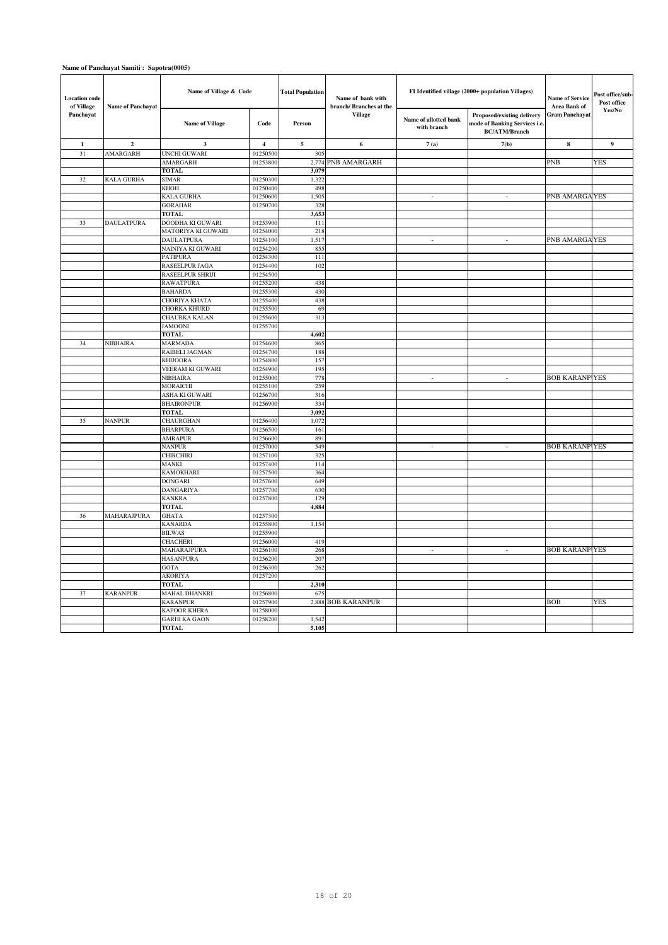| <b>Location</b> code<br>of Village | <b>Name of Panchayat</b> | Name of Village & Code                 |                         | <b>Total Population</b><br>Name of bank with | branch/ Branches at the | FI Identified village (2000+ population Villages) | Name of Service<br>Area Bank of                                                    | Post office/sub-<br>Post office |        |
|------------------------------------|--------------------------|----------------------------------------|-------------------------|----------------------------------------------|-------------------------|---------------------------------------------------|------------------------------------------------------------------------------------|---------------------------------|--------|
| Panchayat                          |                          | <b>Name of Village</b>                 | Code                    | Person                                       | <b>Village</b>          | Name of allotted bank<br>with branch              | Proposed/existing delivery<br>mode of Banking Services i.e<br><b>BC/ATM/Branch</b> | Gram Panchayat                  | Yes/No |
| $\mathbf 1$                        | $\overline{2}$           | 3                                      | $\overline{\mathbf{4}}$ | $\sqrt{5}$                                   | 6                       | 7(a)                                              | 7(b)                                                                               | $\bf8$                          | 9      |
| 31                                 | AMARGARH                 | UNCHI GUWARI                           | 01250500                | 305                                          |                         |                                                   |                                                                                    |                                 |        |
|                                    |                          | <b>AMARGARH</b>                        | 01253800                | 2,774                                        | PNB AMARGARH            |                                                   |                                                                                    | <b>PNB</b>                      | YES    |
|                                    |                          | <b>TOTAL</b>                           |                         | 3,079                                        |                         |                                                   |                                                                                    |                                 |        |
| 32                                 | <b>KALA GURHA</b>        | <b>SIMAR</b>                           | 01250300                | 1,322                                        |                         |                                                   |                                                                                    |                                 |        |
|                                    |                          | KHOH<br>KALA GURHA                     | 01250400<br>01250600    | 498<br>1,505                                 |                         | $\overline{\phantom{a}}$                          | $\sim$                                                                             | PNB AMARGA YES                  |        |
|                                    |                          | <b>GORAHAR</b>                         | 01250700                | 328                                          |                         |                                                   |                                                                                    |                                 |        |
|                                    |                          | <b>TOTAL</b>                           |                         | 3,653                                        |                         |                                                   |                                                                                    |                                 |        |
| 33                                 | <b>DAULATPURA</b>        | <b>DOODHA KI GUWARI</b>                | 01253900                | 111                                          |                         |                                                   |                                                                                    |                                 |        |
|                                    |                          | MATORIYA KI GUWARI                     | 01254000                | 218                                          |                         |                                                   |                                                                                    |                                 |        |
|                                    |                          | <b>DAULATPURA</b>                      | 01254100                | 1,517                                        |                         | ÷,                                                | $\overline{a}$                                                                     | PNB AMARGA YES                  |        |
|                                    |                          | NAINIYA KI GUWARI                      | 01254200                | 855                                          |                         |                                                   |                                                                                    |                                 |        |
|                                    |                          | <b>PATIPURA</b>                        | 01254300                | 111                                          |                         |                                                   |                                                                                    |                                 |        |
|                                    |                          | RASEELPUR JAGA                         | 01254400                | 102                                          |                         |                                                   |                                                                                    |                                 |        |
|                                    |                          | RASEELPUR SHRIJI                       | 01254500                |                                              |                         |                                                   |                                                                                    |                                 |        |
|                                    |                          | <b>RAWATPURA</b>                       | 01255200                | 438                                          |                         |                                                   |                                                                                    |                                 |        |
|                                    |                          | <b>BAHARDA</b>                         | 01255300                | 430                                          |                         |                                                   |                                                                                    |                                 |        |
|                                    |                          | CHORIYA KHATA                          | 01255400                | 438                                          |                         |                                                   |                                                                                    |                                 |        |
|                                    |                          | <b>CHORKA KHURD</b>                    | 01255500                | 69                                           |                         |                                                   |                                                                                    |                                 |        |
|                                    |                          | CHAURKA KALAN                          | 01255600                | 313                                          |                         |                                                   |                                                                                    |                                 |        |
|                                    |                          | <b>JAMOONI</b>                         | 01255700                |                                              |                         |                                                   |                                                                                    |                                 |        |
| 34                                 | NIBHAIRA                 | <b>TOTAL</b><br><b>MARMADA</b>         | 01254600                | 4,602<br>865                                 |                         |                                                   |                                                                                    |                                 |        |
|                                    |                          | RAIBELI JAGMAN                         | 01254700                | 188                                          |                         |                                                   |                                                                                    |                                 |        |
|                                    |                          | <b>KHIJOORA</b>                        | 01254800                | 157                                          |                         |                                                   |                                                                                    |                                 |        |
|                                    |                          | VEERAM KI GUWARI                       | 01254900                | 195                                          |                         |                                                   |                                                                                    |                                 |        |
|                                    |                          | NIBHAIRA                               | 01255000                | 778                                          |                         | $\sim$                                            | $\sim$                                                                             | <b>BOB KARANP YES</b>           |        |
|                                    |                          | <b>MORAICHI</b>                        | 01255100                | 259                                          |                         |                                                   |                                                                                    |                                 |        |
|                                    |                          | ASHA KI GUWARI                         | 01256700                | 316                                          |                         |                                                   |                                                                                    |                                 |        |
|                                    |                          | <b>BHAIRONPUR</b>                      | 01256900                | 334                                          |                         |                                                   |                                                                                    |                                 |        |
|                                    |                          | <b>TOTAL</b>                           |                         | 3,092                                        |                         |                                                   |                                                                                    |                                 |        |
| 35                                 | <b>NANPUR</b>            | CHAURGHAN                              | 01256400                | 1,072                                        |                         |                                                   |                                                                                    |                                 |        |
|                                    |                          | <b>BHARPURA</b>                        | 01256500                | 161                                          |                         |                                                   |                                                                                    |                                 |        |
|                                    |                          | <b>AMRAPUR</b>                         | 01256600                | 891                                          |                         |                                                   |                                                                                    |                                 |        |
|                                    |                          | NANPUR                                 | 01257000                | 549                                          |                         | $\overline{\phantom{a}}$                          | $\sim$                                                                             | <b>BOB KARANP YES</b>           |        |
|                                    |                          | <b>CHIRCHIRI</b>                       | 01257100                | 325                                          |                         |                                                   |                                                                                    |                                 |        |
|                                    |                          | MANKI<br><b>KAMOKHARI</b>              | 01257400<br>01257500    | 114<br>364                                   |                         |                                                   |                                                                                    |                                 |        |
|                                    |                          | <b>DONGARI</b>                         | 01257600                | 649                                          |                         |                                                   |                                                                                    |                                 |        |
|                                    |                          | DANGARIYA                              | 01257700                | 630                                          |                         |                                                   |                                                                                    |                                 |        |
|                                    |                          | <b>KANKRA</b>                          | 01257800                | 129                                          |                         |                                                   |                                                                                    |                                 |        |
|                                    |                          | <b>TOTAL</b>                           |                         | 4,884                                        |                         |                                                   |                                                                                    |                                 |        |
| 36                                 | MAHARAJPURA              | <b>GHATA</b>                           | 01257300                |                                              |                         |                                                   |                                                                                    |                                 |        |
|                                    |                          | <b>KANARDA</b>                         | 01255800                | 1,154                                        |                         |                                                   |                                                                                    |                                 |        |
|                                    |                          | <b>BILWAS</b>                          | 01255900                |                                              |                         |                                                   |                                                                                    |                                 |        |
|                                    |                          | <b>CHACHERI</b>                        | 01256000                | 419                                          |                         |                                                   |                                                                                    |                                 |        |
|                                    |                          | MAHARAJPURA                            | 01256100                | 268                                          |                         | $\sim$                                            | $\sim$                                                                             | <b>BOB KARANP YES</b>           |        |
|                                    |                          | <b>HASANPURA</b>                       | 01256200                | 207                                          |                         |                                                   |                                                                                    |                                 |        |
|                                    |                          | GOTA                                   | 01256300                | 262                                          |                         |                                                   |                                                                                    |                                 |        |
|                                    |                          | <b>AKORIYA</b>                         | 01257200                |                                              |                         |                                                   |                                                                                    |                                 |        |
|                                    |                          | <b>TOTAL</b>                           |                         | 2,310                                        |                         |                                                   |                                                                                    |                                 |        |
| 37                                 | <b>KARANPUR</b>          | <b>MAHAL DHANKRI</b>                   | 01256800                | 675                                          | 2,888 BOB KARANPUR      |                                                   |                                                                                    | <b>BOB</b>                      |        |
|                                    |                          | <b>KARANPUR</b><br><b>KAPOOR KHERA</b> | 01257900<br>01258000    |                                              |                         |                                                   |                                                                                    |                                 | YES    |
|                                    |                          | <b>GARHI KA GAON</b>                   | 01258200                | 1,542                                        |                         |                                                   |                                                                                    |                                 |        |
|                                    |                          | <b>TOTAL</b>                           |                         | 5,105                                        |                         |                                                   |                                                                                    |                                 |        |
|                                    |                          |                                        |                         |                                              |                         |                                                   |                                                                                    |                                 |        |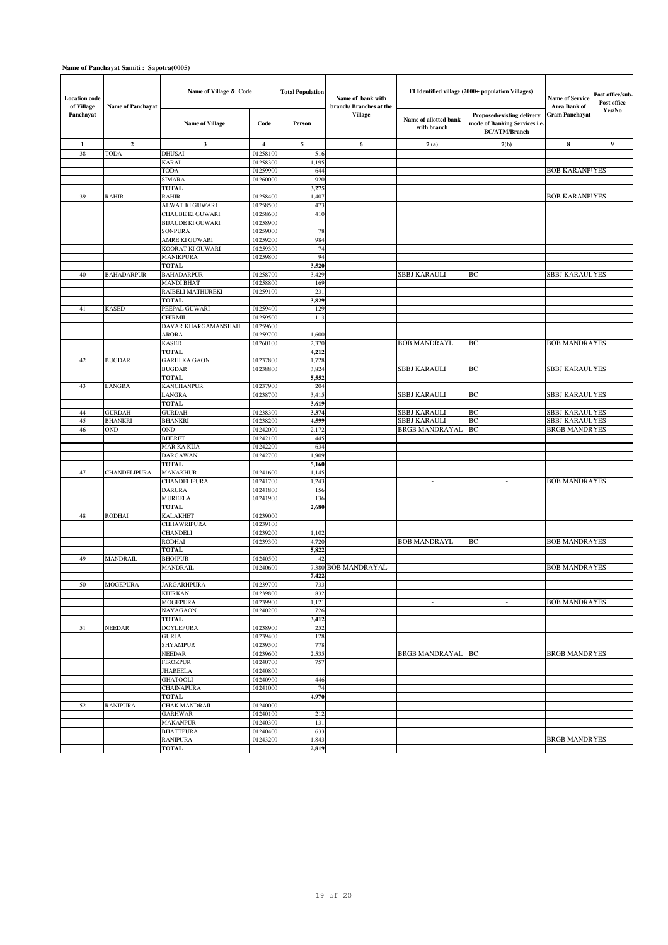| <b>Location</b> code<br>of Village | <b>Name of Panchayat</b> | Name of Village & Code                |                         | <b>Total Population</b> | Name of bank with<br>branch/ Branches at the | FI Identified village (2000+ population Villages) | <b>Name of Service</b><br>Area Bank of                                              | Post office/sub-<br>Post office<br>${\bf Yes/No}$ |                  |
|------------------------------------|--------------------------|---------------------------------------|-------------------------|-------------------------|----------------------------------------------|---------------------------------------------------|-------------------------------------------------------------------------------------|---------------------------------------------------|------------------|
| Panchayat                          |                          | <b>Name of Village</b>                | Code                    | Person                  | <b>Village</b>                               | Name of allotted bank<br>with branch              | Proposed/existing delivery<br>mode of Banking Services i.e.<br><b>BC/ATM/Branch</b> | <b>Gram Panchayat</b>                             |                  |
| $\mathbf{1}$                       | $\overline{2}$           | $\mathbf{3}$                          | $\overline{\mathbf{4}}$ | $\sim$                  | 6                                            | 7(a)                                              | 7(b)                                                                                | 8                                                 | $\boldsymbol{9}$ |
| 38                                 | <b>TODA</b>              | DHUSAI                                | 01258100                | 516                     |                                              |                                                   |                                                                                     |                                                   |                  |
|                                    |                          | <b>KARAI</b>                          | 01258300                | 1,19:                   |                                              |                                                   |                                                                                     |                                                   |                  |
|                                    |                          | TODA                                  | 01259900                | 644                     |                                              | $\overline{\phantom{a}}$                          | $\overline{\phantom{a}}$                                                            | <b>BOB KARANP YES</b>                             |                  |
|                                    |                          | <b>SIMARA</b><br><b>TOTAL</b>         | 01260000                | 920<br>3,275            |                                              |                                                   |                                                                                     |                                                   |                  |
| 39                                 | <b>RAHIR</b>             | RAHIR                                 | 01258400                | 1,407                   |                                              | $\overline{\phantom{a}}$                          | $\overline{\phantom{a}}$                                                            | <b>BOB KARANP YES</b>                             |                  |
|                                    |                          | ALWAT KI GUWARI                       | 01258500                | 473                     |                                              |                                                   |                                                                                     |                                                   |                  |
|                                    |                          | CHAUBE KI GUWARI                      | 01258600                | 410                     |                                              |                                                   |                                                                                     |                                                   |                  |
|                                    |                          | <b>BIJAUDE KI GUWARI</b>              | 01258900                |                         |                                              |                                                   |                                                                                     |                                                   |                  |
|                                    |                          | <b>SONPURA</b>                        | 01259000                | 78                      |                                              |                                                   |                                                                                     |                                                   |                  |
|                                    |                          | AMRE KI GUWARI                        | 01259200                | 984                     |                                              |                                                   |                                                                                     |                                                   |                  |
|                                    |                          | KOORAT KI GUWARI<br><b>MANIKPURA</b>  | 01259300<br>01259800    | 74<br>94                |                                              |                                                   |                                                                                     |                                                   |                  |
|                                    |                          | <b>TOTAL</b>                          |                         | 3,520                   |                                              |                                                   |                                                                                     |                                                   |                  |
| 40                                 | <b>BAHADARPUR</b>        | <b>BAHADARPUR</b>                     | 01258700                | 3,429                   |                                              | <b>SBBJ KARAULI</b>                               | BС                                                                                  | <b>SBBJ KARAUL YES</b>                            |                  |
|                                    |                          | <b>MANDI BHAT</b>                     | 01258800                | 169                     |                                              |                                                   |                                                                                     |                                                   |                  |
|                                    |                          | RAIBELI MATHUREKI                     | 01259100                | 231                     |                                              |                                                   |                                                                                     |                                                   |                  |
|                                    |                          | <b>TOTAL</b>                          |                         | 3,829                   |                                              |                                                   |                                                                                     |                                                   |                  |
| 41                                 | <b>KASED</b>             | PEEPAL GUWARI                         | 01259400                | 129                     |                                              |                                                   |                                                                                     |                                                   |                  |
|                                    |                          | <b>CHIRMIL</b><br>DAVAR KHARGAMANSHAH | 01259500<br>01259600    | 113                     |                                              |                                                   |                                                                                     |                                                   |                  |
|                                    |                          | ARORA                                 | 01259700                | 1,600                   |                                              |                                                   |                                                                                     |                                                   |                  |
|                                    |                          | KASED                                 | 01260100                | 2,370                   |                                              | <b>BOB MANDRAYL</b>                               | BС                                                                                  | <b>BOB MANDRAYES</b>                              |                  |
|                                    |                          | <b>TOTAL</b>                          |                         | 4,212                   |                                              |                                                   |                                                                                     |                                                   |                  |
| 42                                 | <b>BUGDAR</b>            | <b>GARHI KA GAON</b>                  | 01237800                | 1,728                   |                                              |                                                   |                                                                                     |                                                   |                  |
|                                    |                          | <b>BUGDAR</b>                         | 01238800                | 3,824                   |                                              | <b>SBBJ KARAULI</b>                               | BC                                                                                  | <b>SBBJ KARAUL YES</b>                            |                  |
|                                    |                          | <b>TOTAL</b>                          |                         | 5,552                   |                                              |                                                   |                                                                                     |                                                   |                  |
| 43                                 | LANGRA                   | <b>KANCHANPUR</b>                     | 01237900                | 204                     |                                              |                                                   |                                                                                     |                                                   |                  |
|                                    |                          | LANGRA<br><b>TOTAL</b>                | 01238700                | 3,415<br>3,619          |                                              | <b>SBBJ KARAULI</b>                               | ВC                                                                                  | <b>SBBJ KARAULYES</b>                             |                  |
| 44                                 | <b>GURDAH</b>            | <b>GURDAH</b>                         | 01238300                | 3,374                   |                                              | <b>SBBJ KARAULI</b>                               | ВC                                                                                  | <b>SBBJ KARAUL YES</b>                            |                  |
| 45                                 | <b>BHANKRI</b>           | <b>BHANKRI</b>                        | 01238200                | 4,599                   |                                              | <b>SBBJ KARAULI</b>                               | BC                                                                                  | SBBJ KARAUL YES                                   |                  |
| 46                                 | OND                      | OND                                   | 01242000                | 2,172                   |                                              | BRGB MANDRAYAL                                    | BC                                                                                  | <b>BRGB MANDRYES</b>                              |                  |
|                                    |                          | <b>BHERET</b>                         | 01242100                | 445                     |                                              |                                                   |                                                                                     |                                                   |                  |
|                                    |                          | MAR KA KUA                            | 01242200                | 634                     |                                              |                                                   |                                                                                     |                                                   |                  |
|                                    |                          | <b>DARGAWAN</b>                       | 01242700                | 1,909                   |                                              |                                                   |                                                                                     |                                                   |                  |
| 47                                 | <b>CHANDELIPURA</b>      | <b>TOTAL</b><br><b>MANAKHUR</b>       | 01241600                | 5,160<br>1,145          |                                              |                                                   |                                                                                     |                                                   |                  |
|                                    |                          | CHANDELIPURA                          | 01241700                | 1,243                   |                                              | $\overline{\phantom{a}}$                          | $\sim$                                                                              | <b>BOB MANDRAYES</b>                              |                  |
|                                    |                          | <b>DARURA</b>                         | 01241800                | 156                     |                                              |                                                   |                                                                                     |                                                   |                  |
|                                    |                          | <b>MUREELA</b>                        | 01241900                | 136                     |                                              |                                                   |                                                                                     |                                                   |                  |
|                                    |                          | <b>TOTAL</b>                          |                         | 2,680                   |                                              |                                                   |                                                                                     |                                                   |                  |
| 48                                 | RODHAI                   | <b>KALAKHET</b>                       | 01239000                |                         |                                              |                                                   |                                                                                     |                                                   |                  |
|                                    |                          | <b>CHHAWRIPURA</b>                    | 01239100                |                         |                                              |                                                   |                                                                                     |                                                   |                  |
|                                    |                          | <b>CHANDELI</b><br>RODHAI             | 01239200<br>01239300    | 1,102<br>4,720          |                                              | <b>BOB MANDRAYL</b>                               | BС                                                                                  | <b>BOB MANDRAYES</b>                              |                  |
|                                    |                          | <b>TOTAL</b>                          |                         | 5,822                   |                                              |                                                   |                                                                                     |                                                   |                  |
| 49                                 | <b>MANDRAIL</b>          | <b>BHOJPUR</b>                        | 01240500                | 42                      |                                              |                                                   |                                                                                     |                                                   |                  |
|                                    |                          | <b>MANDRAIL</b>                       | 01240600                | 7,380                   | <b>BOB MANDRAYAL</b>                         |                                                   |                                                                                     | <b>BOB MANDRAYES</b>                              |                  |
|                                    |                          |                                       |                         | 7,422                   |                                              |                                                   |                                                                                     |                                                   |                  |
| 50                                 | <b>MOGEPURA</b>          | <b>JARGARHPURA</b>                    | 01239700<br>01239800    | 733                     |                                              |                                                   |                                                                                     |                                                   |                  |
|                                    |                          | <b>KHIRKAN</b><br><b>MOGEPURA</b>     | 01239900                | 832<br>1,121            |                                              | $\overline{\phantom{a}}$                          | $\sim$                                                                              | <b>BOB MANDRAYES</b>                              |                  |
|                                    |                          | <b>NAYAGAON</b>                       | 01240200                | 726                     |                                              |                                                   |                                                                                     |                                                   |                  |
|                                    |                          | <b>TOTAL</b>                          |                         | 3,412                   |                                              |                                                   |                                                                                     |                                                   |                  |
| 51                                 | <b>NEEDAR</b>            | <b>DOYLEPURA</b>                      | 01238900                | 252                     |                                              |                                                   |                                                                                     |                                                   |                  |
|                                    |                          | <b>GURJA</b>                          | 01239400                | 128                     |                                              |                                                   |                                                                                     |                                                   |                  |
|                                    |                          | <b>SHYAMPUR</b>                       | 01239500                | 778                     |                                              |                                                   |                                                                                     |                                                   |                  |
|                                    |                          | <b>NEEDAR</b><br><b>FIROZPUR</b>      | 01239600<br>01240700    | 2,535<br>757            |                                              | BRGB MANDRAYAL                                    | ВC                                                                                  | <b>BRGB MANDRYES</b>                              |                  |
|                                    |                          | <b>JHAREELA</b>                       | 01240800                |                         |                                              |                                                   |                                                                                     |                                                   |                  |
|                                    |                          | <b>GHATOOLI</b>                       | 01240900                | 446                     |                                              |                                                   |                                                                                     |                                                   |                  |
|                                    |                          | <b>CHAINAPURA</b>                     | 01241000                | 74                      |                                              |                                                   |                                                                                     |                                                   |                  |
|                                    |                          | TOTAL                                 |                         | 4,970                   |                                              |                                                   |                                                                                     |                                                   |                  |
| 52                                 | <b>RANIPURA</b>          | <b>CHAK MANDRAIL</b>                  | 01240000                |                         |                                              |                                                   |                                                                                     |                                                   |                  |
|                                    |                          | <b>GARHWAR</b>                        | 01240100                | 212                     |                                              |                                                   |                                                                                     |                                                   |                  |
|                                    |                          | <b>MAKANPUR</b><br><b>BHATTPURA</b>   | 01240300<br>01240400    | 131<br>633              |                                              |                                                   |                                                                                     |                                                   |                  |
|                                    |                          | RANIPURA                              | 01243200                | 1,843                   |                                              | $\overline{\phantom{a}}$                          | $\overline{\phantom{a}}$                                                            | <b>BRGB MANDRYES</b>                              |                  |
|                                    |                          | <b>TOTAL</b>                          |                         | 2,819                   |                                              |                                                   |                                                                                     |                                                   |                  |
|                                    |                          |                                       |                         |                         |                                              |                                                   |                                                                                     |                                                   |                  |